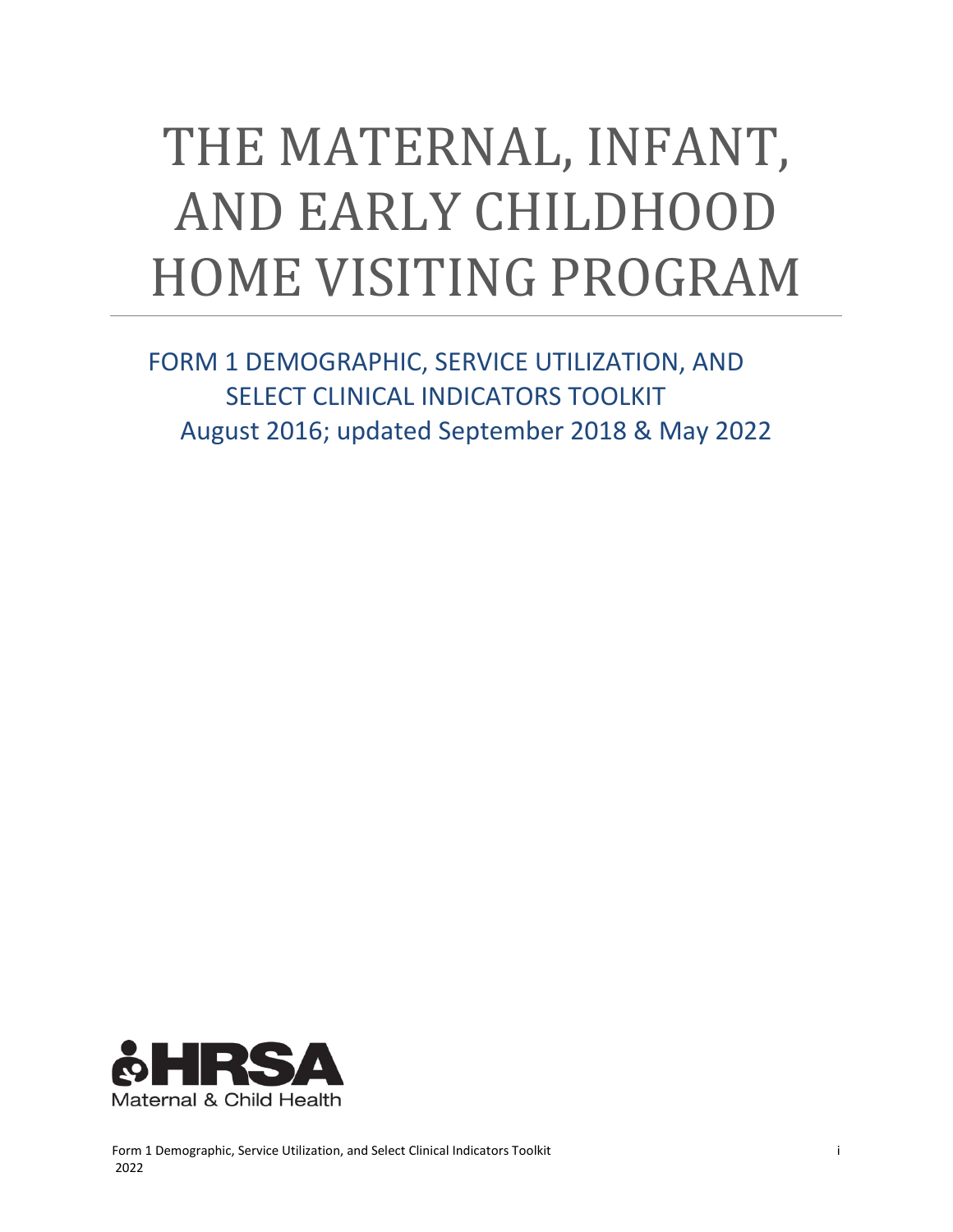# THE MATERNAL, INFANT, AND EARLY CHILDHOOD HOME VISITING PROGRAM

FORM 1 DEMOGRAPHIC, SERVICE UTILIZATION, AND SELECT CLINICAL INDICATORS TOOLKIT August 2016; updated September 2018 & May 2022

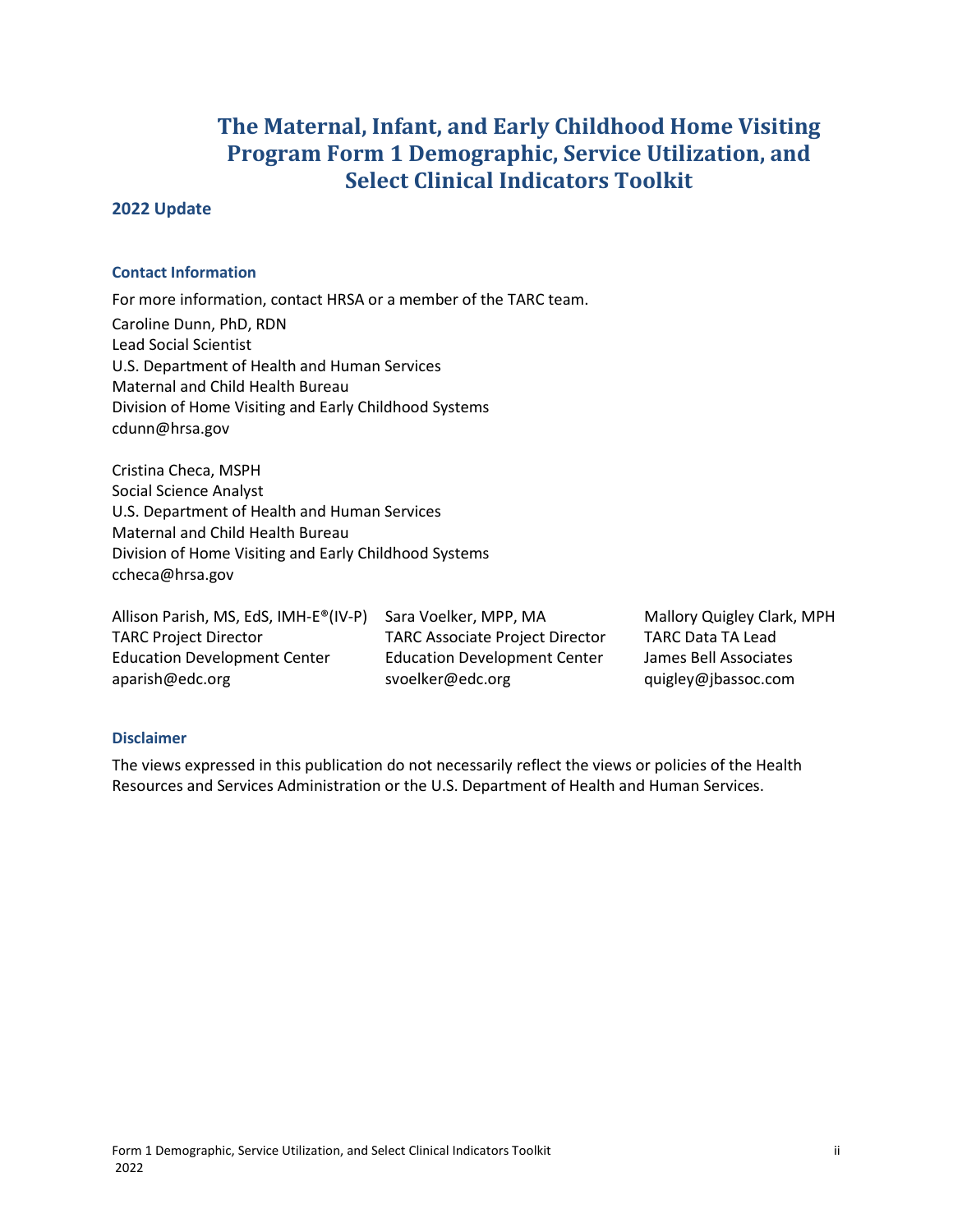## **The Maternal, Infant, and Early Childhood Home Visiting Program Form 1 Demographic, Service Utilization, and Select Clinical Indicators Toolkit**

#### <span id="page-1-0"></span>**2022 Update**

#### **Contact Information**

For more information, contact HRSA or a member of the TARC team. Caroline Dunn, PhD, RDN Lead Social Scientist U.S. Department of Health and Human Services Maternal and Child Health Bureau Division of Home Visiting and Early Childhood Systems cdunn@hrsa.gov

Cristina Checa, MSPH Social Science Analyst U.S. Department of Health and Human Services Maternal and Child Health Bureau Division of Home Visiting and Early Childhood Systems ccheca@hrsa.gov

Allison Parish, MS, EdS, IMH-E®(IV-P) Sara Voelker, MPP, MA Mallory Quigley Clark, MPH TARC Project Director TARC Associate Project Director TARC Data TA Lead Education Development Center Education Development Center James Bell Associates aparish@edc.org svoelker@edc.org quigley@jbassoc.com

#### **Disclaimer**

The views expressed in this publication do not necessarily reflect the views or policies of the Health Resources and Services Administration or the U.S. Department of Health and Human Services.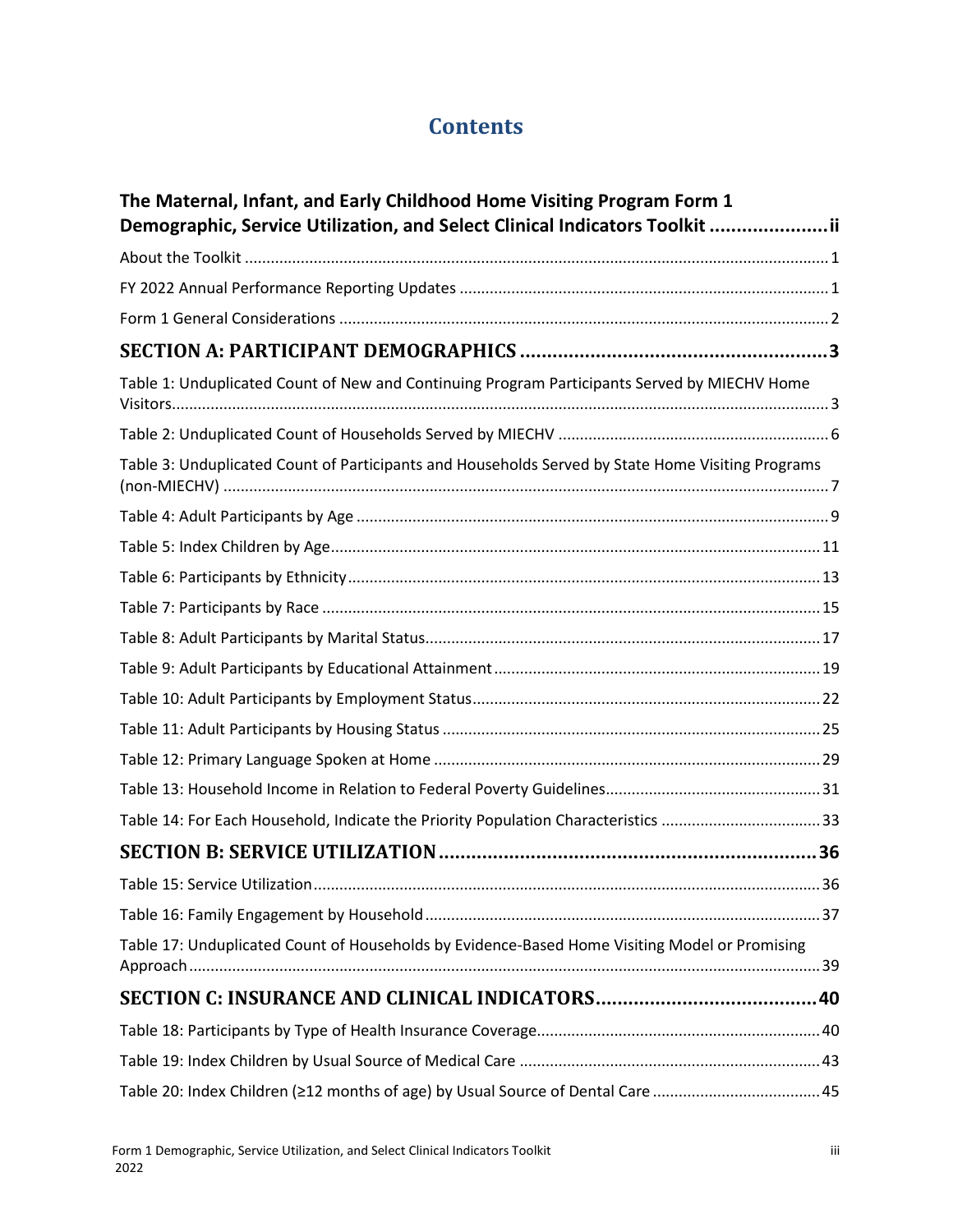# **Contents**

| The Maternal, Infant, and Early Childhood Home Visiting Program Form 1<br>Demographic, Service Utilization, and Select Clinical Indicators Toolkit ii |    |
|-------------------------------------------------------------------------------------------------------------------------------------------------------|----|
|                                                                                                                                                       |    |
|                                                                                                                                                       |    |
|                                                                                                                                                       |    |
|                                                                                                                                                       |    |
| Table 1: Unduplicated Count of New and Continuing Program Participants Served by MIECHV Home                                                          |    |
|                                                                                                                                                       |    |
| Table 3: Unduplicated Count of Participants and Households Served by State Home Visiting Programs                                                     |    |
|                                                                                                                                                       |    |
|                                                                                                                                                       |    |
|                                                                                                                                                       |    |
|                                                                                                                                                       |    |
|                                                                                                                                                       |    |
|                                                                                                                                                       |    |
|                                                                                                                                                       |    |
|                                                                                                                                                       |    |
|                                                                                                                                                       |    |
|                                                                                                                                                       |    |
| Table 14: For Each Household, Indicate the Priority Population Characteristics 33                                                                     |    |
|                                                                                                                                                       |    |
|                                                                                                                                                       | 36 |
|                                                                                                                                                       |    |
| Table 17: Unduplicated Count of Households by Evidence-Based Home Visiting Model or Promising                                                         |    |
|                                                                                                                                                       |    |
|                                                                                                                                                       |    |
|                                                                                                                                                       |    |
| Table 20: Index Children (≥12 months of age) by Usual Source of Dental Care 45                                                                        |    |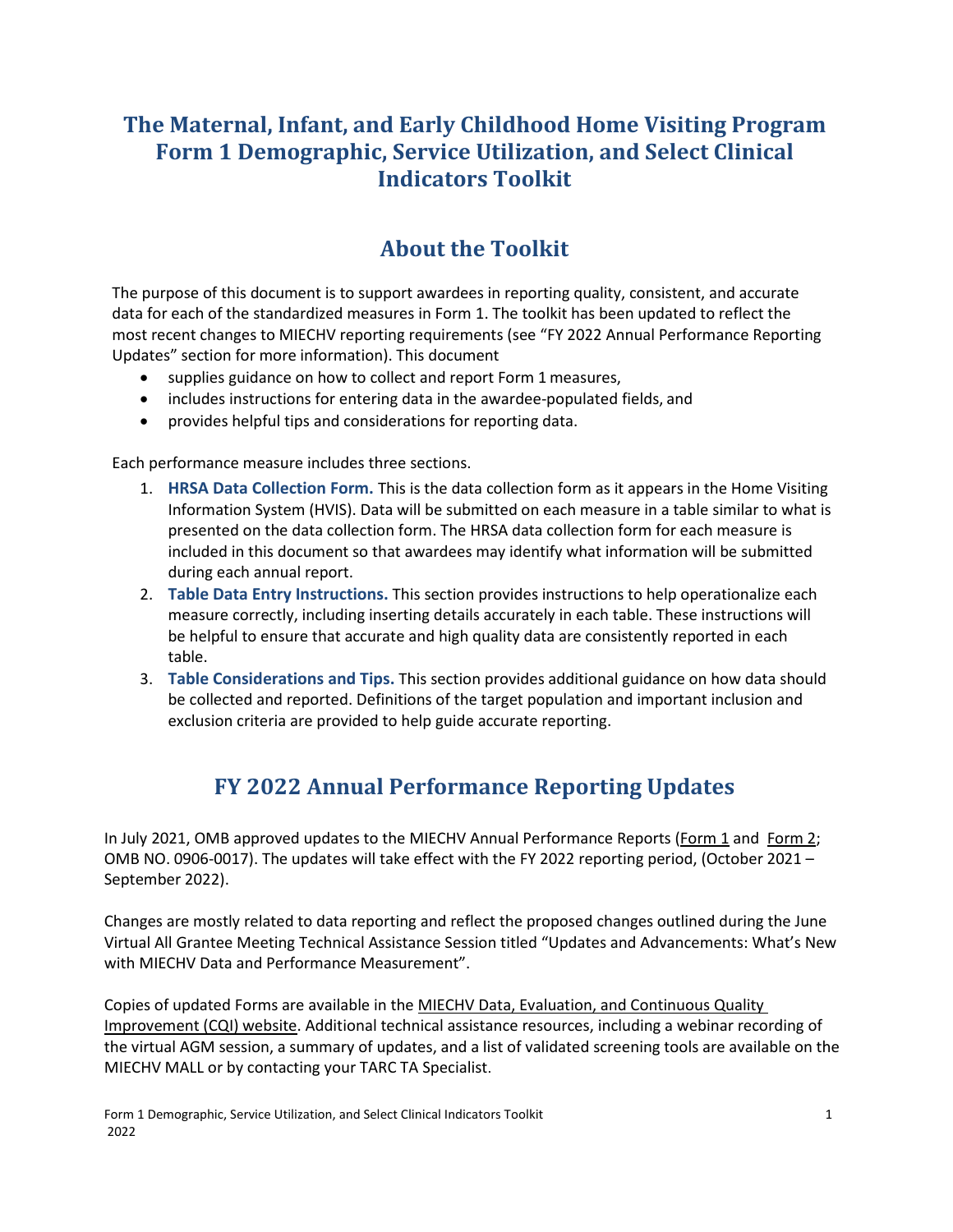## **The Maternal, Infant, and Early Childhood Home Visiting Program Form 1 Demographic, Service Utilization, and Select Clinical Indicators Toolkit**

## **About the Toolkit**

<span id="page-4-0"></span>The purpose of this document is to support awardees in reporting quality, consistent, and accurate data for each of the standardized measures in Form 1. The toolkit has been updated to reflect the most recent changes to MIECHV reporting requirements (see "FY 2022 Annual Performance Reporting Updates" section for more information). This document

- supplies guidance on how to collect and report Form 1 measures,
- includes instructions for entering data in the awardee-populated fields, and
- provides helpful tips and considerations for reporting data.

Each performance measure includes three sections.

- 1. **HRSA Data Collection Form.** This is the data collection form as it appears in the Home Visiting Information System (HVIS). Data will be submitted on each measure in a table similar to what is presented on the data collection form. The HRSA data collection form for each measure is included in this document so that awardees may identify what information will be submitted during each annual report.
- 2. **Table Data Entry Instructions.** This section provides instructions to help operationalize each measure correctly, including inserting details accurately in each table. These instructions will be helpful to ensure that accurate and high quality data are consistently reported in each table.
- 3. **Table Considerations and Tips.** This section provides additional guidance on how data should be collected and reported. Definitions of the target population and important inclusion and exclusion criteria are provided to help guide accurate reporting.

## **FY 2022 Annual Performance Reporting Updates**

<span id="page-4-1"></span>In July 2021, OMB approved updates to the MIECHV Annual Performance Reports [\(Form 1](https://mchb.hrsa.gov/sites/default/files/mchb/programs-impact/form-1-demographic-performance.pdf) and [Form 2;](https://mchb.hrsa.gov/sites/default/files/mchb/programs-impact/form-2-benchmark-performance.pdf) OMB NO. 0906-0017). The updates will take effect with the FY 2022 reporting period, (October 2021 – September 2022).

Changes are mostly related to data reporting and reflect the proposed changes outlined during the June Virtual All Grantee Meeting Technical Assistance Session titled "Updates and Advancements: What's New with MIECHV Data and Performance Measurement".

Copies of updated Forms are available in the [MIECHV Data, Evaluation, and Continuous Quality](https://lnks.gd/l/eyJhbGciOiJIUzI1NiJ9.eyJidWxsZXRpbl9saW5rX2lkIjoxMDYsInVyaSI6ImJwMjpjbGljayIsImJ1bGxldGluX2lkIjoiMjAyMTA4MTMuNDQ1MTcwNzEiLCJ1cmwiOiJodHRwczovL2xua3MuZ2QvbC9leUpoYkdjaU9pSklVekkxTmlKOS5leUppZFd4c1pYUnBibDlzYVc1clgybGtJam94TURJc0luVnlhU0k2SW1Kd01qcGpiR2xqYXlJc0ltSjFiR3hsZEdsdVgybGtJam9pTWpBeU1UQTRNRGt1TkRRek1URTJOakVpTENKMWNtd2lPaUpvZEhSd2N6b3ZMMjFqYUdJdWFISnpZUzVuYjNZdmJXRjBaWEp1WVd3dFkyaHBiR1F0YUdWaGJIUm9MV2x1YVhScFlYUnBkbVZ6TDJodmJXVXRkbWx6YVhScGJtY3ZjR1Z5Wm05eWJXRnVZMlV0Y21Wd2IzSjBhVzVuTFdGdVpDMWxkbUZzZFdGMGFXOXVMWEpsYzI5MWNtTmxjeUo5LndSejVDVktNRkViWndoa0h1MmMxZDhVZ2UzV3ZEVmhJZFJnQWZMX0EwSjgvcy80OTA0NjQ0NTQvYnIvMTEwNTkyODcwMTEzLWwifQ.M6u4gNjQibGmBqmx0g8DK2r1GQOA1VqESrrVDwOdbSM/s/1021820628/br/110861584359-l) [Improvement \(CQI\) website.](https://lnks.gd/l/eyJhbGciOiJIUzI1NiJ9.eyJidWxsZXRpbl9saW5rX2lkIjoxMDYsInVyaSI6ImJwMjpjbGljayIsImJ1bGxldGluX2lkIjoiMjAyMTA4MTMuNDQ1MTcwNzEiLCJ1cmwiOiJodHRwczovL2xua3MuZ2QvbC9leUpoYkdjaU9pSklVekkxTmlKOS5leUppZFd4c1pYUnBibDlzYVc1clgybGtJam94TURJc0luVnlhU0k2SW1Kd01qcGpiR2xqYXlJc0ltSjFiR3hsZEdsdVgybGtJam9pTWpBeU1UQTRNRGt1TkRRek1URTJOakVpTENKMWNtd2lPaUpvZEhSd2N6b3ZMMjFqYUdJdWFISnpZUzVuYjNZdmJXRjBaWEp1WVd3dFkyaHBiR1F0YUdWaGJIUm9MV2x1YVhScFlYUnBkbVZ6TDJodmJXVXRkbWx6YVhScGJtY3ZjR1Z5Wm05eWJXRnVZMlV0Y21Wd2IzSjBhVzVuTFdGdVpDMWxkbUZzZFdGMGFXOXVMWEpsYzI5MWNtTmxjeUo5LndSejVDVktNRkViWndoa0h1MmMxZDhVZ2UzV3ZEVmhJZFJnQWZMX0EwSjgvcy80OTA0NjQ0NTQvYnIvMTEwNTkyODcwMTEzLWwifQ.M6u4gNjQibGmBqmx0g8DK2r1GQOA1VqESrrVDwOdbSM/s/1021820628/br/110861584359-l) Additional technical assistance resources, including a webinar recording of the virtual AGM session, a summary of updates, and a list of validated screening tools are available on the MIECHV MALL or by contacting your TARC TA Specialist.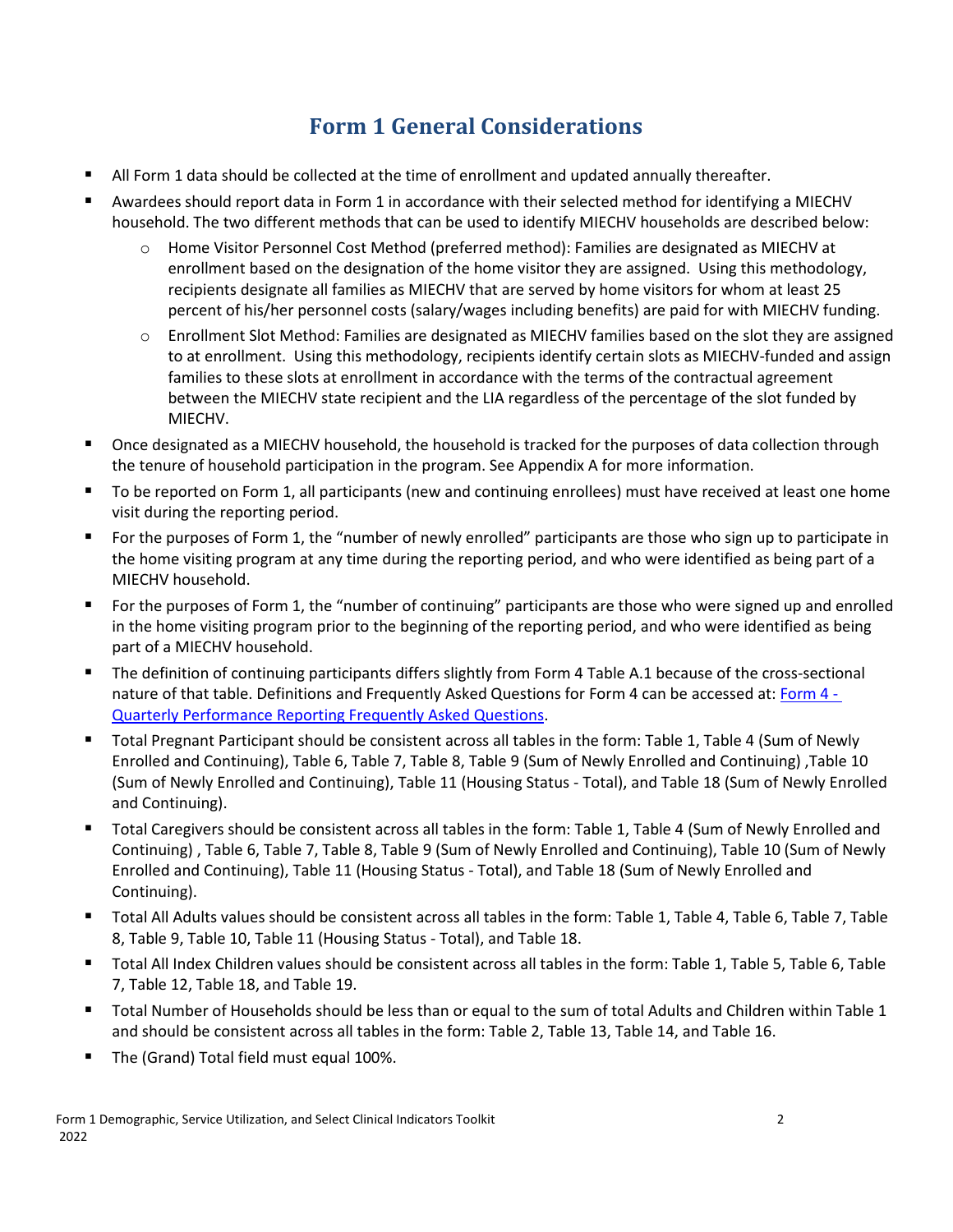# **Form 1 General Considerations**

- <span id="page-5-0"></span>All Form 1 data should be collected at the time of enrollment and updated annually thereafter.
- Awardees should report data in Form 1 in accordance with their selected method for identifying a MIECHV household. The two different methods that can be used to identify MIECHV households are described below:
	- o Home Visitor Personnel Cost Method (preferred method): Families are designated as MIECHV at enrollment based on the designation of the home visitor they are assigned. Using this methodology, recipients designate all families as MIECHV that are served by home visitors for whom at least 25 percent of his/her personnel costs (salary/wages including benefits) are paid for with MIECHV funding.
	- o Enrollment Slot Method: Families are designated as MIECHV families based on the slot they are assigned to at enrollment. Using this methodology, recipients identify certain slots as MIECHV-funded and assign families to these slots at enrollment in accordance with the terms of the contractual agreement between the MIECHV state recipient and the LIA regardless of the percentage of the slot funded by MIECHV.
- Once designated as a MIECHV household, the household is tracked for the purposes of data collection through the tenure of household participation in the program. See Appendix A for more information.
- To be reported on Form 1, all participants (new and continuing enrollees) must have received at least one home visit during the reporting period.
- For the purposes of Form 1, the "number of newly enrolled" participants are those who sign up to participate in the home visiting program at any time during the reporting period, and who were identified as being part of a MIECHV household.
- For the purposes of Form 1, the "number of continuing" participants are those who were signed up and enrolled in the home visiting program prior to the beginning of the reporting period, and who were identified as being part of a MIECHV household.
- The definition of continuing participants differs slightly from Form 4 Table A.1 because of the cross-sectional nature of that table. Definitions and Frequently Asked Questions for Form 4 can be accessed at: [Form 4 -](https://mchb.hrsa.gov/programs-impact/programs/quarterly-performance-reports-frequently-asked-questions-faqs)  [Quarterly Performance Reporting Frequently Asked Questions.](https://mchb.hrsa.gov/programs-impact/programs/quarterly-performance-reports-frequently-asked-questions-faqs)
- Total Pregnant Participant should be consistent across all tables in the form: Table 1, Table 4 (Sum of Newly Enrolled and Continuing), Table 6, Table 7, Table 8, Table 9 (Sum of Newly Enrolled and Continuing) ,Table 10 (Sum of Newly Enrolled and Continuing), Table 11 (Housing Status - Total), and Table 18 (Sum of Newly Enrolled and Continuing).
- Total Caregivers should be consistent across all tables in the form: Table 1, Table 4 (Sum of Newly Enrolled and Continuing) , Table 6, Table 7, Table 8, Table 9 (Sum of Newly Enrolled and Continuing), Table 10 (Sum of Newly Enrolled and Continuing), Table 11 (Housing Status - Total), and Table 18 (Sum of Newly Enrolled and Continuing).
- Total All Adults values should be consistent across all tables in the form: Table 1, Table 4, Table 6, Table 7, Table 8, Table 9, Table 10, Table 11 (Housing Status - Total), and Table 18.
- Total All Index Children values should be consistent across all tables in the form: Table 1, Table 5, Table 6, Table 7, Table 12, Table 18, and Table 19.
- Total Number of Households should be less than or equal to the sum of total Adults and Children within Table 1 and should be consistent across all tables in the form: Table 2, Table 13, Table 14, and Table 16.
- The (Grand) Total field must equal 100%.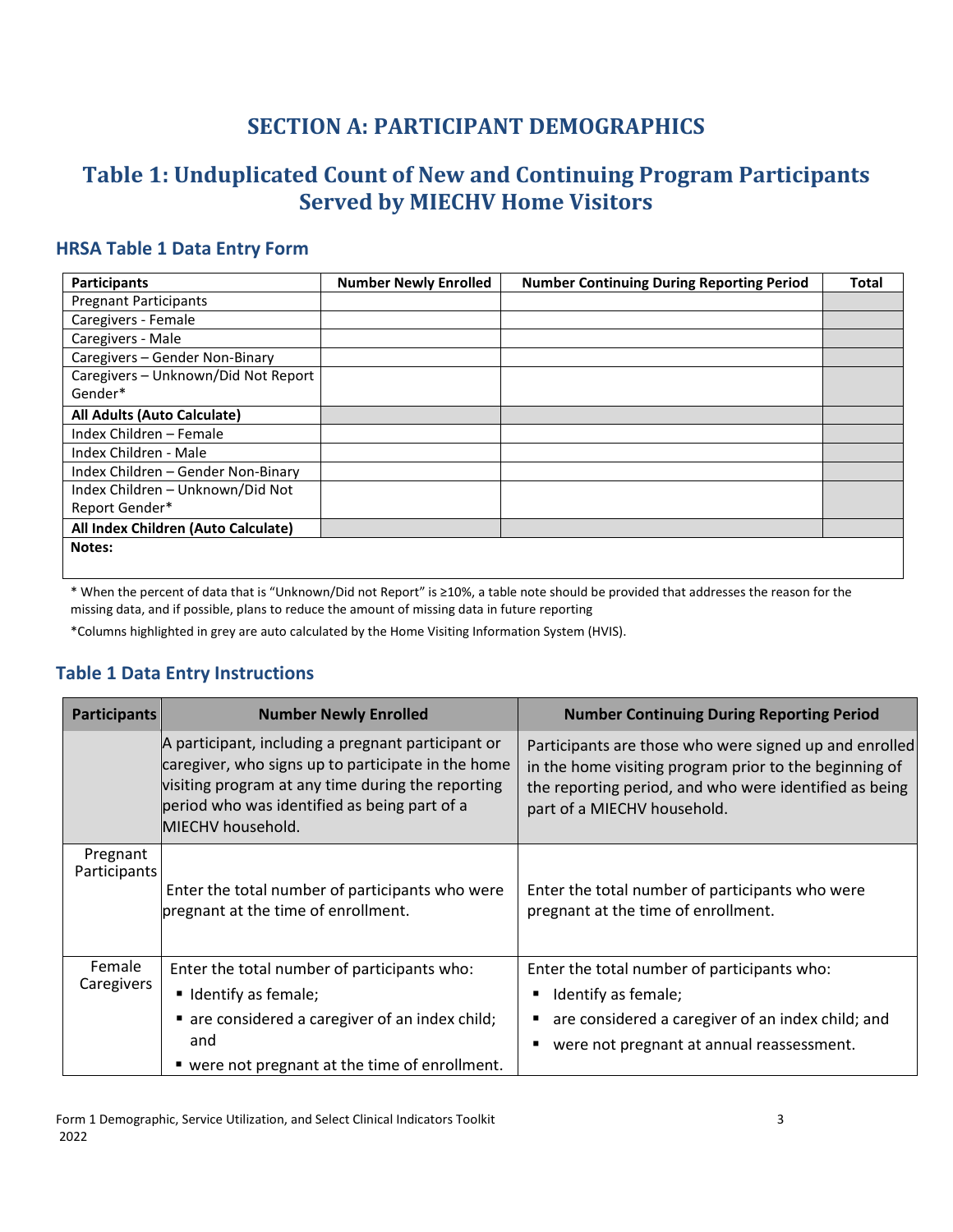## **SECTION A: PARTICIPANT DEMOGRAPHICS**

## <span id="page-6-1"></span><span id="page-6-0"></span>**Table 1: Unduplicated Count of New and Continuing Program Participants Served by MIECHV Home Visitors**

## **HRSA Table 1 Data Entry Form**

| <b>Participants</b>                 | <b>Number Newly Enrolled</b> | <b>Number Continuing During Reporting Period</b> | <b>Total</b> |
|-------------------------------------|------------------------------|--------------------------------------------------|--------------|
| <b>Pregnant Participants</b>        |                              |                                                  |              |
| Caregivers - Female                 |                              |                                                  |              |
| Caregivers - Male                   |                              |                                                  |              |
| Caregivers - Gender Non-Binary      |                              |                                                  |              |
| Caregivers - Unknown/Did Not Report |                              |                                                  |              |
| Gender*                             |                              |                                                  |              |
| All Adults (Auto Calculate)         |                              |                                                  |              |
| Index Children - Female             |                              |                                                  |              |
| Index Children - Male               |                              |                                                  |              |
| Index Children - Gender Non-Binary  |                              |                                                  |              |
| Index Children - Unknown/Did Not    |                              |                                                  |              |
| Report Gender*                      |                              |                                                  |              |
| All Index Children (Auto Calculate) |                              |                                                  |              |
| Notes:                              |                              |                                                  |              |
|                                     |                              |                                                  |              |

\* When the percent of data that is "Unknown/Did not Report" is ≥10%, a table note should be provided that addresses the reason for the missing data, and if possible, plans to reduce the amount of missing data in future reporting

\*Columns highlighted in grey are auto calculated by the Home Visiting Information System (HVIS).

#### **Table 1 Data Entry Instructions**

| <b>Participants</b>      | <b>Number Newly Enrolled</b>                                                                                                                                                                                                       | <b>Number Continuing During Reporting Period</b>                                                                                                                                                          |
|--------------------------|------------------------------------------------------------------------------------------------------------------------------------------------------------------------------------------------------------------------------------|-----------------------------------------------------------------------------------------------------------------------------------------------------------------------------------------------------------|
|                          | A participant, including a pregnant participant or<br>caregiver, who signs up to participate in the home<br>visiting program at any time during the reporting<br>period who was identified as being part of a<br>MIECHV household. | Participants are those who were signed up and enrolled<br>in the home visiting program prior to the beginning of<br>the reporting period, and who were identified as being<br>part of a MIECHV household. |
| Pregnant<br>Participants | Enter the total number of participants who were<br>pregnant at the time of enrollment.                                                                                                                                             | Enter the total number of participants who were<br>pregnant at the time of enrollment.                                                                                                                    |
| Female<br>Caregivers     | Enter the total number of participants who:<br>Unit I dentify as female;                                                                                                                                                           | Enter the total number of participants who:<br>Identify as female;<br>п                                                                                                                                   |
|                          | are considered a caregiver of an index child;<br>and                                                                                                                                                                               | are considered a caregiver of an index child; and<br>٠<br>were not pregnant at annual reassessment.                                                                                                       |
|                          | " were not pregnant at the time of enrollment.                                                                                                                                                                                     |                                                                                                                                                                                                           |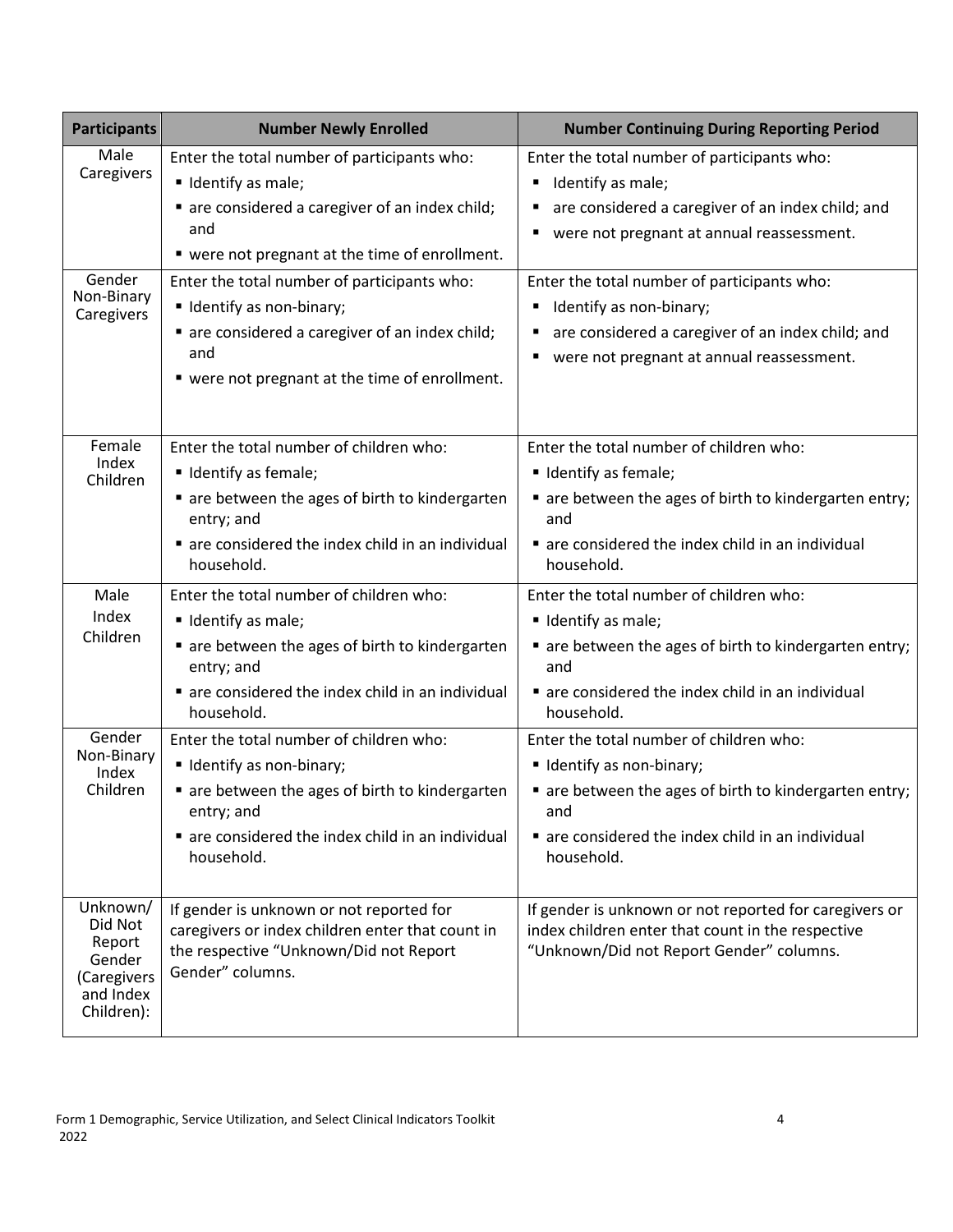| <b>Participants</b>                                                               | <b>Number Newly Enrolled</b>                                                                                                                                                                                                | <b>Number Continuing During Reporting Period</b>                                                                                                                                                                            |
|-----------------------------------------------------------------------------------|-----------------------------------------------------------------------------------------------------------------------------------------------------------------------------------------------------------------------------|-----------------------------------------------------------------------------------------------------------------------------------------------------------------------------------------------------------------------------|
| Male<br>Caregivers<br>Gender<br>Non-Binary                                        | Enter the total number of participants who:<br>" Identify as male;<br>are considered a caregiver of an index child;<br>and<br>■ were not pregnant at the time of enrollment.<br>Enter the total number of participants who: | Enter the total number of participants who:<br>Identify as male;<br>٠<br>are considered a caregiver of an index child; and<br>٠<br>were not pregnant at annual reassessment.<br>Enter the total number of participants who: |
| Caregivers                                                                        | ■ Identify as non-binary;<br>are considered a caregiver of an index child;<br>and<br>" were not pregnant at the time of enrollment.                                                                                         | Identify as non-binary;<br>٠<br>are considered a caregiver of an index child; and<br>٠<br>were not pregnant at annual reassessment.<br>п                                                                                    |
| Female<br>Index<br>Children                                                       | Enter the total number of children who:<br>■ Identify as female;<br>are between the ages of birth to kindergarten<br>entry; and<br>are considered the index child in an individual<br>household.                            | Enter the total number of children who:<br>Udentify as female;<br>• are between the ages of birth to kindergarten entry;<br>and<br>are considered the index child in an individual<br>household.                            |
| Male<br>Index<br>Children                                                         | Enter the total number of children who:<br>" Identify as male;<br>are between the ages of birth to kindergarten<br>entry; and<br>are considered the index child in an individual<br>household.                              | Enter the total number of children who:<br>· Identify as male;<br>• are between the ages of birth to kindergarten entry;<br>and<br>are considered the index child in an individual<br>household.                            |
| Gender<br>Non-Binary<br>Index<br>Children                                         | Enter the total number of children who:<br>■ Identify as non-binary;<br>are between the ages of birth to kindergarten<br>entry; and<br>are considered the index child in an individual<br>household.                        | Enter the total number of children who:<br>■ Identify as non-binary;<br>• are between the ages of birth to kindergarten entry;<br>and<br>are considered the index child in an individual<br>household.                      |
| Unknown/<br>Did Not<br>Report<br>Gender<br>(Caregivers<br>and Index<br>Children): | If gender is unknown or not reported for<br>caregivers or index children enter that count in<br>the respective "Unknown/Did not Report<br>Gender" columns.                                                                  | If gender is unknown or not reported for caregivers or<br>index children enter that count in the respective<br>"Unknown/Did not Report Gender" columns.                                                                     |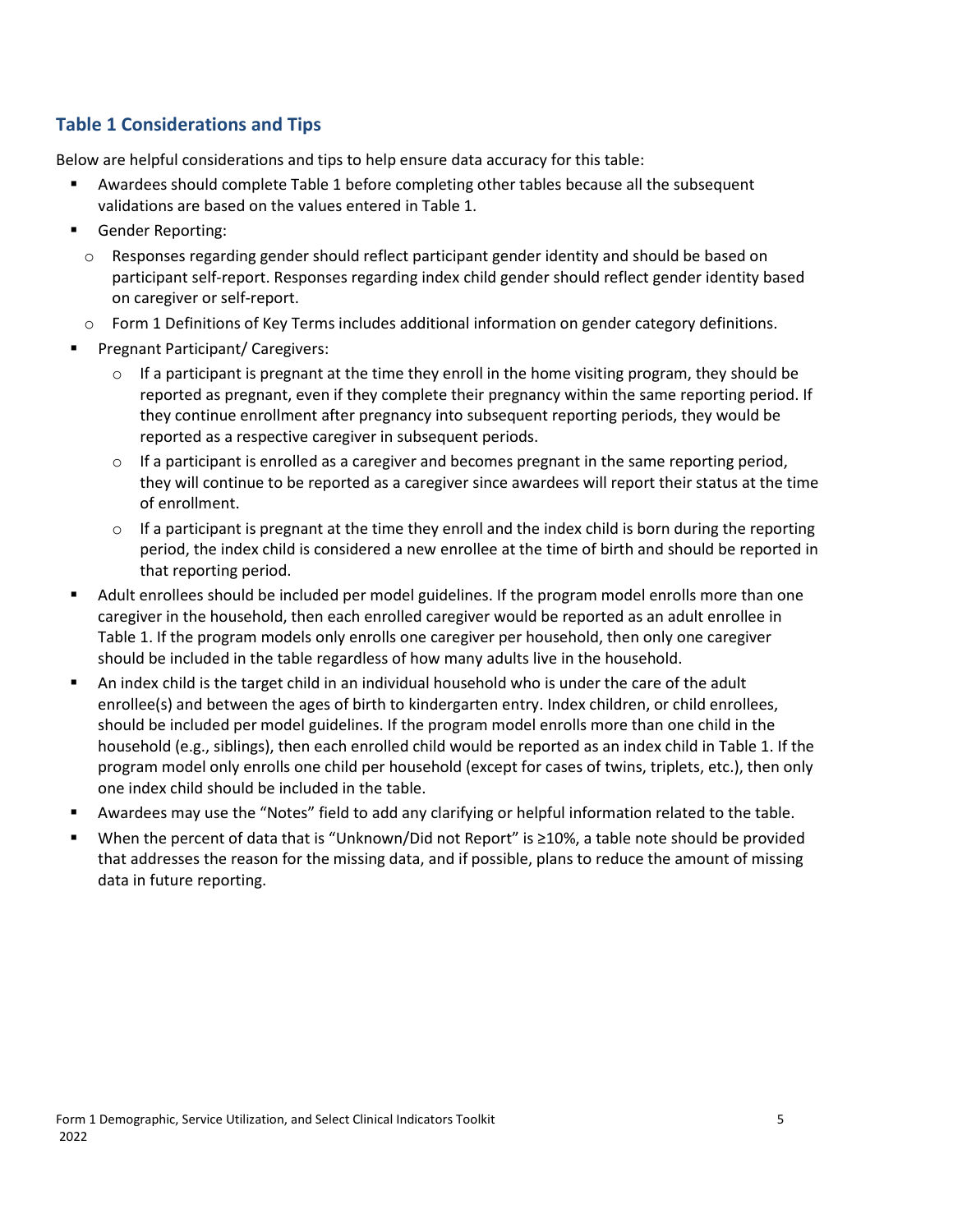#### **Table 1 Considerations and Tips**

- Awardees should complete Table 1 before completing other tables because all the subsequent validations are based on the values entered in Table 1.
- Gender Reporting:
	- o Responses regarding gender should reflect participant gender identity and should be based on participant self-report. Responses regarding index child gender should reflect gender identity based on caregiver or self-report.
	- o Form 1 Definitions of Key Terms includes additional information on gender category definitions.
- **Pregnant Participant/ Caregivers:** 
	- $\circ$  If a participant is pregnant at the time they enroll in the home visiting program, they should be reported as pregnant, even if they complete their pregnancy within the same reporting period. If they continue enrollment after pregnancy into subsequent reporting periods, they would be reported as a respective caregiver in subsequent periods.
	- $\circ$  If a participant is enrolled as a caregiver and becomes pregnant in the same reporting period, they will continue to be reported as a caregiver since awardees will report their status at the time of enrollment.
	- $\circ$  If a participant is pregnant at the time they enroll and the index child is born during the reporting period, the index child is considered a new enrollee at the time of birth and should be reported in that reporting period.
- Adult enrollees should be included per model guidelines. If the program model enrolls more than one caregiver in the household, then each enrolled caregiver would be reported as an adult enrollee in Table 1. If the program models only enrolls one caregiver per household, then only one caregiver should be included in the table regardless of how many adults live in the household.
- An index child is the target child in an individual household who is under the care of the adult enrollee(s) and between the ages of birth to kindergarten entry. Index children, or child enrollees, should be included per model guidelines. If the program model enrolls more than one child in the household (e.g., siblings), then each enrolled child would be reported as an index child in Table 1. If the program model only enrolls one child per household (except for cases of twins, triplets, etc.), then only one index child should be included in the table.
- Awardees may use the "Notes" field to add any clarifying or helpful information related to the table.
- When the percent of data that is "Unknown/Did not Report" is ≥10%, a table note should be provided that addresses the reason for the missing data, and if possible, plans to reduce the amount of missing data in future reporting.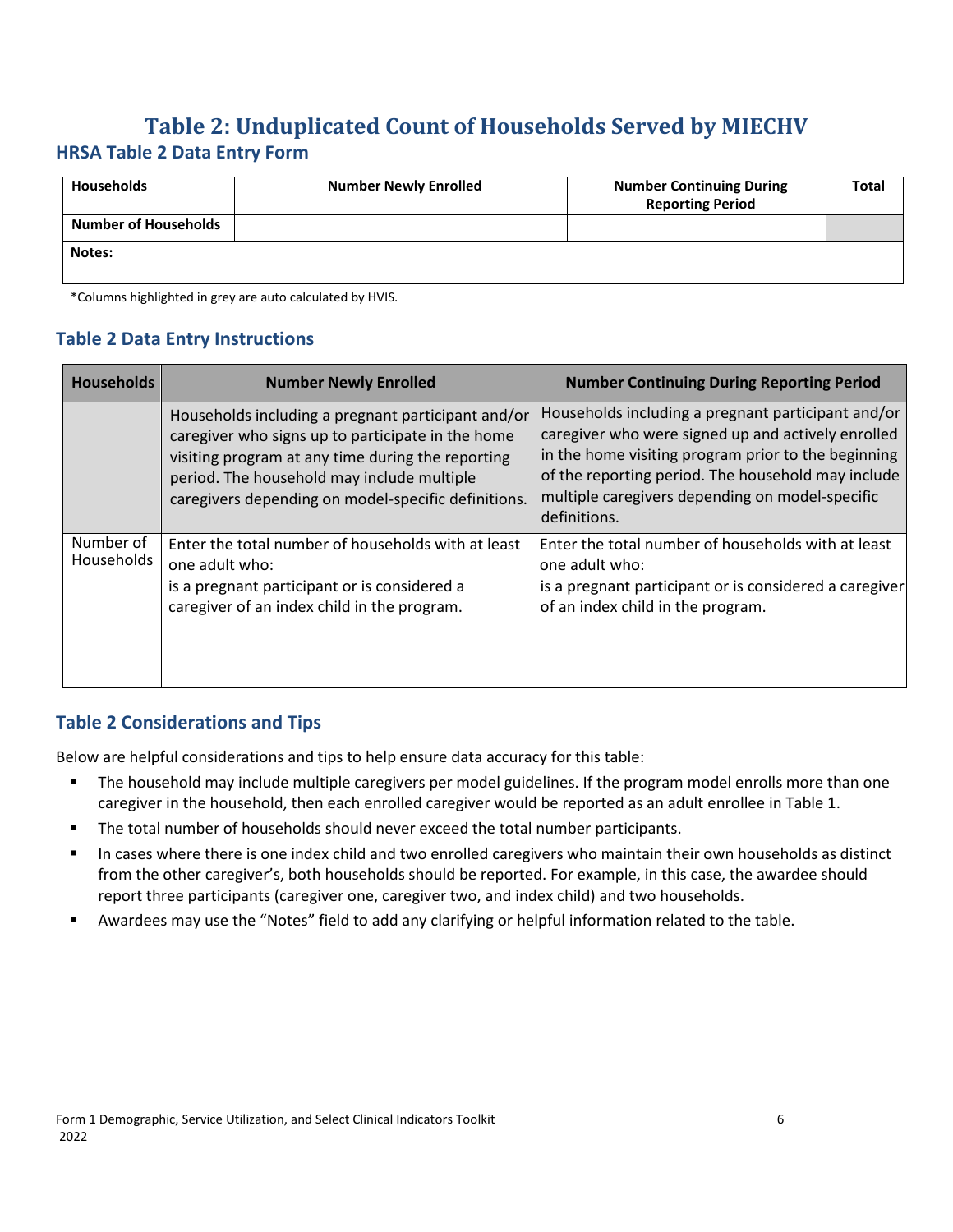## <span id="page-9-0"></span>**Table 2: Unduplicated Count of Households Served by MIECHV HRSA Table 2 Data Entry Form**

| <b>Households</b>           | <b>Number Newly Enrolled</b> | <b>Number Continuing During</b><br><b>Reporting Period</b> | <b>Total</b> |
|-----------------------------|------------------------------|------------------------------------------------------------|--------------|
| <b>Number of Households</b> |                              |                                                            |              |
| Notes:                      |                              |                                                            |              |

\*Columns highlighted in grey are auto calculated by HVIS.

#### **Table 2 Data Entry Instructions**

| <b>Households</b>       | <b>Number Newly Enrolled</b>                                                                                                                                                                                                                                      | <b>Number Continuing During Reporting Period</b>                                                                                                                                                                                                                                         |
|-------------------------|-------------------------------------------------------------------------------------------------------------------------------------------------------------------------------------------------------------------------------------------------------------------|------------------------------------------------------------------------------------------------------------------------------------------------------------------------------------------------------------------------------------------------------------------------------------------|
|                         | Households including a pregnant participant and/or<br>caregiver who signs up to participate in the home<br>visiting program at any time during the reporting<br>period. The household may include multiple<br>caregivers depending on model-specific definitions. | Households including a pregnant participant and/or<br>caregiver who were signed up and actively enrolled<br>in the home visiting program prior to the beginning<br>of the reporting period. The household may include<br>multiple caregivers depending on model-specific<br>definitions. |
| Number of<br>Households | Enter the total number of households with at least<br>one adult who:<br>is a pregnant participant or is considered a<br>caregiver of an index child in the program.                                                                                               | Enter the total number of households with at least<br>one adult who:<br>is a pregnant participant or is considered a caregiver<br>of an index child in the program.                                                                                                                      |

#### **Table 2 Considerations and Tips**

- The household may include multiple caregivers per model guidelines. If the program model enrolls more than one caregiver in the household, then each enrolled caregiver would be reported as an adult enrollee in Table 1.
- The total number of households should never exceed the total number participants.
- In cases where there is one index child and two enrolled caregivers who maintain their own households as distinct from the other caregiver's, both households should be reported. For example, in this case, the awardee should report three participants (caregiver one, caregiver two, and index child) and two households.
- Awardees may use the "Notes" field to add any clarifying or helpful information related to the table.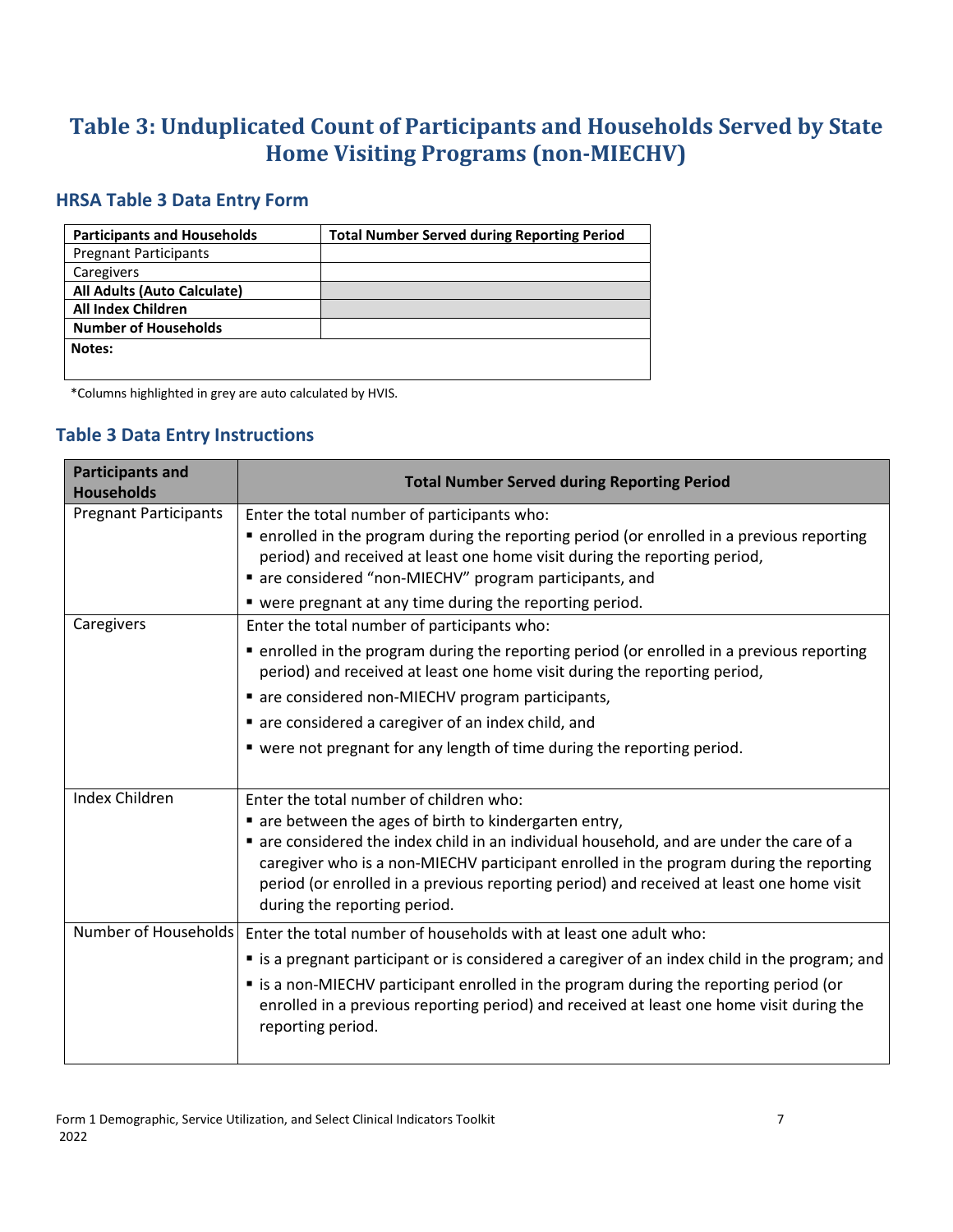## <span id="page-10-0"></span>**Table 3: Unduplicated Count of Participants and Households Served by State Home Visiting Programs (non-MIECHV)**

#### **HRSA Table 3 Data Entry Form**

| <b>Participants and Households</b> | <b>Total Number Served during Reporting Period</b> |
|------------------------------------|----------------------------------------------------|
| <b>Pregnant Participants</b>       |                                                    |
| Caregivers                         |                                                    |
| All Adults (Auto Calculate)        |                                                    |
| <b>All Index Children</b>          |                                                    |
| <b>Number of Households</b>        |                                                    |
| Notes:                             |                                                    |
|                                    |                                                    |

\*Columns highlighted in grey are auto calculated by HVIS.

#### **Table 3 Data Entry Instructions**

| <b>Total Number Served during Reporting Period</b>                                                                                                                                                                                                                              |
|---------------------------------------------------------------------------------------------------------------------------------------------------------------------------------------------------------------------------------------------------------------------------------|
| Enter the total number of participants who:<br>• enrolled in the program during the reporting period (or enrolled in a previous reporting<br>period) and received at least one home visit during the reporting period,<br>are considered "non-MIECHV" program participants, and |
| • were pregnant at any time during the reporting period.                                                                                                                                                                                                                        |
| Enter the total number of participants who:                                                                                                                                                                                                                                     |
| • enrolled in the program during the reporting period (or enrolled in a previous reporting<br>period) and received at least one home visit during the reporting period,                                                                                                         |
| are considered non-MIECHV program participants,                                                                                                                                                                                                                                 |
| are considered a caregiver of an index child, and                                                                                                                                                                                                                               |
| • were not pregnant for any length of time during the reporting period.                                                                                                                                                                                                         |
| Enter the total number of children who:<br>are between the ages of birth to kindergarten entry,<br>" are considered the index child in an individual household, and are under the care of a                                                                                     |
| caregiver who is a non-MIECHV participant enrolled in the program during the reporting<br>period (or enrolled in a previous reporting period) and received at least one home visit<br>during the reporting period.                                                              |
| Number of Households<br>Enter the total number of households with at least one adult who:                                                                                                                                                                                       |
| " is a pregnant participant or is considered a caregiver of an index child in the program; and                                                                                                                                                                                  |
| " is a non-MIECHV participant enrolled in the program during the reporting period (or<br>enrolled in a previous reporting period) and received at least one home visit during the<br>reporting period.                                                                          |
|                                                                                                                                                                                                                                                                                 |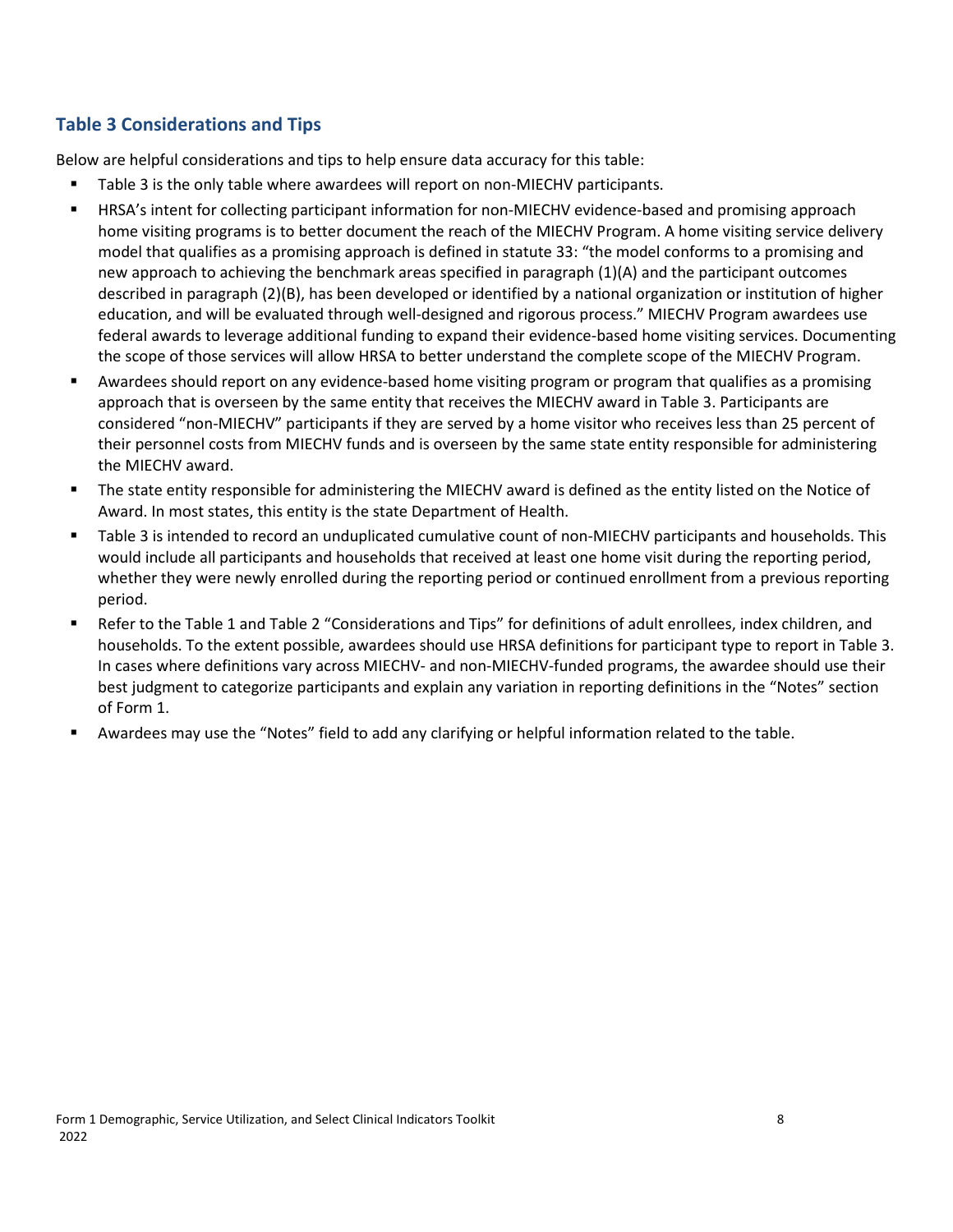#### **Table 3 Considerations and Tips**

- Table 3 is the only table where awardees will report on non-MIECHV participants.
- HRSA's intent for collecting participant information for non-MIECHV evidence-based and promising approach home visiting programs is to better document the reach of the MIECHV Program. A home visiting service delivery model that qualifies as a promising approach is defined in statute 33: "the model conforms to a promising and new approach to achieving the benchmark areas specified in paragraph (1)(A) and the participant outcomes described in paragraph (2)(B), has been developed or identified by a national organization or institution of higher education, and will be evaluated through well-designed and rigorous process." MIECHV Program awardees use federal awards to leverage additional funding to expand their evidence-based home visiting services. Documenting the scope of those services will allow HRSA to better understand the complete scope of the MIECHV Program.
- Awardees should report on any evidence-based home visiting program or program that qualifies as a promising approach that is overseen by the same entity that receives the MIECHV award in Table 3. Participants are considered "non-MIECHV" participants if they are served by a home visitor who receives less than 25 percent of their personnel costs from MIECHV funds and is overseen by the same state entity responsible for administering the MIECHV award.
- The state entity responsible for administering the MIECHV award is defined as the entity listed on the Notice of Award. In most states, this entity is the state Department of Health.
- Table 3 is intended to record an unduplicated cumulative count of non-MIECHV participants and households. This would include all participants and households that received at least one home visit during the reporting period, whether they were newly enrolled during the reporting period or continued enrollment from a previous reporting period.
- Refer to the Table 1 and Table 2 "Considerations and Tips" for definitions of adult enrollees, index children, and households. To the extent possible, awardees should use HRSA definitions for participant type to report in Table 3. In cases where definitions vary across MIECHV- and non-MIECHV-funded programs, the awardee should use their best judgment to categorize participants and explain any variation in reporting definitions in the "Notes" section of Form 1.
- Awardees may use the "Notes" field to add any clarifying or helpful information related to the table.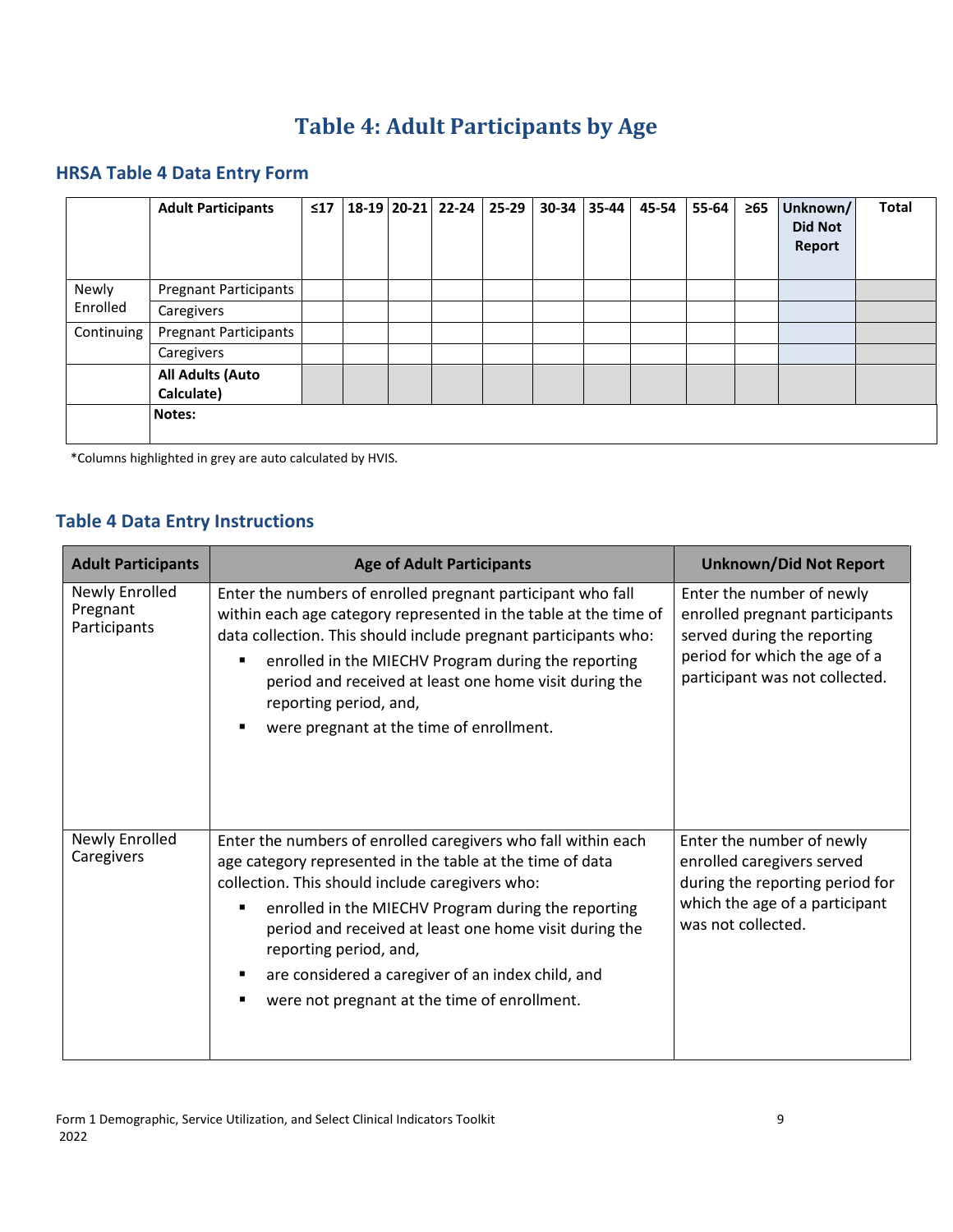# **Table 4: Adult Participants by Age**

## <span id="page-12-0"></span>**HRSA Table 4 Data Entry Form**

|            | <b>Adult Participants</b>             | $\leq 17$ |  | 18-19 20-21 22-24 25-29 | 30-34 35-44 | 45-54 | 55-64 | $\geq 65$ | Unknown/<br><b>Did Not</b><br>Report | Total |
|------------|---------------------------------------|-----------|--|-------------------------|-------------|-------|-------|-----------|--------------------------------------|-------|
| Newly      | <b>Pregnant Participants</b>          |           |  |                         |             |       |       |           |                                      |       |
| Enrolled   | Caregivers                            |           |  |                         |             |       |       |           |                                      |       |
| Continuing | <b>Pregnant Participants</b>          |           |  |                         |             |       |       |           |                                      |       |
|            | Caregivers                            |           |  |                         |             |       |       |           |                                      |       |
|            | <b>All Adults (Auto</b><br>Calculate) |           |  |                         |             |       |       |           |                                      |       |
|            | Notes:                                |           |  |                         |             |       |       |           |                                      |       |

\*Columns highlighted in grey are auto calculated by HVIS.

#### **Table 4 Data Entry Instructions**

| <b>Adult Participants</b>                  | <b>Age of Adult Participants</b>                                                                                                                                                                                                                                                                                                                                                                                              | <b>Unknown/Did Not Report</b>                                                                                                                                 |
|--------------------------------------------|-------------------------------------------------------------------------------------------------------------------------------------------------------------------------------------------------------------------------------------------------------------------------------------------------------------------------------------------------------------------------------------------------------------------------------|---------------------------------------------------------------------------------------------------------------------------------------------------------------|
| Newly Enrolled<br>Pregnant<br>Participants | Enter the numbers of enrolled pregnant participant who fall<br>within each age category represented in the table at the time of<br>data collection. This should include pregnant participants who:<br>enrolled in the MIECHV Program during the reporting<br>period and received at least one home visit during the<br>reporting period, and,<br>were pregnant at the time of enrollment.                                     | Enter the number of newly<br>enrolled pregnant participants<br>served during the reporting<br>period for which the age of a<br>participant was not collected. |
| Newly Enrolled<br>Caregivers               | Enter the numbers of enrolled caregivers who fall within each<br>age category represented in the table at the time of data<br>collection. This should include caregivers who:<br>enrolled in the MIECHV Program during the reporting<br>period and received at least one home visit during the<br>reporting period, and,<br>are considered a caregiver of an index child, and<br>were not pregnant at the time of enrollment. | Enter the number of newly<br>enrolled caregivers served<br>during the reporting period for<br>which the age of a participant<br>was not collected.            |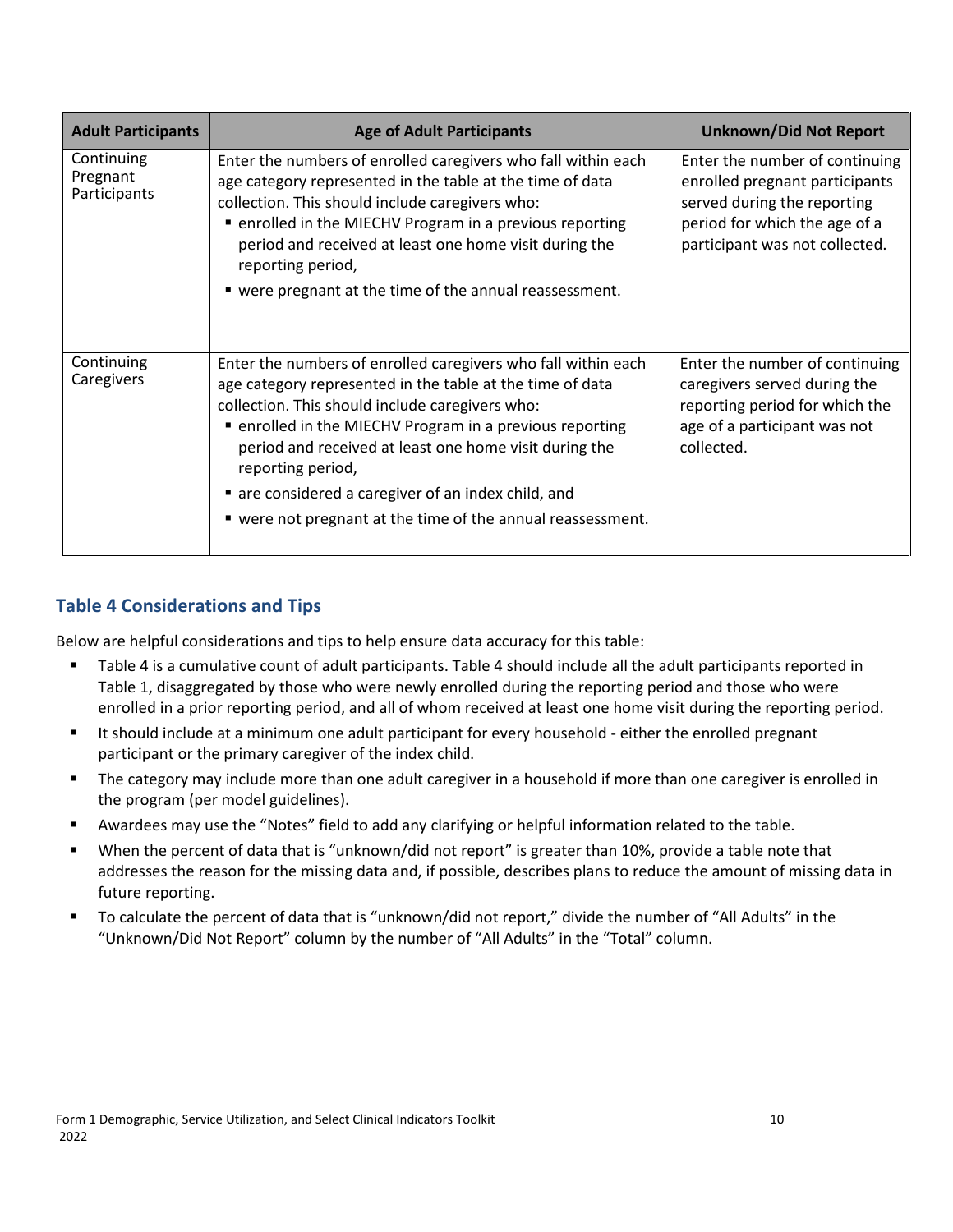| <b>Adult Participants</b>              | <b>Age of Adult Participants</b>                                                                                                                                                                                                                                                                                                                                                                                                             | <b>Unknown/Did Not Report</b>                                                                                                                                      |
|----------------------------------------|----------------------------------------------------------------------------------------------------------------------------------------------------------------------------------------------------------------------------------------------------------------------------------------------------------------------------------------------------------------------------------------------------------------------------------------------|--------------------------------------------------------------------------------------------------------------------------------------------------------------------|
| Continuing<br>Pregnant<br>Participants | Enter the numbers of enrolled caregivers who fall within each<br>age category represented in the table at the time of data<br>collection. This should include caregivers who:<br>■ enrolled in the MIECHV Program in a previous reporting<br>period and received at least one home visit during the<br>reporting period,<br>■ were pregnant at the time of the annual reassessment.                                                          | Enter the number of continuing<br>enrolled pregnant participants<br>served during the reporting<br>period for which the age of a<br>participant was not collected. |
| Continuing<br>Caregivers               | Enter the numbers of enrolled caregivers who fall within each<br>age category represented in the table at the time of data<br>collection. This should include caregivers who:<br>■ enrolled in the MIECHV Program in a previous reporting<br>period and received at least one home visit during the<br>reporting period,<br>are considered a caregiver of an index child, and<br>■ were not pregnant at the time of the annual reassessment. | Enter the number of continuing<br>caregivers served during the<br>reporting period for which the<br>age of a participant was not<br>collected.                     |

#### **Table 4 Considerations and Tips**

- Table 4 is a cumulative count of adult participants. Table 4 should include all the adult participants reported in Table 1, disaggregated by those who were newly enrolled during the reporting period and those who were enrolled in a prior reporting period, and all of whom received at least one home visit during the reporting period.
- It should include at a minimum one adult participant for every household either the enrolled pregnant participant or the primary caregiver of the index child.
- **The category may include more than one adult caregiver in a household if more than one caregiver is enrolled in** the program (per model guidelines).
- Awardees may use the "Notes" field to add any clarifying or helpful information related to the table.
- When the percent of data that is "unknown/did not report" is greater than 10%, provide a table note that addresses the reason for the missing data and, if possible, describes plans to reduce the amount of missing data in future reporting.
- To calculate the percent of data that is "unknown/did not report," divide the number of "All Adults" in the "Unknown/Did Not Report" column by the number of "All Adults" in the "Total" column.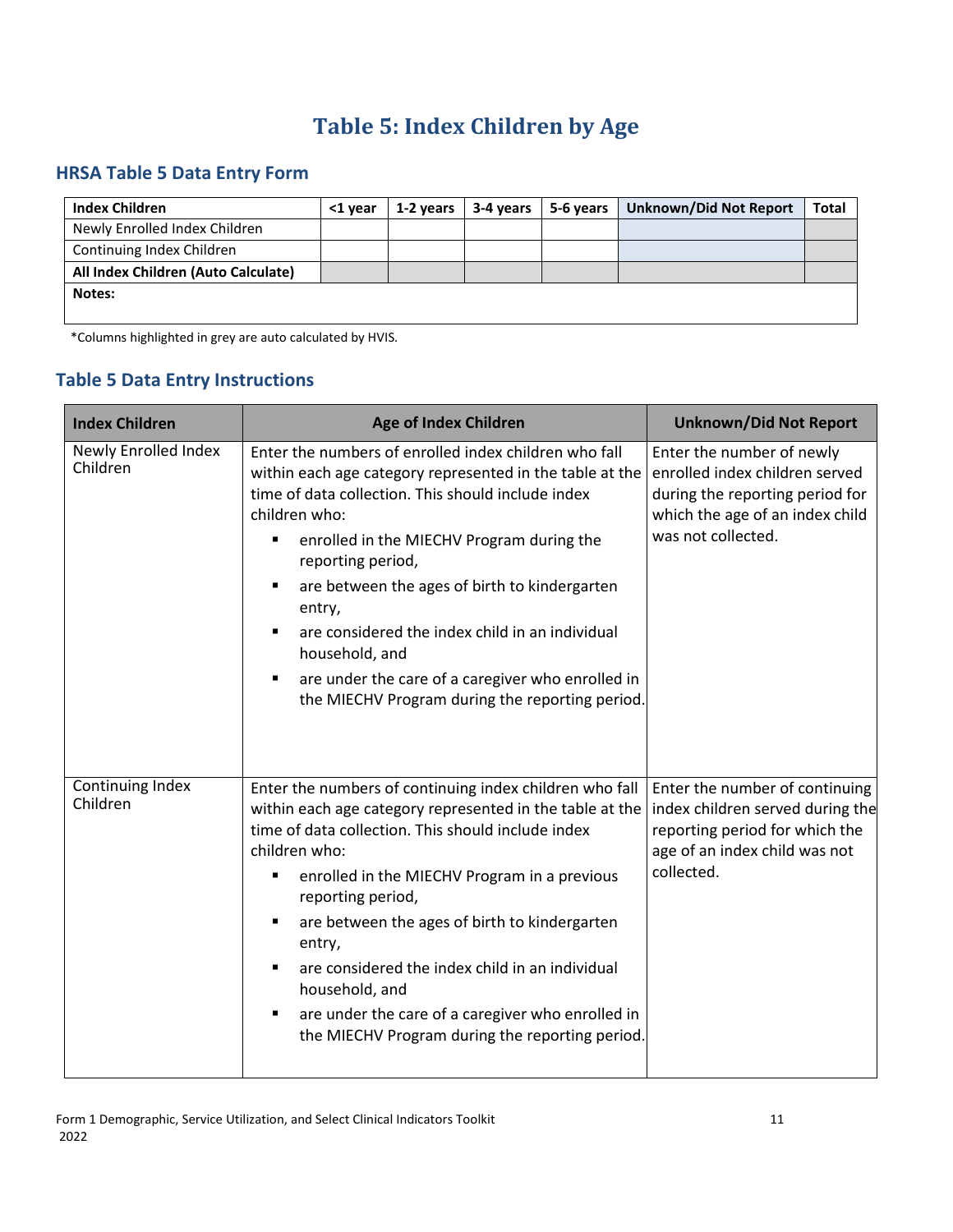# **Table 5: Index Children by Age**

## <span id="page-14-0"></span>**HRSA Table 5 Data Entry Form**

| <b>Index Children</b>               | <1 year | 1-2 years | 3-4 years | 5-6 years | <b>Unknown/Did Not Report</b> | <b>Total</b> |
|-------------------------------------|---------|-----------|-----------|-----------|-------------------------------|--------------|
| Newly Enrolled Index Children       |         |           |           |           |                               |              |
| Continuing Index Children           |         |           |           |           |                               |              |
| All Index Children (Auto Calculate) |         |           |           |           |                               |              |
| Notes:                              |         |           |           |           |                               |              |
|                                     |         |           |           |           |                               |              |

\*Columns highlighted in grey are auto calculated by HVIS.

## **Table 5 Data Entry Instructions**

| <b>Index Children</b>            | <b>Age of Index Children</b>                                                                                                                                                                                                                                                                                                                                                                                                                                                                                                | <b>Unknown/Did Not Report</b>                                                                                                                           |
|----------------------------------|-----------------------------------------------------------------------------------------------------------------------------------------------------------------------------------------------------------------------------------------------------------------------------------------------------------------------------------------------------------------------------------------------------------------------------------------------------------------------------------------------------------------------------|---------------------------------------------------------------------------------------------------------------------------------------------------------|
| Newly Enrolled Index<br>Children | Enter the numbers of enrolled index children who fall<br>within each age category represented in the table at the<br>time of data collection. This should include index<br>children who:<br>enrolled in the MIECHV Program during the<br>٠<br>reporting period,<br>are between the ages of birth to kindergarten<br>٠<br>entry,<br>are considered the index child in an individual<br>٠<br>household, and<br>are under the care of a caregiver who enrolled in<br>٠<br>the MIECHV Program during the reporting period.      | Enter the number of newly<br>enrolled index children served<br>during the reporting period for<br>which the age of an index child<br>was not collected. |
| Continuing Index<br>Children     | Enter the numbers of continuing index children who fall<br>within each age category represented in the table at the<br>time of data collection. This should include index<br>children who:<br>enrolled in the MIECHV Program in a previous<br>٠<br>reporting period,<br>are between the ages of birth to kindergarten<br>٠<br>entry,<br>are considered the index child in an individual<br>٠<br>household, and<br>are under the care of a caregiver who enrolled in<br>٠<br>the MIECHV Program during the reporting period. | Enter the number of continuing<br>index children served during the<br>reporting period for which the<br>age of an index child was not<br>collected.     |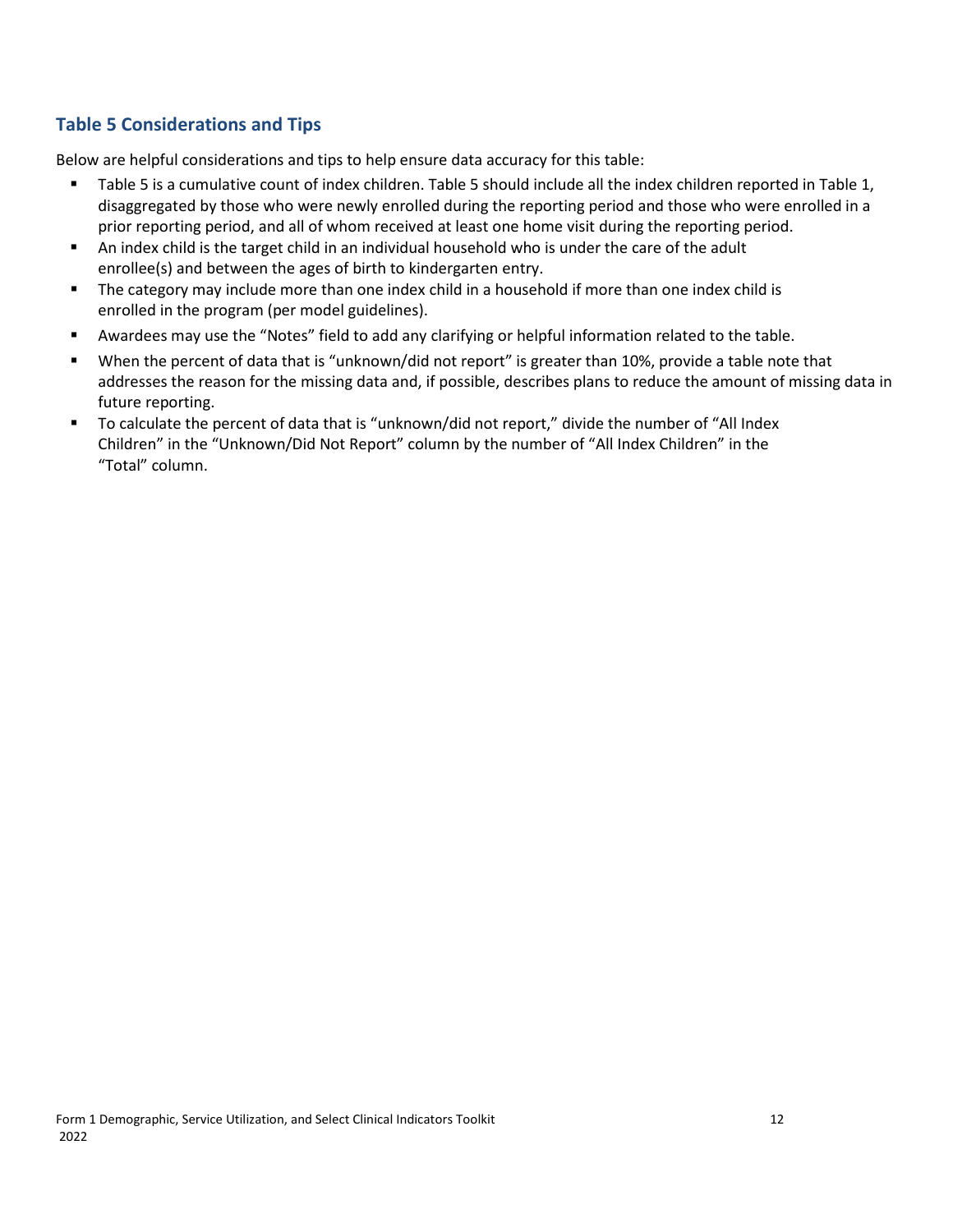#### **Table 5 Considerations and Tips**

- Table 5 is a cumulative count of index children. Table 5 should include all the index children reported in Table 1, disaggregated by those who were newly enrolled during the reporting period and those who were enrolled in a prior reporting period, and all of whom received at least one home visit during the reporting period.
- An index child is the target child in an individual household who is under the care of the adult enrollee(s) and between the ages of birth to kindergarten entry.
- **The category may include more than one index child in a household if more than one index child is** enrolled in the program (per model guidelines).
- Awardees may use the "Notes" field to add any clarifying or helpful information related to the table.
- When the percent of data that is "unknown/did not report" is greater than 10%, provide a table note that addresses the reason for the missing data and, if possible, describes plans to reduce the amount of missing data in future reporting.
- To calculate the percent of data that is "unknown/did not report," divide the number of "All Index Children" in the "Unknown/Did Not Report" column by the number of "All Index Children" in the "Total" column.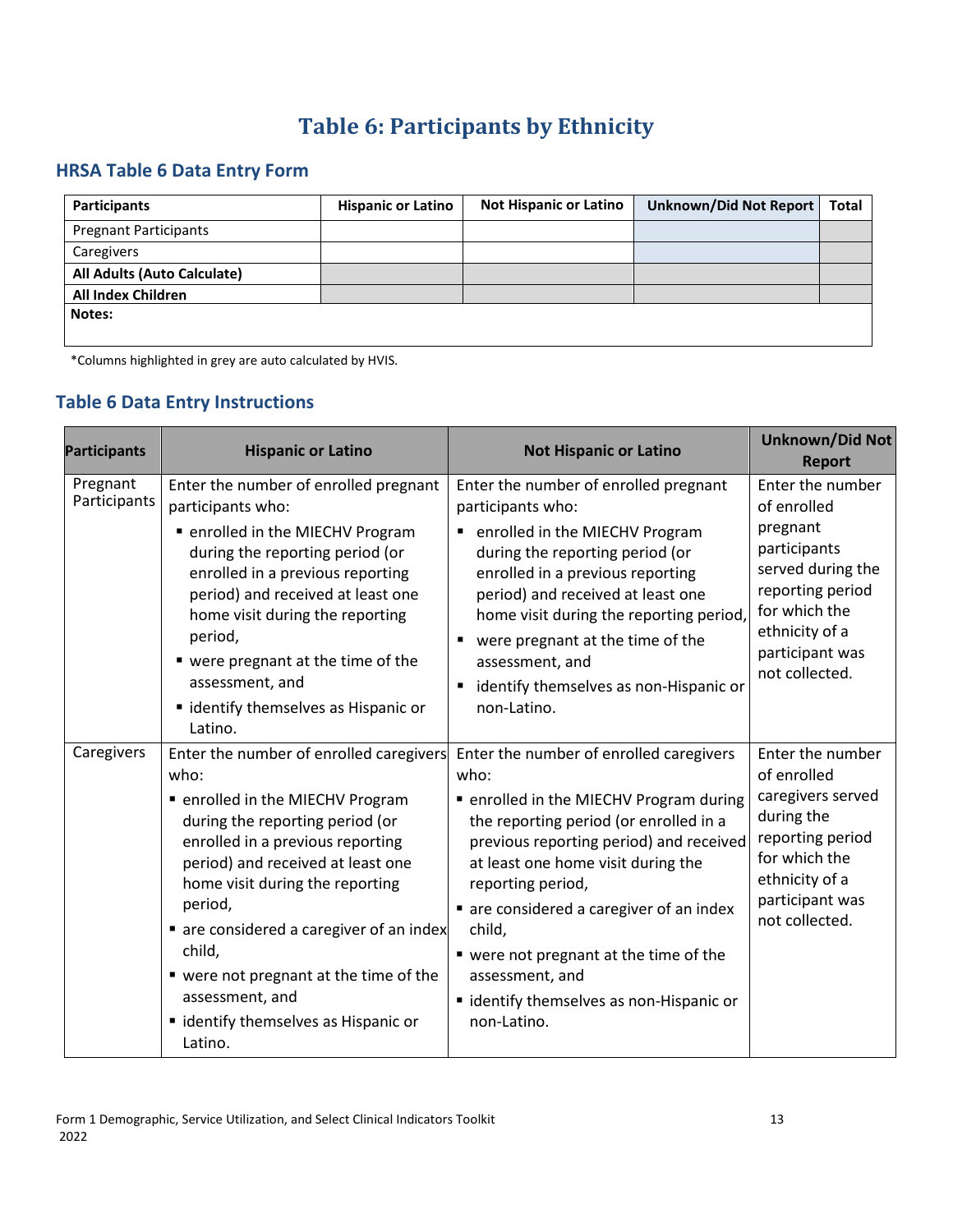# **Table 6: Participants by Ethnicity**

#### <span id="page-16-0"></span>**HRSA Table 6 Data Entry Form**

| <b>Participants</b>          | <b>Hispanic or Latino</b> | <b>Not Hispanic or Latino</b> | <b>Unknown/Did Not Report</b> | Total |
|------------------------------|---------------------------|-------------------------------|-------------------------------|-------|
| <b>Pregnant Participants</b> |                           |                               |                               |       |
| Caregivers                   |                           |                               |                               |       |
| All Adults (Auto Calculate)  |                           |                               |                               |       |
| <b>All Index Children</b>    |                           |                               |                               |       |
| Notes:                       |                           |                               |                               |       |
|                              |                           |                               |                               |       |

\*Columns highlighted in grey are auto calculated by HVIS.

#### **Table 6 Data Entry Instructions**

| <b>Participants</b>      | <b>Hispanic or Latino</b>                                                                                                                                                                                                                                                                                                                                                                                           | <b>Not Hispanic or Latino</b>                                                                                                                                                                                                                                                                                                                                                                                          | <b>Unknown/Did Not</b><br><b>Report</b>                                                                                                                                      |
|--------------------------|---------------------------------------------------------------------------------------------------------------------------------------------------------------------------------------------------------------------------------------------------------------------------------------------------------------------------------------------------------------------------------------------------------------------|------------------------------------------------------------------------------------------------------------------------------------------------------------------------------------------------------------------------------------------------------------------------------------------------------------------------------------------------------------------------------------------------------------------------|------------------------------------------------------------------------------------------------------------------------------------------------------------------------------|
| Pregnant<br>Participants | Enter the number of enrolled pregnant<br>participants who:<br>• enrolled in the MIECHV Program<br>during the reporting period (or<br>enrolled in a previous reporting<br>period) and received at least one<br>home visit during the reporting<br>period,<br>■ were pregnant at the time of the<br>assessment, and<br>• identify themselves as Hispanic or<br>Latino.                                                | Enter the number of enrolled pregnant<br>participants who:<br>enrolled in the MIECHV Program<br>during the reporting period (or<br>enrolled in a previous reporting<br>period) and received at least one<br>home visit during the reporting period,<br>were pregnant at the time of the<br>assessment, and<br>identify themselves as non-Hispanic or<br>non-Latino.                                                    | Enter the number<br>of enrolled<br>pregnant<br>participants<br>served during the<br>reporting period<br>for which the<br>ethnicity of a<br>participant was<br>not collected. |
| Caregivers               | Enter the number of enrolled caregivers<br>who:<br>■ enrolled in the MIECHV Program<br>during the reporting period (or<br>enrolled in a previous reporting<br>period) and received at least one<br>home visit during the reporting<br>period,<br>• are considered a caregiver of an index<br>child,<br>■ were not pregnant at the time of the<br>assessment, and<br>" identify themselves as Hispanic or<br>Latino. | Enter the number of enrolled caregivers<br>who:<br>■ enrolled in the MIECHV Program during<br>the reporting period (or enrolled in a<br>previous reporting period) and received<br>at least one home visit during the<br>reporting period,<br>are considered a caregiver of an index<br>child,<br>■ were not pregnant at the time of the<br>assessment, and<br>■ identify themselves as non-Hispanic or<br>non-Latino. | Enter the number<br>of enrolled<br>caregivers served<br>during the<br>reporting period<br>for which the<br>ethnicity of a<br>participant was<br>not collected.               |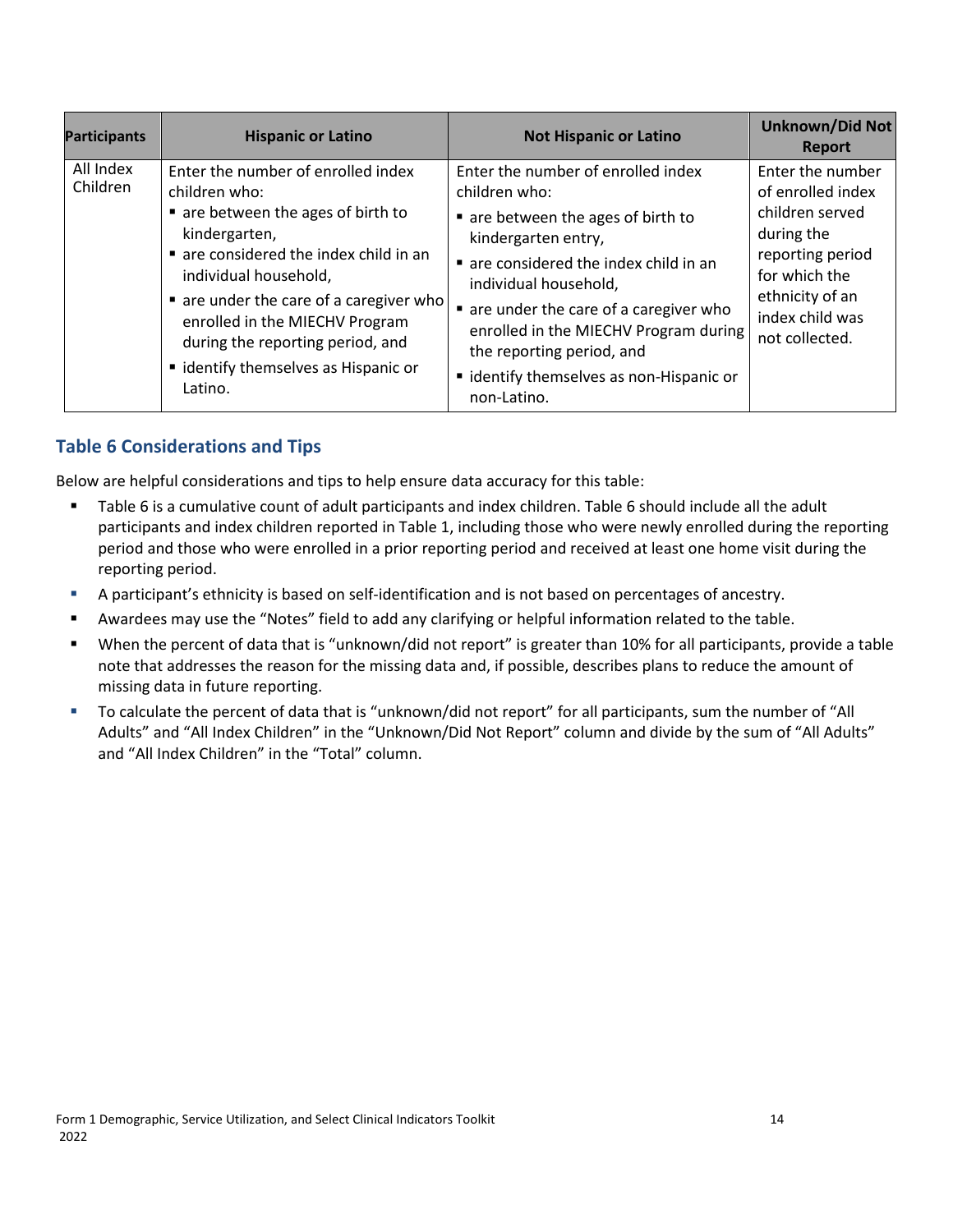| <b>Participants</b>   | <b>Hispanic or Latino</b>                                                                                                                                                                                                                                                                                                                       | <b>Not Hispanic or Latino</b>                                                                                                                                                                                                                                                                                                                                 | <b>Unknown/Did Not</b><br><b>Report</b>                                                                                                                             |
|-----------------------|-------------------------------------------------------------------------------------------------------------------------------------------------------------------------------------------------------------------------------------------------------------------------------------------------------------------------------------------------|---------------------------------------------------------------------------------------------------------------------------------------------------------------------------------------------------------------------------------------------------------------------------------------------------------------------------------------------------------------|---------------------------------------------------------------------------------------------------------------------------------------------------------------------|
| All Index<br>Children | Enter the number of enrolled index<br>children who:<br>■ are between the ages of birth to<br>kindergarten,<br>are considered the index child in an<br>individual household,<br>■ are under the care of a caregiver who<br>enrolled in the MIECHV Program<br>during the reporting period, and<br>" identify themselves as Hispanic or<br>Latino. | Enter the number of enrolled index<br>children who:<br>■ are between the ages of birth to<br>kindergarten entry,<br>are considered the index child in an<br>individual household,<br>■ are under the care of a caregiver who<br>enrolled in the MIECHV Program during<br>the reporting period, and<br>" identify themselves as non-Hispanic or<br>non-Latino. | Enter the number<br>of enrolled index<br>children served<br>during the<br>reporting period<br>for which the<br>ethnicity of an<br>index child was<br>not collected. |

#### **Table 6 Considerations and Tips**

- Table 6 is a cumulative count of adult participants and index children. Table 6 should include all the adult participants and index children reported in Table 1, including those who were newly enrolled during the reporting period and those who were enrolled in a prior reporting period and received at least one home visit during the reporting period.
- A participant's ethnicity is based on self-identification and is not based on percentages of ancestry.
- Awardees may use the "Notes" field to add any clarifying or helpful information related to the table.
- When the percent of data that is "unknown/did not report" is greater than 10% for all participants, provide a table note that addresses the reason for the missing data and, if possible, describes plans to reduce the amount of missing data in future reporting.
- To calculate the percent of data that is "unknown/did not report" for all participants, sum the number of "All Adults" and "All Index Children" in the "Unknown/Did Not Report" column and divide by the sum of "All Adults" and "All Index Children" in the "Total" column.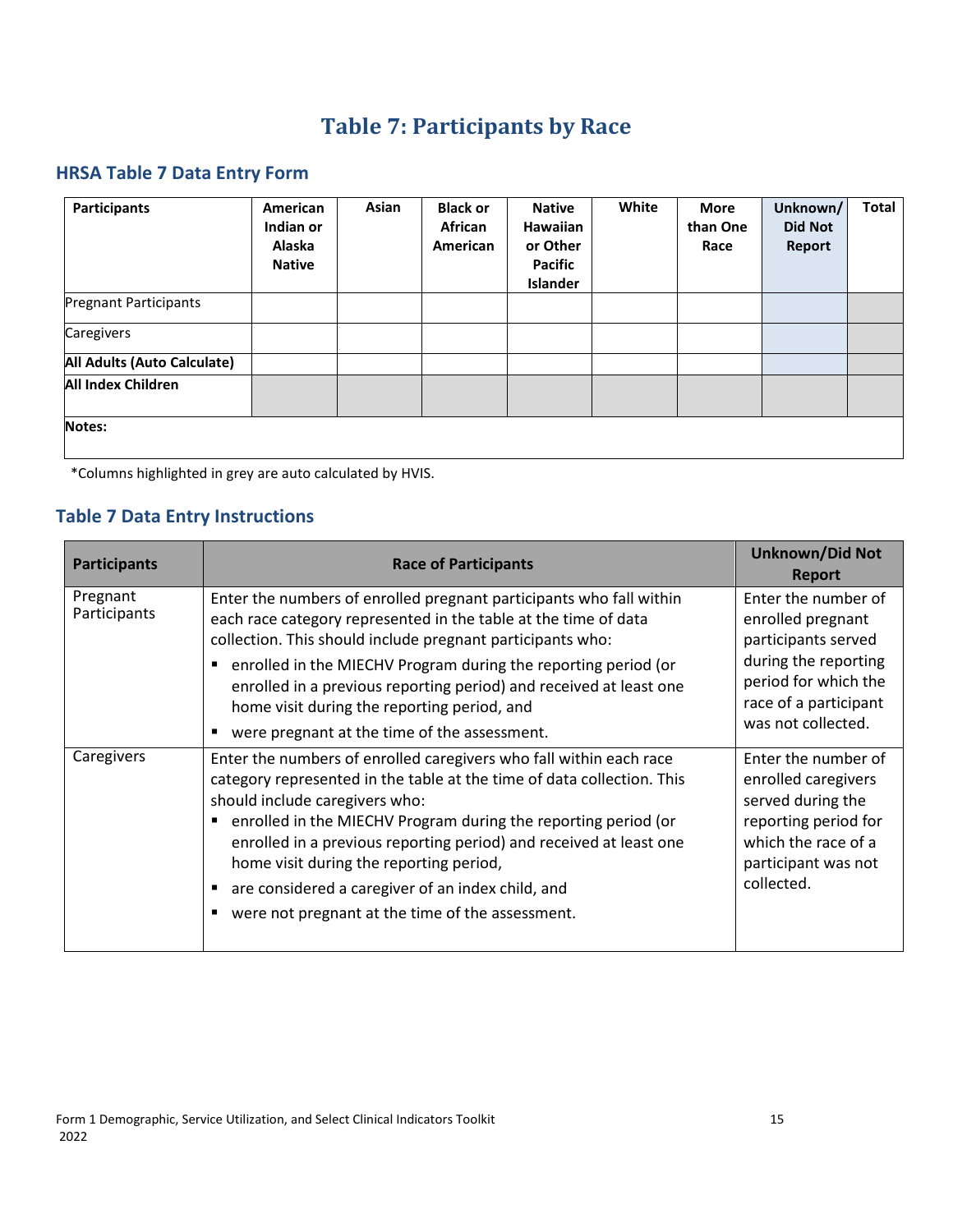# **Table 7: Participants by Race**

#### <span id="page-18-0"></span>**HRSA Table 7 Data Entry Form**

| <b>Participants</b>          | American<br>Indian or<br><b>Alaska</b><br><b>Native</b> | Asian | <b>Black or</b><br>African<br>American | <b>Native</b><br><b>Hawaiian</b><br>or Other<br>Pacific<br>Islander | White | <b>More</b><br>than One<br>Race | Unknown/<br><b>Did Not</b><br>Report | <b>Total</b> |
|------------------------------|---------------------------------------------------------|-------|----------------------------------------|---------------------------------------------------------------------|-------|---------------------------------|--------------------------------------|--------------|
| <b>Pregnant Participants</b> |                                                         |       |                                        |                                                                     |       |                                 |                                      |              |
| Caregivers                   |                                                         |       |                                        |                                                                     |       |                                 |                                      |              |
| All Adults (Auto Calculate)  |                                                         |       |                                        |                                                                     |       |                                 |                                      |              |
| <b>All Index Children</b>    |                                                         |       |                                        |                                                                     |       |                                 |                                      |              |
| Notes:                       |                                                         |       |                                        |                                                                     |       |                                 |                                      |              |

\*Columns highlighted in grey are auto calculated by HVIS.

## **Table 7 Data Entry Instructions**

| <b>Participants</b>      | <b>Race of Participants</b>                                                                                                                                                                                                                                                                                                                                                                                                                                                          | <b>Unknown/Did Not</b><br><b>Report</b>                                                                                                                        |
|--------------------------|--------------------------------------------------------------------------------------------------------------------------------------------------------------------------------------------------------------------------------------------------------------------------------------------------------------------------------------------------------------------------------------------------------------------------------------------------------------------------------------|----------------------------------------------------------------------------------------------------------------------------------------------------------------|
| Pregnant<br>Participants | Enter the numbers of enrolled pregnant participants who fall within<br>each race category represented in the table at the time of data<br>collection. This should include pregnant participants who:<br>enrolled in the MIECHV Program during the reporting period (or<br>Ξ<br>enrolled in a previous reporting period) and received at least one<br>home visit during the reporting period, and<br>were pregnant at the time of the assessment.                                     | Enter the number of<br>enrolled pregnant<br>participants served<br>during the reporting<br>period for which the<br>race of a participant<br>was not collected. |
| Caregivers               | Enter the numbers of enrolled caregivers who fall within each race<br>category represented in the table at the time of data collection. This<br>should include caregivers who:<br>enrolled in the MIECHV Program during the reporting period (or<br>п<br>enrolled in a previous reporting period) and received at least one<br>home visit during the reporting period,<br>are considered a caregiver of an index child, and<br>were not pregnant at the time of the assessment.<br>п | Enter the number of<br>enrolled caregivers<br>served during the<br>reporting period for<br>which the race of a<br>participant was not<br>collected.            |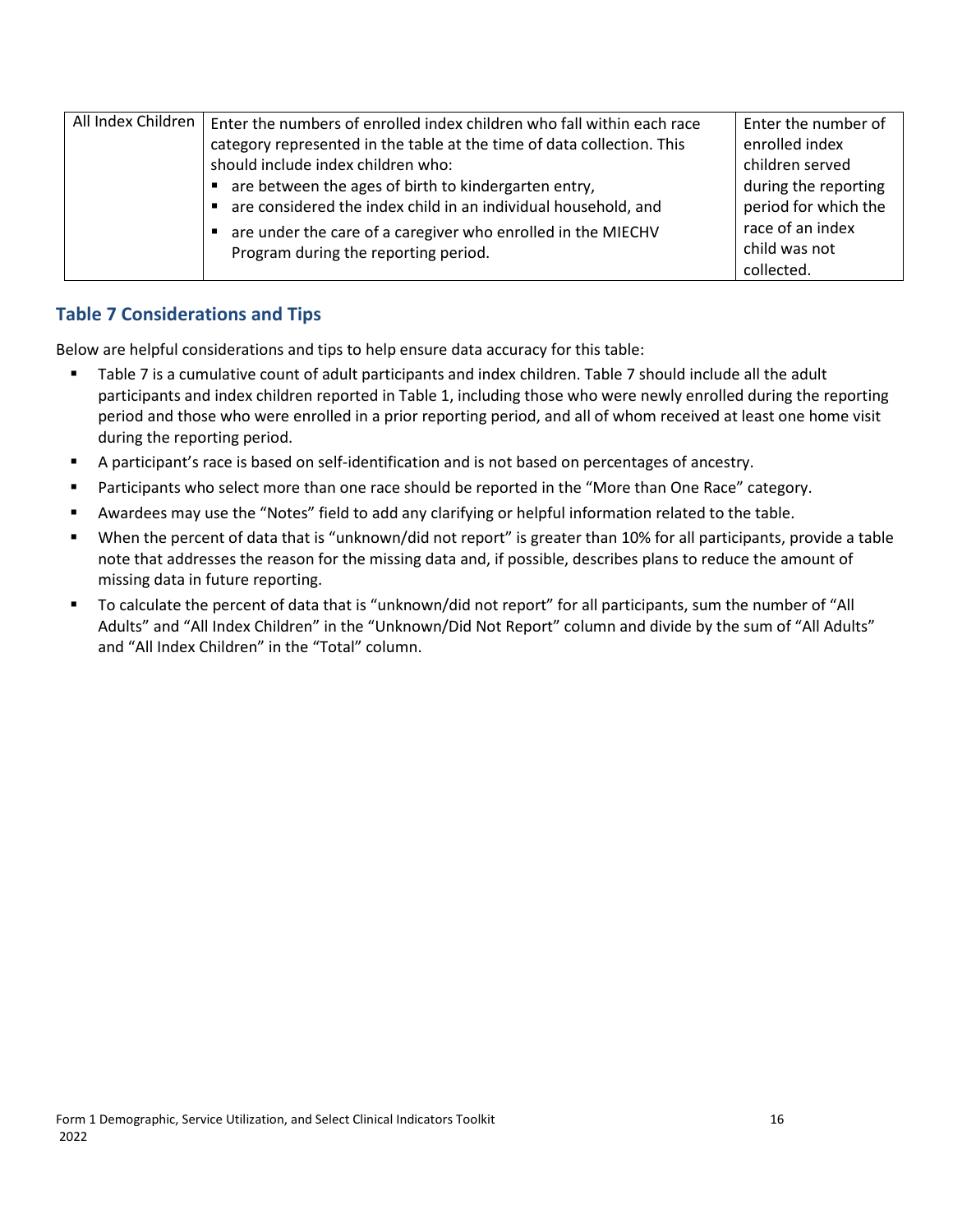| All Index Children | Enter the numbers of enrolled index children who fall within each race | Enter the number of  |
|--------------------|------------------------------------------------------------------------|----------------------|
|                    | category represented in the table at the time of data collection. This | enrolled index       |
|                    | should include index children who:                                     | children served      |
|                    | ■ are between the ages of birth to kindergarten entry,                 | during the reporting |
|                    | are considered the index child in an individual household, and         | period for which the |
|                    | are under the care of a caregiver who enrolled in the MIECHV           | race of an index     |
|                    | Program during the reporting period.                                   | child was not        |
|                    |                                                                        | collected.           |

#### **Table 7 Considerations and Tips**

- Table 7 is a cumulative count of adult participants and index children. Table 7 should include all the adult participants and index children reported in Table 1, including those who were newly enrolled during the reporting period and those who were enrolled in a prior reporting period, and all of whom received at least one home visit during the reporting period.
- A participant's race is based on self-identification and is not based on percentages of ancestry.
- **Participants who select more than one race should be reported in the "More than One Race" category.**
- Awardees may use the "Notes" field to add any clarifying or helpful information related to the table.
- When the percent of data that is "unknown/did not report" is greater than 10% for all participants, provide a table note that addresses the reason for the missing data and, if possible, describes plans to reduce the amount of missing data in future reporting.
- To calculate the percent of data that is "unknown/did not report" for all participants, sum the number of "All Adults" and "All Index Children" in the "Unknown/Did Not Report" column and divide by the sum of "All Adults" and "All Index Children" in the "Total" column.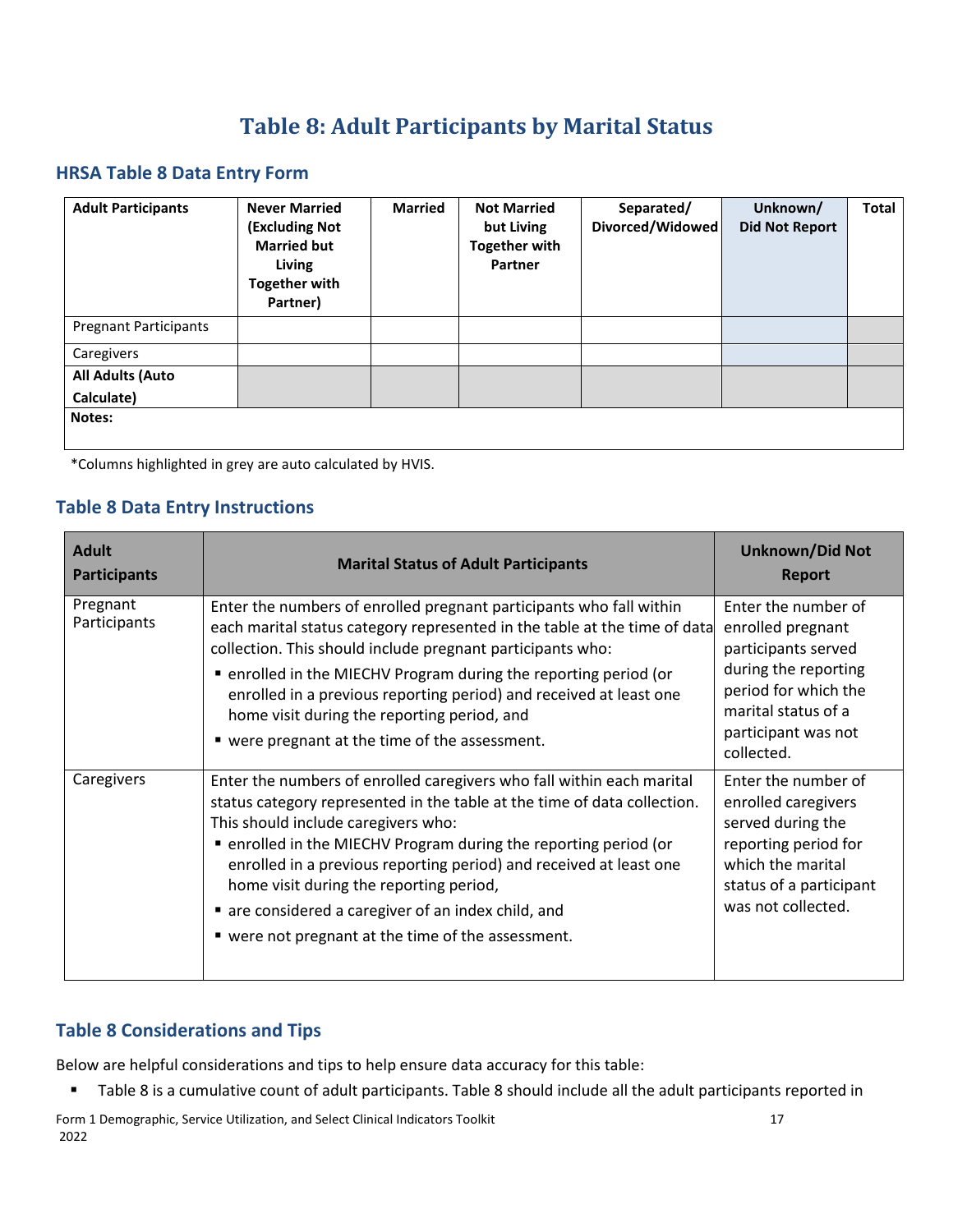## **Table 8: Adult Participants by Marital Status**

#### <span id="page-20-0"></span>**HRSA Table 8 Data Entry Form**

| <b>Adult Participants</b>    | <b>Never Married</b><br><b>(Excluding Not</b><br><b>Married but</b><br>Living<br><b>Together with</b><br>Partner) | <b>Married</b> | <b>Not Married</b><br>but Living<br><b>Together with</b><br>Partner | Separated/<br>Divorced/Widowed | Unknown/<br><b>Did Not Report</b> | <b>Total</b> |
|------------------------------|-------------------------------------------------------------------------------------------------------------------|----------------|---------------------------------------------------------------------|--------------------------------|-----------------------------------|--------------|
| <b>Pregnant Participants</b> |                                                                                                                   |                |                                                                     |                                |                                   |              |
| Caregivers                   |                                                                                                                   |                |                                                                     |                                |                                   |              |
| <b>All Adults (Auto</b>      |                                                                                                                   |                |                                                                     |                                |                                   |              |
| Calculate)                   |                                                                                                                   |                |                                                                     |                                |                                   |              |
| Notes:                       |                                                                                                                   |                |                                                                     |                                |                                   |              |

\*Columns highlighted in grey are auto calculated by HVIS.

#### **Table 8 Data Entry Instructions**

| <b>Adult</b><br><b>Participants</b> | <b>Marital Status of Adult Participants</b>                                                                                                                                                                                                                                                                                                                                                                                                                                              | <b>Unknown/Did Not</b><br><b>Report</b>                                                                                                                                     |
|-------------------------------------|------------------------------------------------------------------------------------------------------------------------------------------------------------------------------------------------------------------------------------------------------------------------------------------------------------------------------------------------------------------------------------------------------------------------------------------------------------------------------------------|-----------------------------------------------------------------------------------------------------------------------------------------------------------------------------|
| Pregnant<br>Participants            | Enter the numbers of enrolled pregnant participants who fall within<br>each marital status category represented in the table at the time of data<br>collection. This should include pregnant participants who:<br>• enrolled in the MIECHV Program during the reporting period (or<br>enrolled in a previous reporting period) and received at least one<br>home visit during the reporting period, and<br>" were pregnant at the time of the assessment.                                | Enter the number of<br>enrolled pregnant<br>participants served<br>during the reporting<br>period for which the<br>marital status of a<br>participant was not<br>collected. |
| Caregivers                          | Enter the numbers of enrolled caregivers who fall within each marital<br>status category represented in the table at the time of data collection.<br>This should include caregivers who:<br>• enrolled in the MIECHV Program during the reporting period (or<br>enrolled in a previous reporting period) and received at least one<br>home visit during the reporting period,<br>are considered a caregiver of an index child, and<br>■ were not pregnant at the time of the assessment. | Enter the number of<br>enrolled caregivers<br>served during the<br>reporting period for<br>which the marital<br>status of a participant<br>was not collected.               |

## **Table 8 Considerations and Tips**

Below are helpful considerations and tips to help ensure data accuracy for this table:

Table 8 is a cumulative count of adult participants. Table 8 should include all the adult participants reported in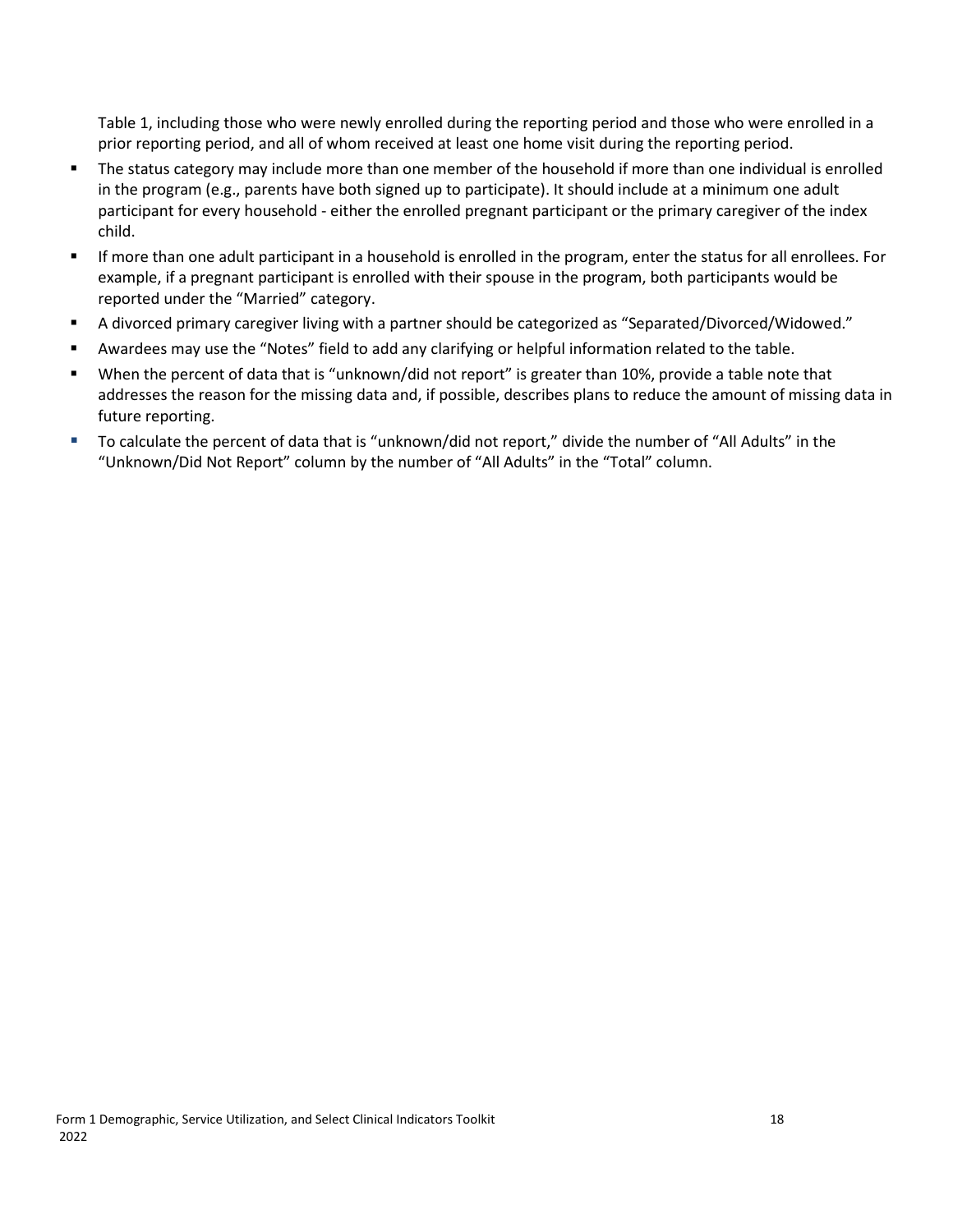Table 1, including those who were newly enrolled during the reporting period and those who were enrolled in a prior reporting period, and all of whom received at least one home visit during the reporting period.

- The status category may include more than one member of the household if more than one individual is enrolled in the program (e.g., parents have both signed up to participate). It should include at a minimum one adult participant for every household - either the enrolled pregnant participant or the primary caregiver of the index child.
- If more than one adult participant in a household is enrolled in the program, enter the status for all enrollees. For example, if a pregnant participant is enrolled with their spouse in the program, both participants would be reported under the "Married" category.
- A divorced primary caregiver living with a partner should be categorized as "Separated/Divorced/Widowed."
- Awardees may use the "Notes" field to add any clarifying or helpful information related to the table.
- When the percent of data that is "unknown/did not report" is greater than 10%, provide a table note that addresses the reason for the missing data and, if possible, describes plans to reduce the amount of missing data in future reporting.
- To calculate the percent of data that is "unknown/did not report," divide the number of "All Adults" in the "Unknown/Did Not Report" column by the number of "All Adults" in the "Total" column.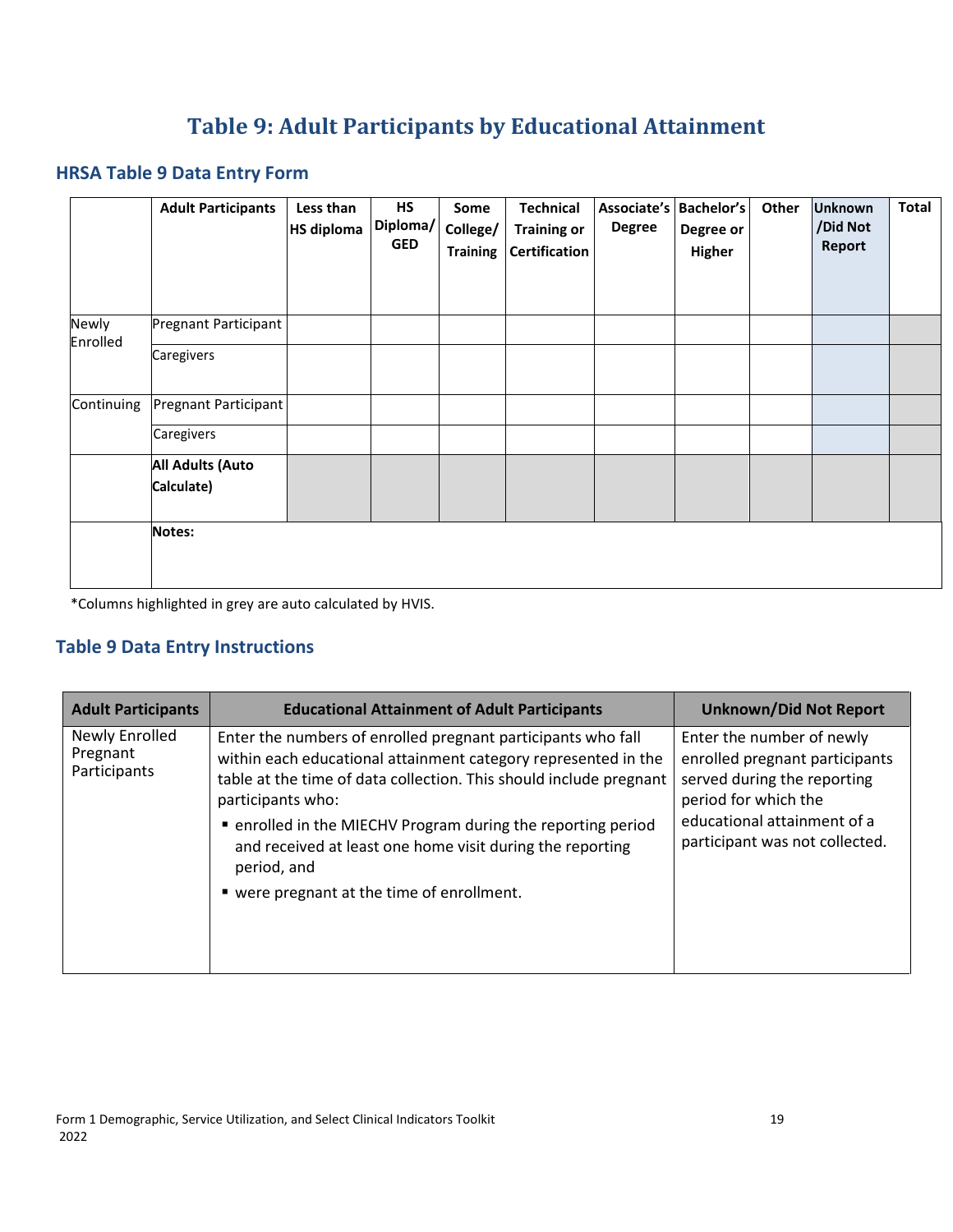# **Table 9: Adult Participants by Educational Attainment**

#### <span id="page-22-0"></span>**HRSA Table 9 Data Entry Form**

|                   | <b>Adult Participants</b>             | Less than<br><b>HS diploma</b> | HS<br>Diploma/<br><b>GED</b> | Some<br>College/<br><b>Training</b> | <b>Technical</b><br><b>Training or</b><br><b>Certification</b> | Associate's   Bachelor's  <br><b>Degree</b> | Degree or<br>Higher | Other | <b>Unknown</b><br>/Did Not<br>Report | Total |
|-------------------|---------------------------------------|--------------------------------|------------------------------|-------------------------------------|----------------------------------------------------------------|---------------------------------------------|---------------------|-------|--------------------------------------|-------|
| Newly<br>Enrolled | Pregnant Participant                  |                                |                              |                                     |                                                                |                                             |                     |       |                                      |       |
|                   | Caregivers                            |                                |                              |                                     |                                                                |                                             |                     |       |                                      |       |
| Continuing        | Pregnant Participant                  |                                |                              |                                     |                                                                |                                             |                     |       |                                      |       |
|                   | Caregivers                            |                                |                              |                                     |                                                                |                                             |                     |       |                                      |       |
|                   | <b>All Adults (Auto</b><br>Calculate) |                                |                              |                                     |                                                                |                                             |                     |       |                                      |       |
|                   | Notes:                                |                                |                              |                                     |                                                                |                                             |                     |       |                                      |       |

\*Columns highlighted in grey are auto calculated by HVIS.

#### **Table 9 Data Entry Instructions**

| <b>Adult Participants</b>                  | <b>Educational Attainment of Adult Participants</b>                                                                                                                                                                                                                                                                                                                                                                 | <b>Unknown/Did Not Report</b>                                                                                                                                                       |
|--------------------------------------------|---------------------------------------------------------------------------------------------------------------------------------------------------------------------------------------------------------------------------------------------------------------------------------------------------------------------------------------------------------------------------------------------------------------------|-------------------------------------------------------------------------------------------------------------------------------------------------------------------------------------|
| Newly Enrolled<br>Pregnant<br>Participants | Enter the numbers of enrolled pregnant participants who fall<br>within each educational attainment category represented in the<br>table at the time of data collection. This should include pregnant<br>participants who:<br>• enrolled in the MIECHV Program during the reporting period<br>and received at least one home visit during the reporting<br>period, and<br>■ were pregnant at the time of enrollment. | Enter the number of newly<br>enrolled pregnant participants<br>served during the reporting<br>period for which the<br>educational attainment of a<br>participant was not collected. |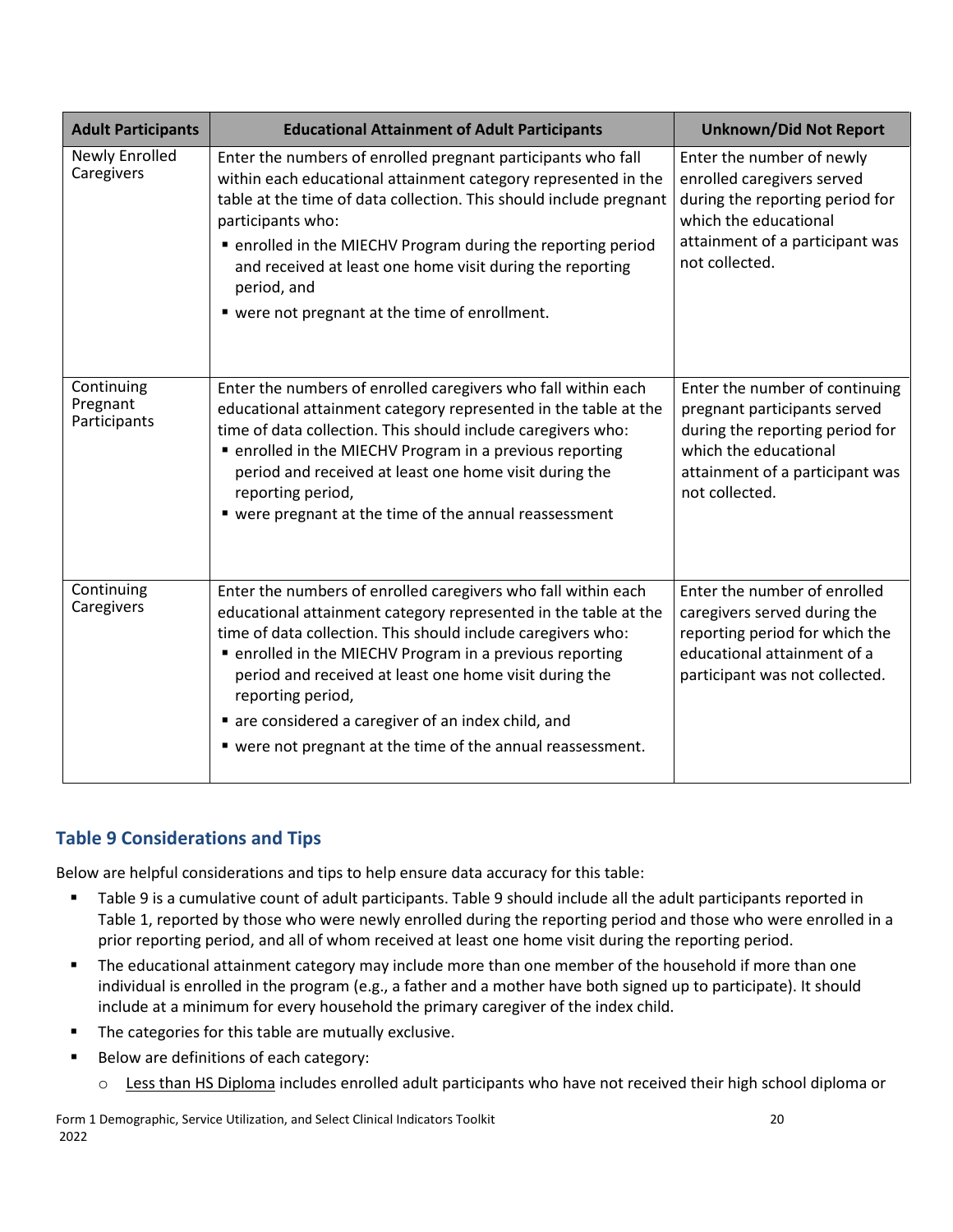| <b>Adult Participants</b>              | <b>Educational Attainment of Adult Participants</b>                                                                                                                                                                                                                                                                                                                                                                                                             | <b>Unknown/Did Not Report</b>                                                                                                                                                   |
|----------------------------------------|-----------------------------------------------------------------------------------------------------------------------------------------------------------------------------------------------------------------------------------------------------------------------------------------------------------------------------------------------------------------------------------------------------------------------------------------------------------------|---------------------------------------------------------------------------------------------------------------------------------------------------------------------------------|
| <b>Newly Enrolled</b><br>Caregivers    | Enter the numbers of enrolled pregnant participants who fall<br>within each educational attainment category represented in the<br>table at the time of data collection. This should include pregnant<br>participants who:<br>■ enrolled in the MIECHV Program during the reporting period<br>and received at least one home visit during the reporting<br>period, and<br>" were not pregnant at the time of enrollment.                                         | Enter the number of newly<br>enrolled caregivers served<br>during the reporting period for<br>which the educational<br>attainment of a participant was<br>not collected.        |
| Continuing<br>Pregnant<br>Participants | Enter the numbers of enrolled caregivers who fall within each<br>educational attainment category represented in the table at the<br>time of data collection. This should include caregivers who:<br>• enrolled in the MIECHV Program in a previous reporting<br>period and received at least one home visit during the<br>reporting period,<br>• were pregnant at the time of the annual reassessment                                                           | Enter the number of continuing<br>pregnant participants served<br>during the reporting period for<br>which the educational<br>attainment of a participant was<br>not collected. |
| Continuing<br>Caregivers               | Enter the numbers of enrolled caregivers who fall within each<br>educational attainment category represented in the table at the<br>time of data collection. This should include caregivers who:<br>■ enrolled in the MIECHV Program in a previous reporting<br>period and received at least one home visit during the<br>reporting period,<br>are considered a caregiver of an index child, and<br>" were not pregnant at the time of the annual reassessment. | Enter the number of enrolled<br>caregivers served during the<br>reporting period for which the<br>educational attainment of a<br>participant was not collected.                 |

#### **Table 9 Considerations and Tips**

Below are helpful considerations and tips to help ensure data accuracy for this table:

- Table 9 is a cumulative count of adult participants. Table 9 should include all the adult participants reported in Table 1, reported by those who were newly enrolled during the reporting period and those who were enrolled in a prior reporting period, and all of whom received at least one home visit during the reporting period.
- **The educational attainment category may include more than one member of the household if more than one** individual is enrolled in the program (e.g., a father and a mother have both signed up to participate). It should include at a minimum for every household the primary caregiver of the index child.
- **The categories for this table are mutually exclusive.**
- Below are definitions of each category:
	- o Less than HS Diploma includes enrolled adult participants who have not received their high school diploma or

Form 1 Demographic, Service Utilization, and Select Clinical Indicators Toolkit 20 2022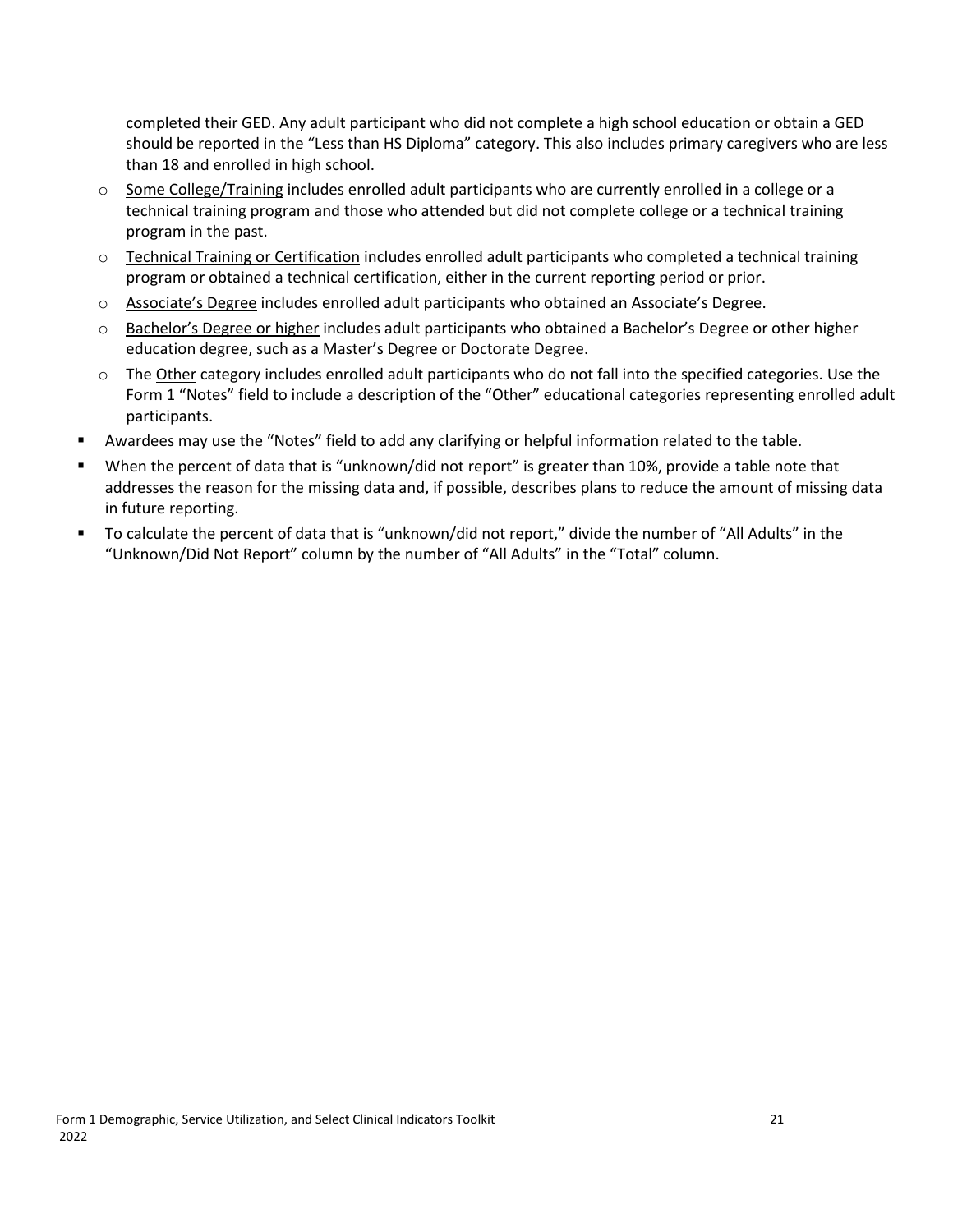completed their GED. Any adult participant who did not complete a high school education or obtain a GED should be reported in the "Less than HS Diploma" category. This also includes primary caregivers who are less than 18 and enrolled in high school.

- $\circ$  Some College/Training includes enrolled adult participants who are currently enrolled in a college or a technical training program and those who attended but did not complete college or a technical training program in the past.
- $\circ$  Technical Training or Certification includes enrolled adult participants who completed a technical training program or obtained a technical certification, either in the current reporting period or prior.
- o Associate's Degree includes enrolled adult participants who obtained an Associate's Degree.
- o Bachelor's Degree or higher includes adult participants who obtained a Bachelor's Degree or other higher education degree, such as a Master's Degree or Doctorate Degree.
- $\circ$  The Other category includes enrolled adult participants who do not fall into the specified categories. Use the Form 1 "Notes" field to include a description of the "Other" educational categories representing enrolled adult participants.
- Awardees may use the "Notes" field to add any clarifying or helpful information related to the table.
- When the percent of data that is "unknown/did not report" is greater than 10%, provide a table note that addresses the reason for the missing data and, if possible, describes plans to reduce the amount of missing data in future reporting.
- To calculate the percent of data that is "unknown/did not report," divide the number of "All Adults" in the "Unknown/Did Not Report" column by the number of "All Adults" in the "Total" column.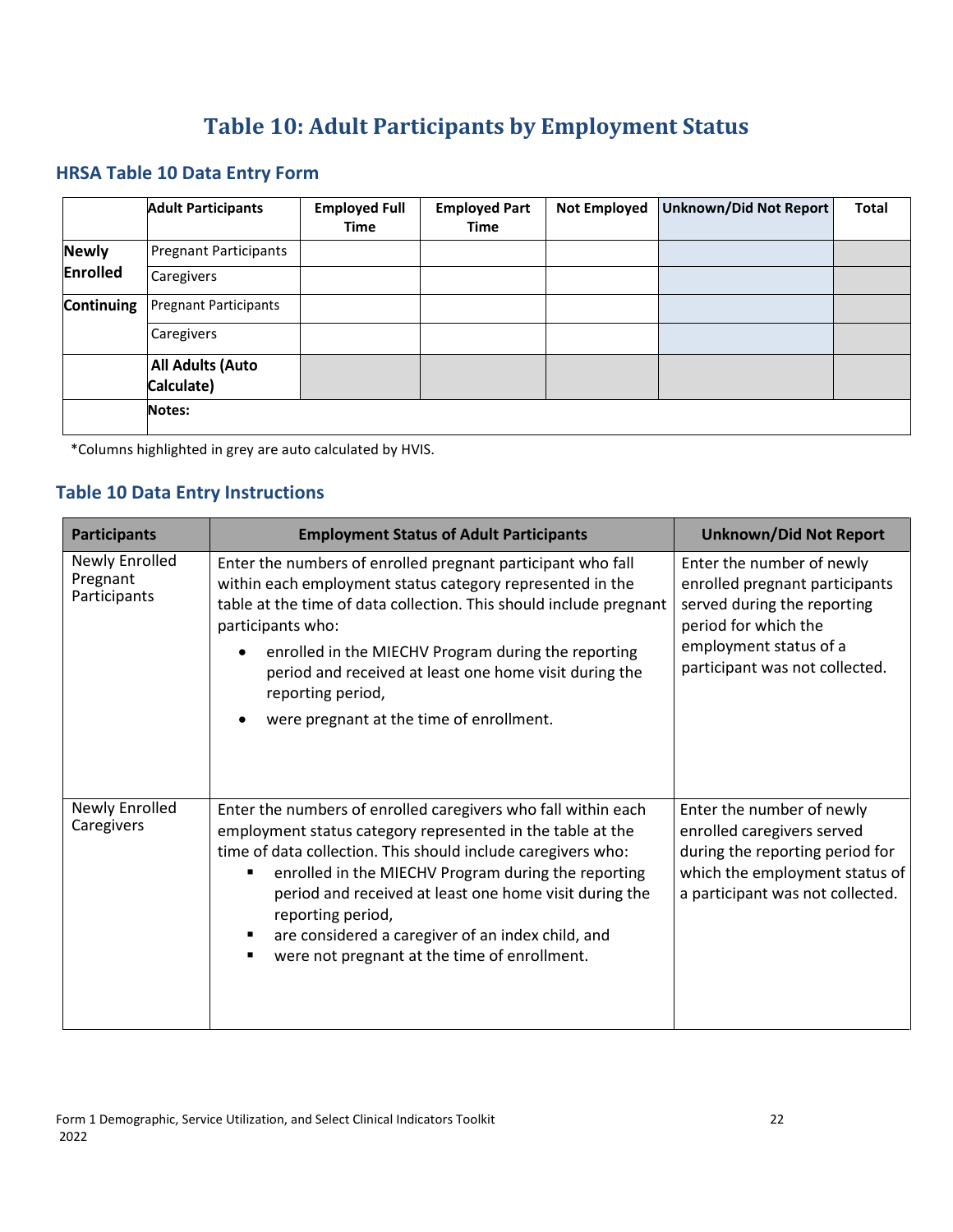# **Table 10: Adult Participants by Employment Status**

#### <span id="page-25-0"></span>**HRSA Table 10 Data Entry Form**

|                   | <b>Adult Participants</b>             | <b>Employed Full</b><br><b>Time</b> | <b>Employed Part</b><br><b>Time</b> | <b>Not Employed</b> | Unknown/Did Not Report | Total |
|-------------------|---------------------------------------|-------------------------------------|-------------------------------------|---------------------|------------------------|-------|
| <b>Newly</b>      | <b>Pregnant Participants</b>          |                                     |                                     |                     |                        |       |
| Enrolled          | Caregivers                            |                                     |                                     |                     |                        |       |
| <b>Continuing</b> | <b>Pregnant Participants</b>          |                                     |                                     |                     |                        |       |
|                   | Caregivers                            |                                     |                                     |                     |                        |       |
|                   | <b>All Adults (Auto</b><br>Calculate) |                                     |                                     |                     |                        |       |
|                   | Notes:                                |                                     |                                     |                     |                        |       |

\*Columns highlighted in grey are auto calculated by HVIS.

#### **Table 10 Data Entry Instructions**

| <b>Participants</b>                        | <b>Employment Status of Adult Participants</b>                                                                                                                                                                                                                                                                                                                                                                                                           | <b>Unknown/Did Not Report</b>                                                                                                                                                  |
|--------------------------------------------|----------------------------------------------------------------------------------------------------------------------------------------------------------------------------------------------------------------------------------------------------------------------------------------------------------------------------------------------------------------------------------------------------------------------------------------------------------|--------------------------------------------------------------------------------------------------------------------------------------------------------------------------------|
| Newly Enrolled<br>Pregnant<br>Participants | Enter the numbers of enrolled pregnant participant who fall<br>within each employment status category represented in the<br>table at the time of data collection. This should include pregnant<br>participants who:<br>enrolled in the MIECHV Program during the reporting<br>period and received at least one home visit during the<br>reporting period,<br>were pregnant at the time of enrollment.                                                    | Enter the number of newly<br>enrolled pregnant participants<br>served during the reporting<br>period for which the<br>employment status of a<br>participant was not collected. |
| Newly Enrolled<br>Caregivers               | Enter the numbers of enrolled caregivers who fall within each<br>employment status category represented in the table at the<br>time of data collection. This should include caregivers who:<br>enrolled in the MIECHV Program during the reporting<br>period and received at least one home visit during the<br>reporting period,<br>are considered a caregiver of an index child, and<br>were not pregnant at the time of enrollment.<br>$\blacksquare$ | Enter the number of newly<br>enrolled caregivers served<br>during the reporting period for<br>which the employment status of<br>a participant was not collected.               |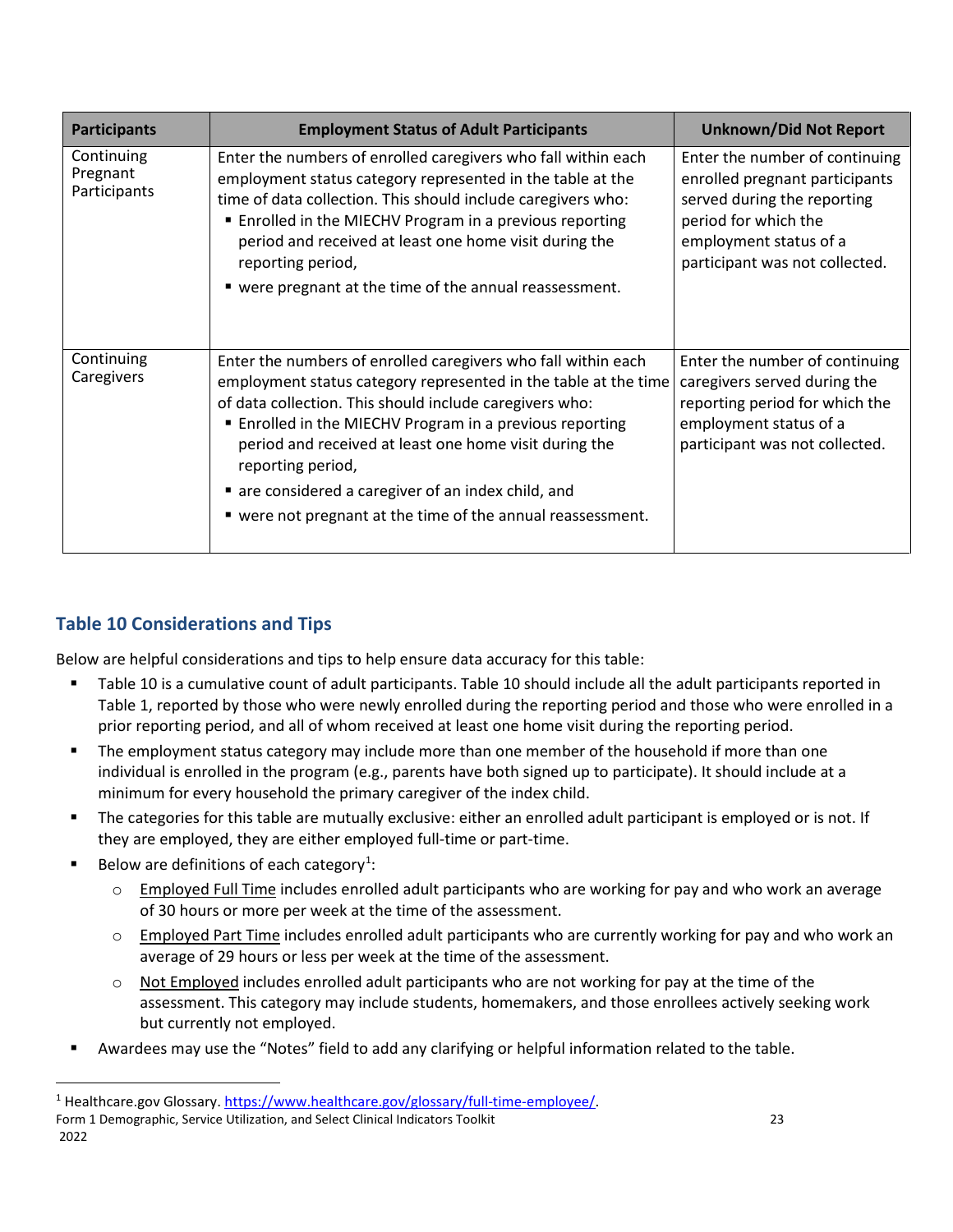| <b>Participants</b>                    | <b>Employment Status of Adult Participants</b>                                                                                                                                                                                                                                                                                                                                                                                                             | <b>Unknown/Did Not Report</b>                                                                                                                                                       |
|----------------------------------------|------------------------------------------------------------------------------------------------------------------------------------------------------------------------------------------------------------------------------------------------------------------------------------------------------------------------------------------------------------------------------------------------------------------------------------------------------------|-------------------------------------------------------------------------------------------------------------------------------------------------------------------------------------|
| Continuing<br>Pregnant<br>Participants | Enter the numbers of enrolled caregivers who fall within each<br>employment status category represented in the table at the<br>time of data collection. This should include caregivers who:<br>■ Enrolled in the MIECHV Program in a previous reporting<br>period and received at least one home visit during the<br>reporting period,<br>■ were pregnant at the time of the annual reassessment.                                                          | Enter the number of continuing<br>enrolled pregnant participants<br>served during the reporting<br>period for which the<br>employment status of a<br>participant was not collected. |
| Continuing<br>Caregivers               | Enter the numbers of enrolled caregivers who fall within each<br>employment status category represented in the table at the time<br>of data collection. This should include caregivers who:<br>■ Enrolled in the MIECHV Program in a previous reporting<br>period and received at least one home visit during the<br>reporting period,<br>are considered a caregiver of an index child, and<br>■ were not pregnant at the time of the annual reassessment. | Enter the number of continuing<br>caregivers served during the<br>reporting period for which the<br>employment status of a<br>participant was not collected.                        |

## **Table 10 Considerations and Tips**

Below are helpful considerations and tips to help ensure data accuracy for this table:

- Table 10 is a cumulative count of adult participants. Table 10 should include all the adult participants reported in Table 1, reported by those who were newly enrolled during the reporting period and those who were enrolled in a prior reporting period, and all of whom received at least one home visit during the reporting period.
- **The employment status category may include more than one member of the household if more than one** individual is enrolled in the program (e.g., parents have both signed up to participate). It should include at a minimum for every household the primary caregiver of the index child.
- The categories for this table are mutually exclusive: either an enrolled adult participant is employed or is not. If they are employed, they are either employed full-time or part-time.
- Below are definitions of each category<sup>[1](#page-26-0)</sup>:

 $\overline{a}$ 

- $\circ$  Employed Full Time includes enrolled adult participants who are working for pay and who work an average of 30 hours or more per week at the time of the assessment.
- $\circ$  Employed Part Time includes enrolled adult participants who are currently working for pay and who work an average of 29 hours or less per week at the time of the assessment.
- $\circ$  Not Employed includes enrolled adult participants who are not working for pay at the time of the assessment. This category may include students, homemakers, and those enrollees actively seeking work but currently not employed.
- Awardees may use the "Notes" field to add any clarifying or helpful information related to the table.

<span id="page-26-0"></span>Form 1 Demographic, Service Utilization, and Select Clinical Indicators Toolkit 23 2022 <sup>1</sup> Healthcare.gov Glossary[. https://www.healthcare.gov/glossary/full-time-employee/.](https://www.healthcare.gov/glossary/full-time-employee/)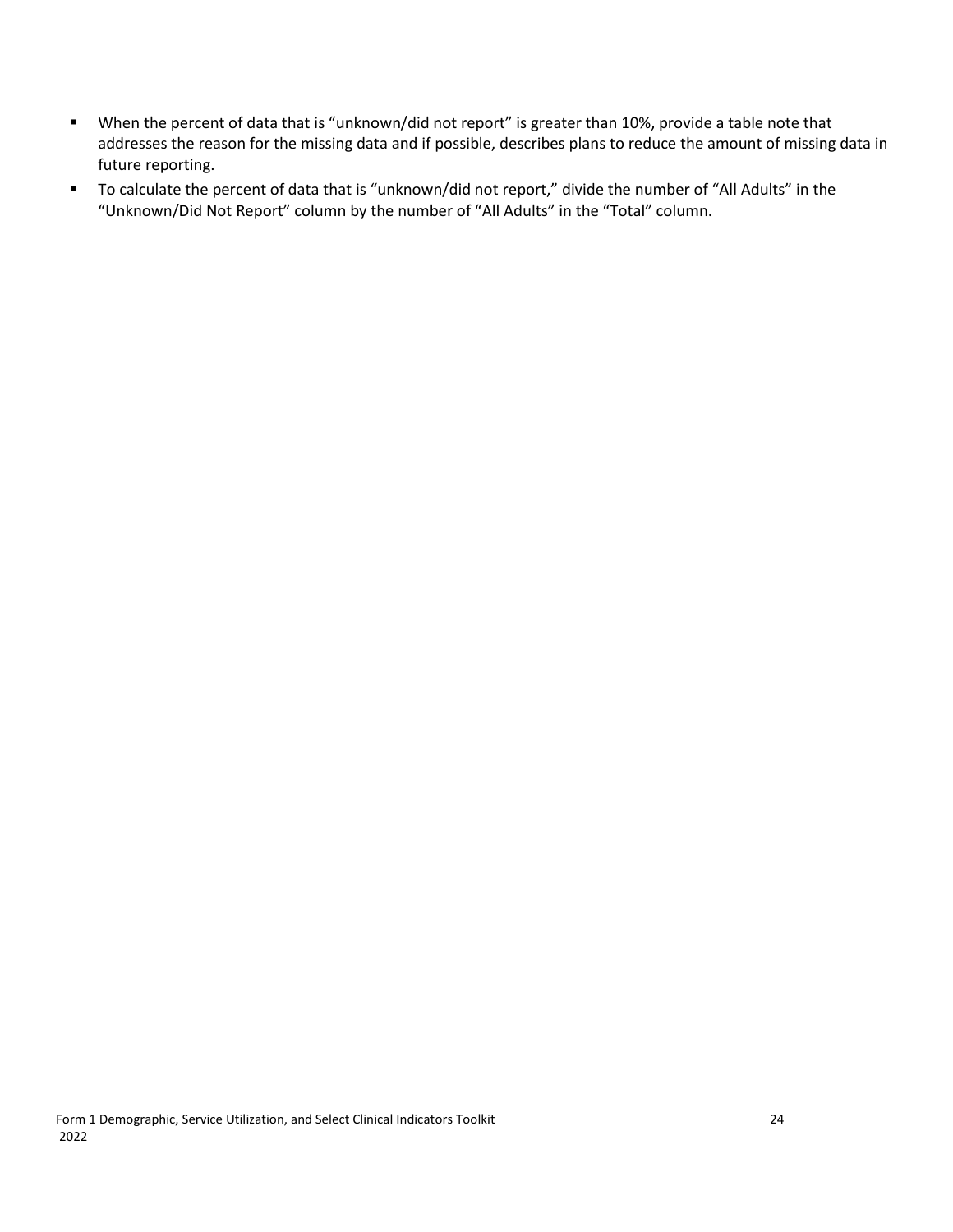- When the percent of data that is "unknown/did not report" is greater than 10%, provide a table note that addresses the reason for the missing data and if possible, describes plans to reduce the amount of missing data in future reporting.
- To calculate the percent of data that is "unknown/did not report," divide the number of "All Adults" in the "Unknown/Did Not Report" column by the number of "All Adults" in the "Total" column.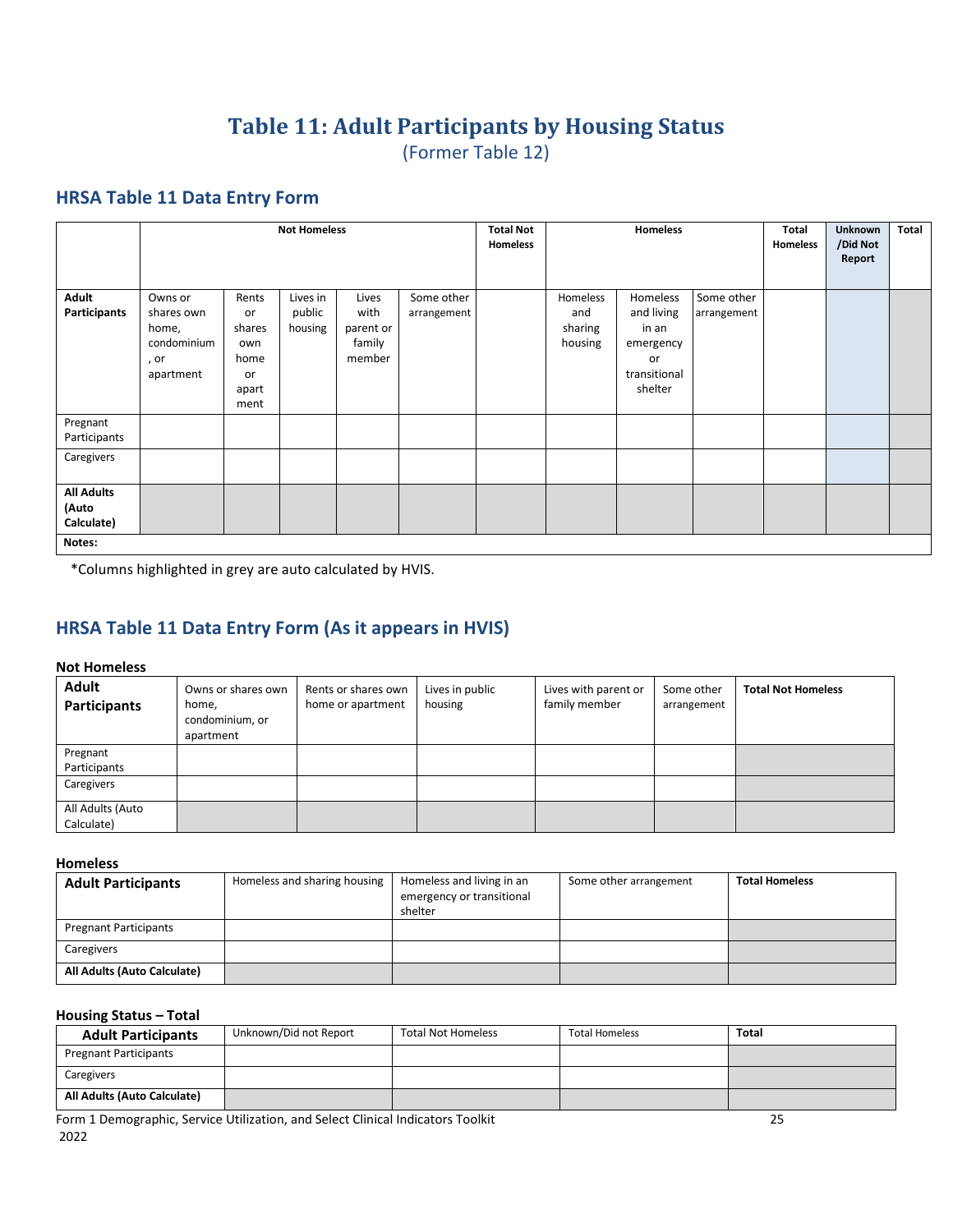## **Table 11: Adult Participants by Housing Status**  (Former Table 12)

#### <span id="page-28-0"></span>**HRSA Table 11 Data Entry Form**

|                                                    |                                                                    |                                                             | <b>Not Homeless</b>           |                                                |                           | <b>Total Not</b><br>Homeless |                                       | Homeless                                                                      |                           | Total<br>Homeless | <b>Unknown</b><br>/Did Not<br>Report | Total |
|----------------------------------------------------|--------------------------------------------------------------------|-------------------------------------------------------------|-------------------------------|------------------------------------------------|---------------------------|------------------------------|---------------------------------------|-------------------------------------------------------------------------------|---------------------------|-------------------|--------------------------------------|-------|
| Adult<br>Participants                              | Owns or<br>shares own<br>home,<br>condominium<br>, or<br>apartment | Rents<br>or<br>shares<br>own<br>home<br>or<br>apart<br>ment | Lives in<br>public<br>housing | Lives<br>with<br>parent or<br>family<br>member | Some other<br>arrangement |                              | Homeless<br>and<br>sharing<br>housing | Homeless<br>and living<br>in an<br>emergency<br>or<br>transitional<br>shelter | Some other<br>arrangement |                   |                                      |       |
| Pregnant<br>Participants                           |                                                                    |                                                             |                               |                                                |                           |                              |                                       |                                                                               |                           |                   |                                      |       |
| Caregivers                                         |                                                                    |                                                             |                               |                                                |                           |                              |                                       |                                                                               |                           |                   |                                      |       |
| <b>All Adults</b><br>(Auto<br>Calculate)<br>Notes: |                                                                    |                                                             |                               |                                                |                           |                              |                                       |                                                                               |                           |                   |                                      |       |

\*Columns highlighted in grey are auto calculated by HVIS.

## **HRSA Table 11 Data Entry Form (As it appears in HVIS)**

#### **Not Homeless**

| <b>Adult</b><br>Participants   | Owns or shares own<br>home,<br>condominium, or<br>apartment | Rents or shares own<br>home or apartment | Lives in public<br>housing | Lives with parent or<br>family member | Some other<br>arrangement | <b>Total Not Homeless</b> |
|--------------------------------|-------------------------------------------------------------|------------------------------------------|----------------------------|---------------------------------------|---------------------------|---------------------------|
| Pregnant<br>Participants       |                                                             |                                          |                            |                                       |                           |                           |
| Caregivers                     |                                                             |                                          |                            |                                       |                           |                           |
| All Adults (Auto<br>Calculate) |                                                             |                                          |                            |                                       |                           |                           |

#### **Homeless**

| <b>Adult Participants</b>    | Homeless and sharing housing | Homeless and living in an<br>emergency or transitional<br>shelter | Some other arrangement | <b>Total Homeless</b> |
|------------------------------|------------------------------|-------------------------------------------------------------------|------------------------|-----------------------|
| <b>Pregnant Participants</b> |                              |                                                                   |                        |                       |
| Caregivers                   |                              |                                                                   |                        |                       |
| All Adults (Auto Calculate)  |                              |                                                                   |                        |                       |

#### **Housing Status – Total**

| <b>Adult Participants</b>    | Unknown/Did not Report | <b>Total Not Homeless</b> | <b>Total Homeless</b> | Total |
|------------------------------|------------------------|---------------------------|-----------------------|-------|
| <b>Pregnant Participants</b> |                        |                           |                       |       |
| Caregivers                   |                        |                           |                       |       |
| All Adults (Auto Calculate)  |                        |                           |                       |       |

Form 1 Demographic, Service Utilization, and Select Clinical Indicators Toolkit 25 2022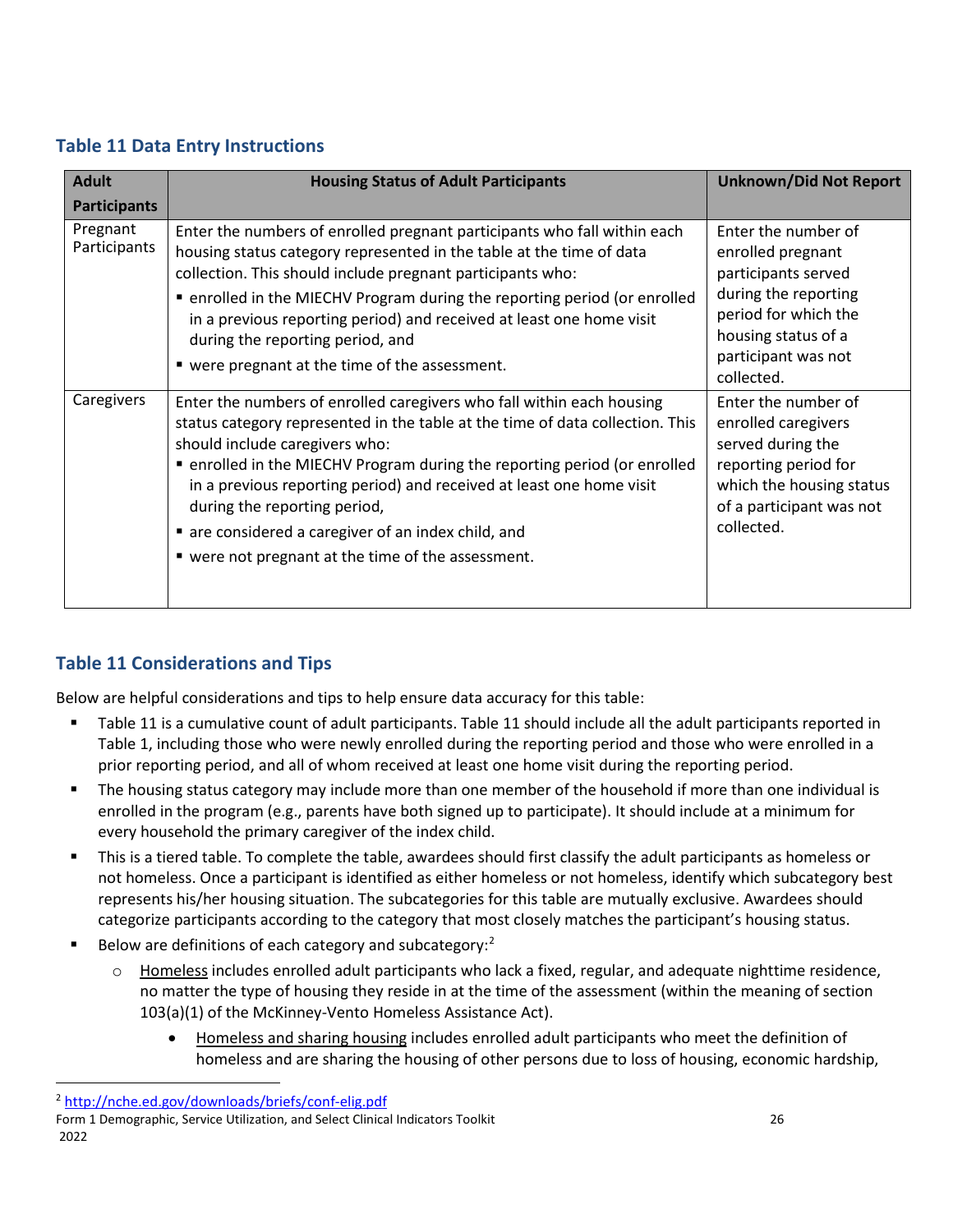## **Table 11 Data Entry Instructions**

| <b>Adult</b>             | <b>Housing Status of Adult Participants</b>                                                                                                                                                                                                                                                                                                                                                                                                                                              | <b>Unknown/Did Not Report</b>                                                                                                                                               |
|--------------------------|------------------------------------------------------------------------------------------------------------------------------------------------------------------------------------------------------------------------------------------------------------------------------------------------------------------------------------------------------------------------------------------------------------------------------------------------------------------------------------------|-----------------------------------------------------------------------------------------------------------------------------------------------------------------------------|
| <b>Participants</b>      |                                                                                                                                                                                                                                                                                                                                                                                                                                                                                          |                                                                                                                                                                             |
| Pregnant<br>Participants | Enter the numbers of enrolled pregnant participants who fall within each<br>housing status category represented in the table at the time of data<br>collection. This should include pregnant participants who:<br>• enrolled in the MIECHV Program during the reporting period (or enrolled<br>in a previous reporting period) and received at least one home visit<br>during the reporting period, and<br>■ were pregnant at the time of the assessment.                                | Enter the number of<br>enrolled pregnant<br>participants served<br>during the reporting<br>period for which the<br>housing status of a<br>participant was not<br>collected. |
| Caregivers               | Enter the numbers of enrolled caregivers who fall within each housing<br>status category represented in the table at the time of data collection. This<br>should include caregivers who:<br>• enrolled in the MIECHV Program during the reporting period (or enrolled<br>in a previous reporting period) and received at least one home visit<br>during the reporting period,<br>are considered a caregiver of an index child, and<br>■ were not pregnant at the time of the assessment. | Enter the number of<br>enrolled caregivers<br>served during the<br>reporting period for<br>which the housing status<br>of a participant was not<br>collected.               |

## **Table 11 Considerations and Tips**

Below are helpful considerations and tips to help ensure data accuracy for this table:

- Table 11 is a cumulative count of adult participants. Table 11 should include all the adult participants reported in Table 1, including those who were newly enrolled during the reporting period and those who were enrolled in a prior reporting period, and all of whom received at least one home visit during the reporting period.
- The housing status category may include more than one member of the household if more than one individual is enrolled in the program (e.g., parents have both signed up to participate). It should include at a minimum for every household the primary caregiver of the index child.
- This is a tiered table. To complete the table, awardees should first classify the adult participants as homeless or not homeless. Once a participant is identified as either homeless or not homeless, identify which subcategory best represents his/her housing situation. The subcategories for this table are mutually exclusive. Awardees should categorize participants according to the category that most closely matches the participant's housing status.
- Below are definitions of each category and subcategory:<sup>[2](#page-29-0)</sup>
	- Homeless includes enrolled adult participants who lack a fixed, regular, and adequate nighttime residence, no matter the type of housing they reside in at the time of the assessment (within the meaning of section 103(a)(1) of the McKinney-Vento Homeless Assistance Act).
		- Homeless and sharing housing includes enrolled adult participants who meet the definition of homeless and are sharing the housing of other persons due to loss of housing, economic hardship,

 $\overline{a}$ 

<span id="page-29-0"></span><sup>2</sup> <http://nche.ed.gov/downloads/briefs/conf-elig.pdf>

Form 1 Demographic, Service Utilization, and Select Clinical Indicators Toolkit 26 2022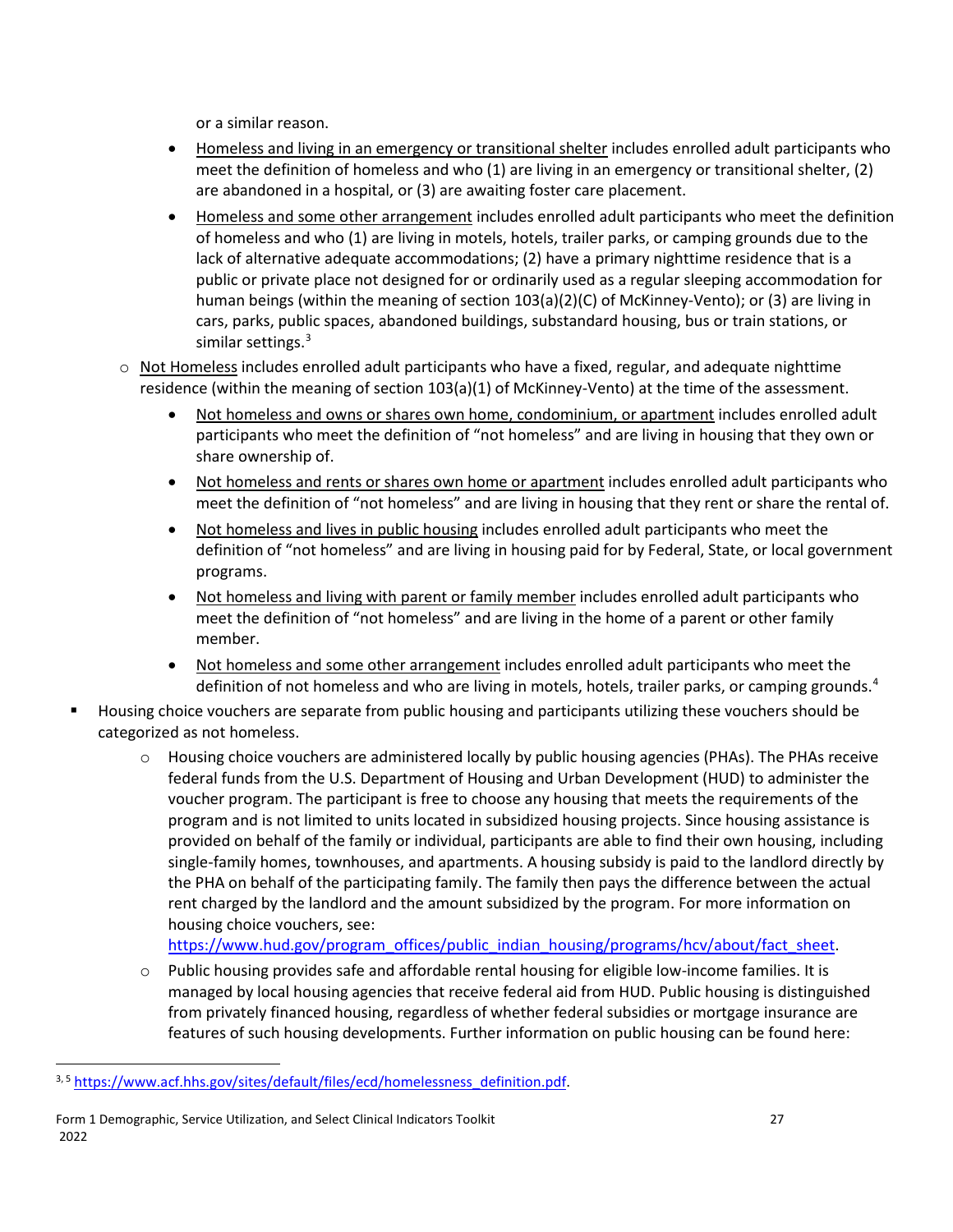or a similar reason.

- Homeless and living in an emergency or transitional shelter includes enrolled adult participants who meet the definition of homeless and who (1) are living in an emergency or transitional shelter, (2) are abandoned in a hospital, or (3) are awaiting foster care placement.
- Homeless and some other arrangement includes enrolled adult participants who meet the definition of homeless and who (1) are living in motels, hotels, trailer parks, or camping grounds due to the lack of alternative adequate accommodations; (2) have a primary nighttime residence that is a public or private place not designed for or ordinarily used as a regular sleeping accommodation for human beings (within the meaning of section 103(a)(2)(C) of McKinney-Vento); or (3) are living in cars, parks, public spaces, abandoned buildings, substandard housing, bus or train stations, or similar settings.<sup>[3](#page-30-0)</sup>
- $\circ$  Not Homeless includes enrolled adult participants who have a fixed, regular, and adequate nighttime residence (within the meaning of section 103(a)(1) of McKinney-Vento) at the time of the assessment.
	- Not homeless and owns or shares own home, condominium, or apartment includes enrolled adult participants who meet the definition of "not homeless" and are living in housing that they own or share ownership of.
	- Not homeless and rents or shares own home or apartment includes enrolled adult participants who meet the definition of "not homeless" and are living in housing that they rent or share the rental of.
	- Not homeless and lives in public housing includes enrolled adult participants who meet the definition of "not homeless" and are living in housing paid for by Federal, State, or local government programs.
	- Not homeless and living with parent or family member includes enrolled adult participants who meet the definition of "not homeless" and are living in the home of a parent or other family member.
	- Not homeless and some other arrangement includes enrolled adult participants who meet the definition of not homeless and who are living in motels, hotels, trailer parks, or camping grounds.<sup>[4](#page-30-1)</sup>
- Housing choice vouchers are separate from public housing and participants utilizing these vouchers should be categorized as not homeless.
	- $\circ$  Housing choice vouchers are administered locally by public housing agencies (PHAs). The PHAs receive federal funds from the U.S. Department of Housing and Urban Development (HUD) to administer the voucher program. The participant is free to choose any housing that meets the requirements of the program and is not limited to units located in subsidized housing projects. Since housing assistance is provided on behalf of the family or individual, participants are able to find their own housing, including single-family homes, townhouses, and apartments. A housing subsidy is paid to the landlord directly by the PHA on behalf of the participating family. The family then pays the difference between the actual rent charged by the landlord and the amount subsidized by the program. For more information on housing choice vouchers, see:

https://www.hud.gov/program\_offices/public\_indian\_housing/programs/hcv/about/fact\_sheet.

 $\circ$  Public housing provides safe and affordable rental housing for eligible low-income families. It is managed by local housing agencies that receive federal aid from HUD. Public housing is distinguished from privately financed housing, regardless of whether federal subsidies or mortgage insurance are features of such housing developments. Further information on public housing can be found here:

 $\overline{\phantom{a}}$ 

<span id="page-30-1"></span><span id="page-30-0"></span><sup>3, 5</sup> [https://www.acf.hhs.gov/sites/default/files/ecd/homelessness\\_definition.pdf.](https://www.acf.hhs.gov/sites/default/files/ecd/homelessness_definition.pdf)

Form 1 Demographic, Service Utilization, and Select Clinical Indicators Toolkit 27 2022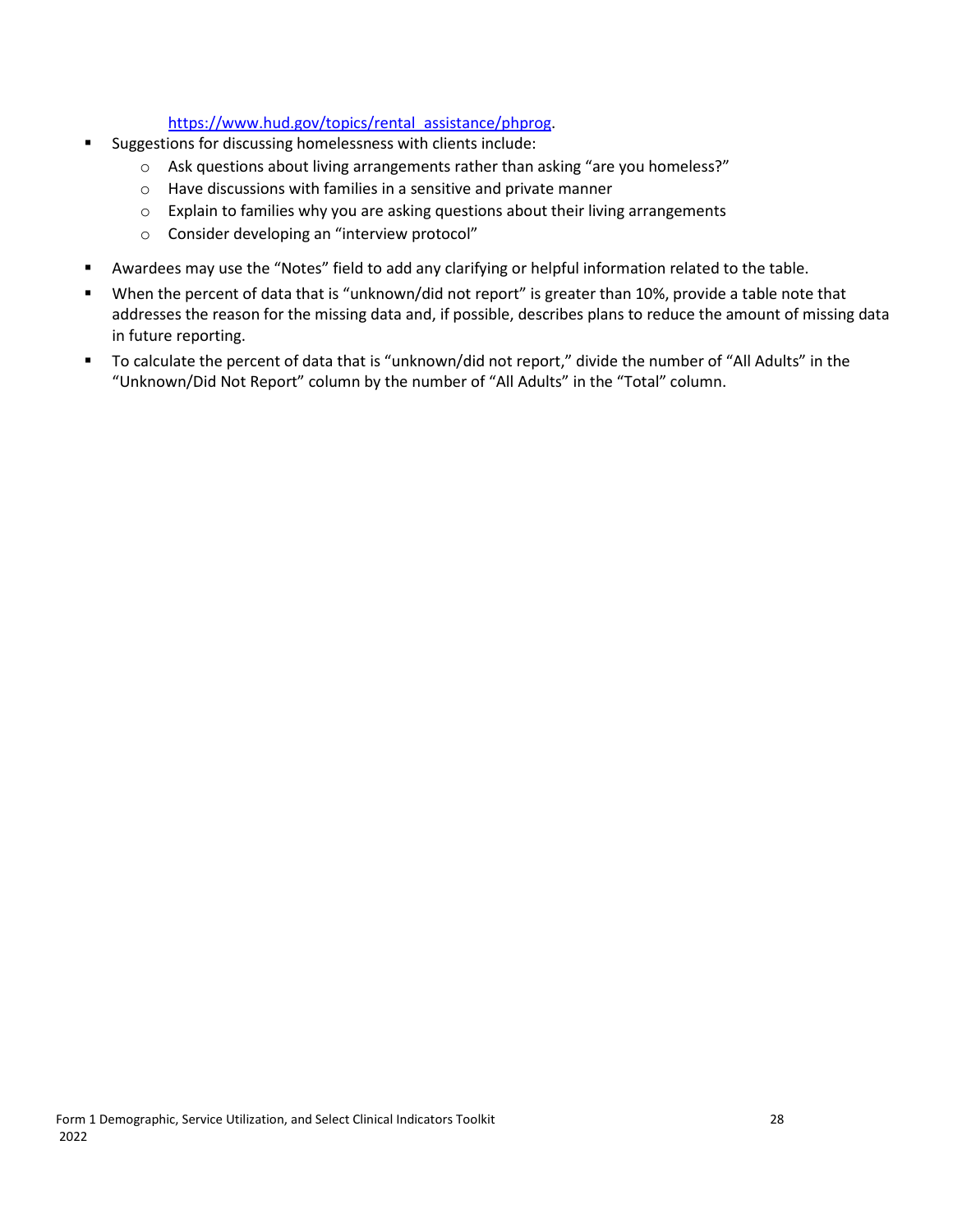#### https://www.hud.gov/topics/rental\_assistance/phprog.

- Suggestions for discussing homelessness with clients include:
	- $\circ$  Ask questions about living arrangements rather than asking "are you homeless?"
	- o Have discussions with families in a sensitive and private manner
	- $\circ$  Explain to families why you are asking questions about their living arrangements
	- o Consider developing an "interview protocol"
- Awardees may use the "Notes" field to add any clarifying or helpful information related to the table.
- When the percent of data that is "unknown/did not report" is greater than 10%, provide a table note that addresses the reason for the missing data and, if possible, describes plans to reduce the amount of missing data in future reporting.
- To calculate the percent of data that is "unknown/did not report," divide the number of "All Adults" in the "Unknown/Did Not Report" column by the number of "All Adults" in the "Total" column.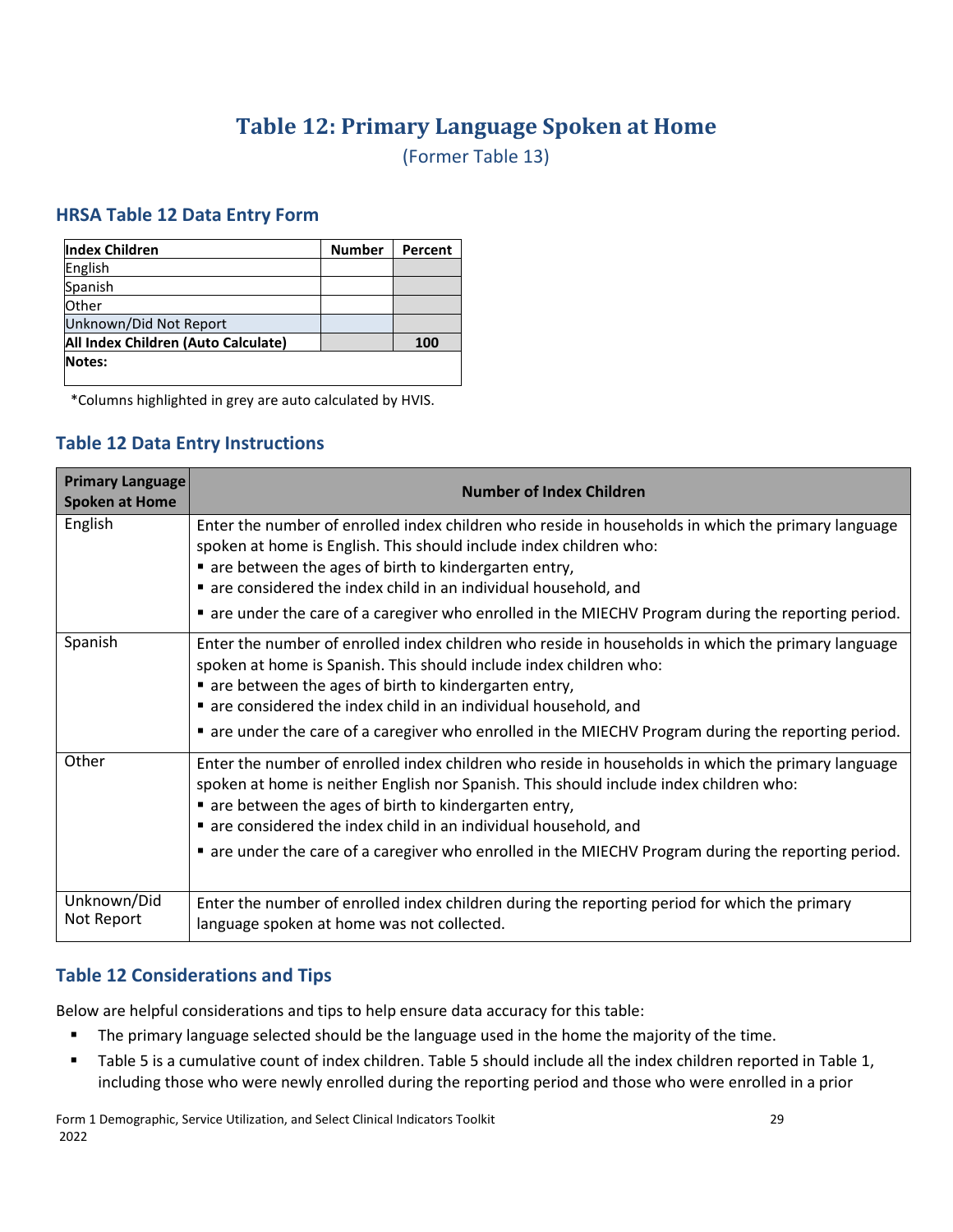## **Table 12: Primary Language Spoken at Home**

(Former Table 13)

#### <span id="page-32-0"></span>**HRSA Table 12 Data Entry Form**

| <b>Index Children</b>               | <b>Number</b> | Percent |
|-------------------------------------|---------------|---------|
| English                             |               |         |
| Spanish                             |               |         |
| Other                               |               |         |
| Unknown/Did Not Report              |               |         |
| All Index Children (Auto Calculate) |               | 100     |
| <b>Notes:</b>                       |               |         |

\*Columns highlighted in grey are auto calculated by HVIS.

#### **Table 12 Data Entry Instructions**

| <b>Primary Language</b><br><b>Spoken at Home</b> | <b>Number of Index Children</b>                                                                                                                                                                                                                                                                                          |
|--------------------------------------------------|--------------------------------------------------------------------------------------------------------------------------------------------------------------------------------------------------------------------------------------------------------------------------------------------------------------------------|
| English                                          | Enter the number of enrolled index children who reside in households in which the primary language<br>spoken at home is English. This should include index children who:<br>are between the ages of birth to kindergarten entry,                                                                                         |
|                                                  | are considered the index child in an individual household, and                                                                                                                                                                                                                                                           |
|                                                  | ■ are under the care of a caregiver who enrolled in the MIECHV Program during the reporting period.                                                                                                                                                                                                                      |
| Spanish                                          | Enter the number of enrolled index children who reside in households in which the primary language<br>spoken at home is Spanish. This should include index children who:<br>■ are between the ages of birth to kindergarten entry,<br>are considered the index child in an individual household, and                     |
|                                                  | ■ are under the care of a caregiver who enrolled in the MIECHV Program during the reporting period.                                                                                                                                                                                                                      |
| Other                                            | Enter the number of enrolled index children who reside in households in which the primary language<br>spoken at home is neither English nor Spanish. This should include index children who:<br>• are between the ages of birth to kindergarten entry,<br>are considered the index child in an individual household, and |
|                                                  | ■ are under the care of a caregiver who enrolled in the MIECHV Program during the reporting period.                                                                                                                                                                                                                      |
| Unknown/Did<br>Not Report                        | Enter the number of enrolled index children during the reporting period for which the primary<br>language spoken at home was not collected.                                                                                                                                                                              |

#### **Table 12 Considerations and Tips**

- **The primary language selected should be the language used in the home the majority of the time.**
- Table 5 is a cumulative count of index children. Table 5 should include all the index children reported in Table 1, including those who were newly enrolled during the reporting period and those who were enrolled in a prior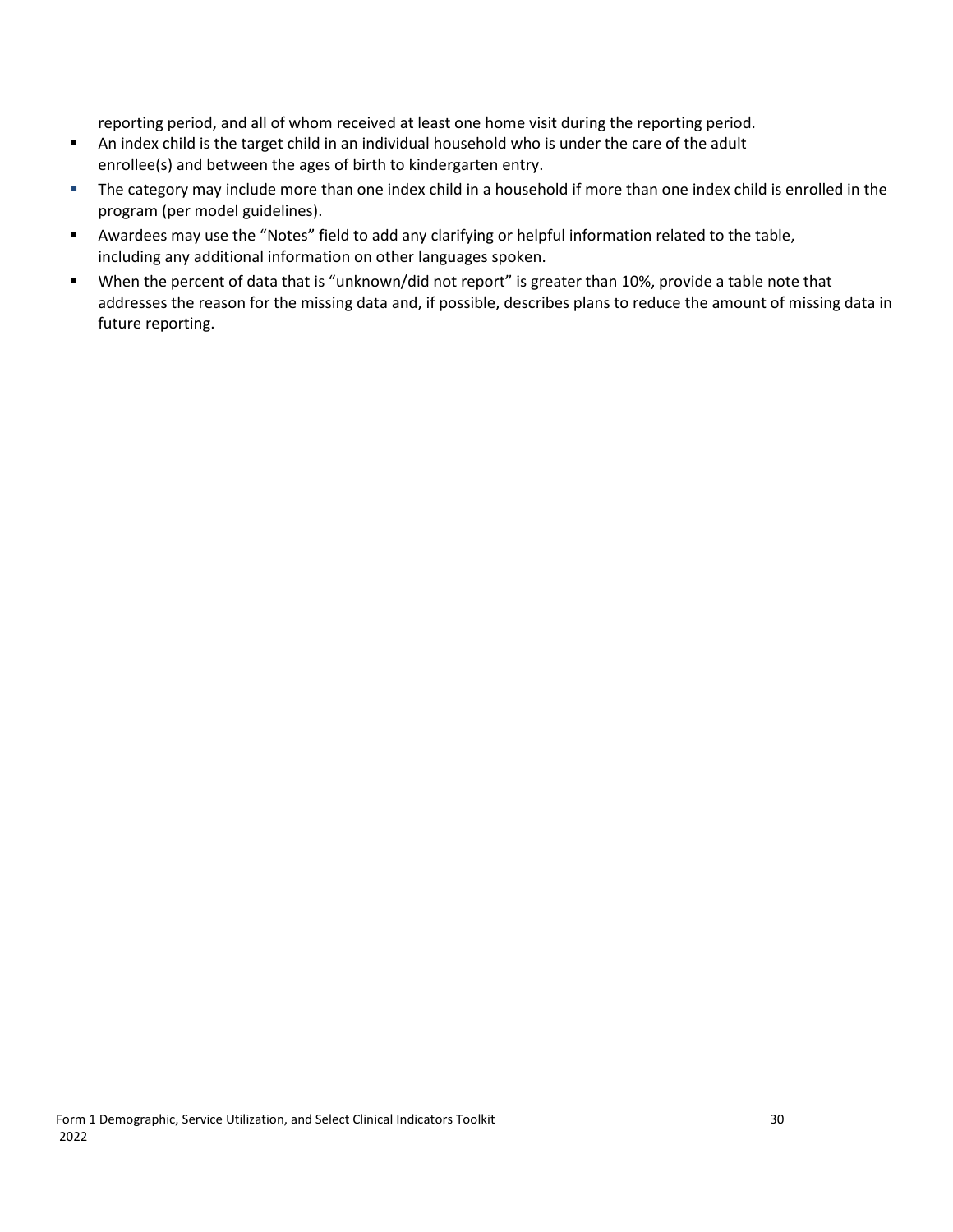reporting period, and all of whom received at least one home visit during the reporting period.

- An index child is the target child in an individual household who is under the care of the adult enrollee(s) and between the ages of birth to kindergarten entry.
- The category may include more than one index child in a household if more than one index child is enrolled in the program (per model guidelines).
- Awardees may use the "Notes" field to add any clarifying or helpful information related to the table, including any additional information on other languages spoken.
- When the percent of data that is "unknown/did not report" is greater than 10%, provide a table note that addresses the reason for the missing data and, if possible, describes plans to reduce the amount of missing data in future reporting.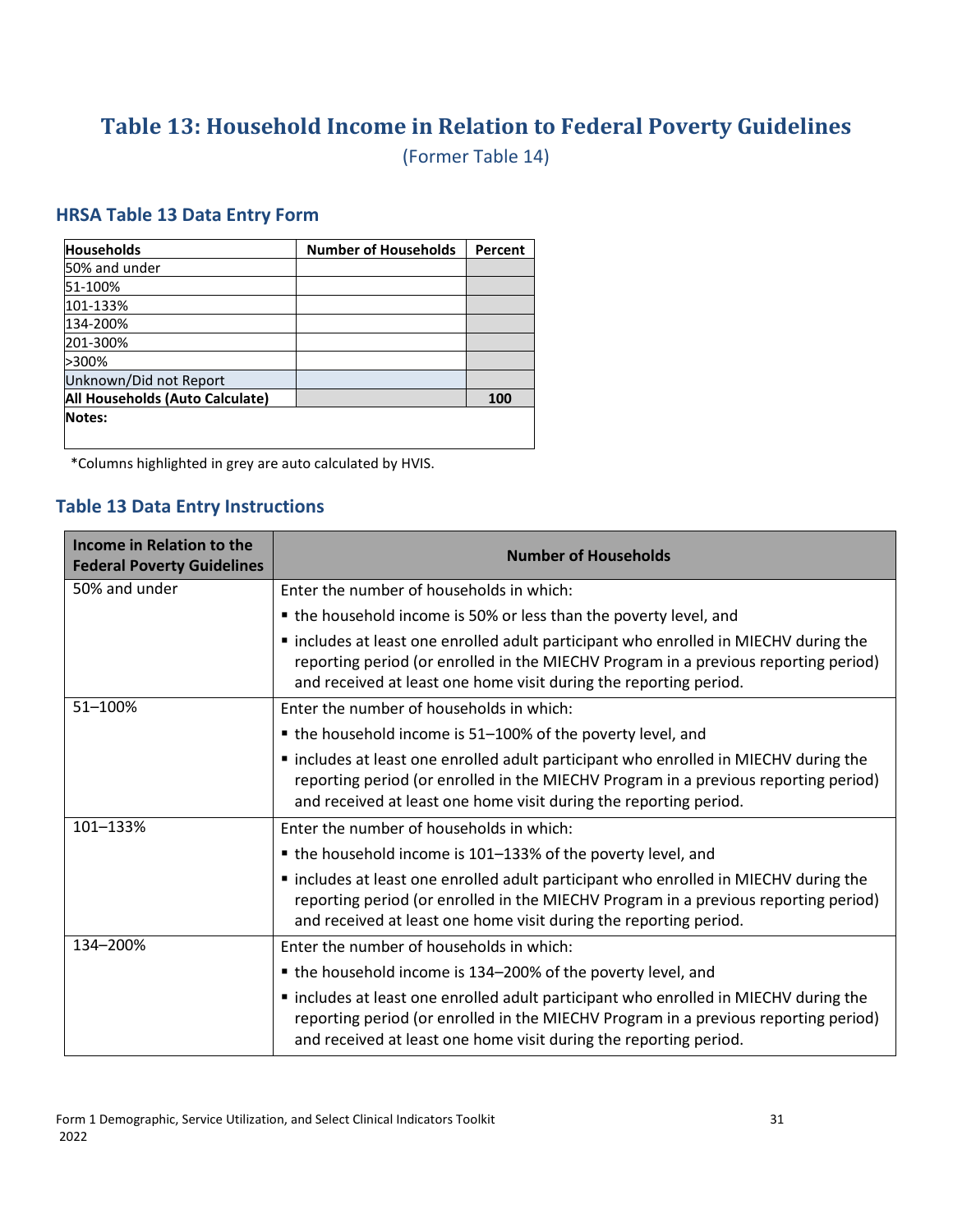## <span id="page-34-0"></span>**Table 13: Household Income in Relation to Federal Poverty Guidelines**

(Former Table 14)

#### **HRSA Table 13 Data Entry Form**

| <b>Households</b>               | <b>Number of Households</b> | Percent |
|---------------------------------|-----------------------------|---------|
| 50% and under                   |                             |         |
| 51-100%                         |                             |         |
| 101-133%                        |                             |         |
| 134-200%                        |                             |         |
| 201-300%                        |                             |         |
| >300%                           |                             |         |
| Unknown/Did not Report          |                             |         |
| All Households (Auto Calculate) |                             | 100     |
| Notes:                          |                             |         |
|                                 |                             |         |

\*Columns highlighted in grey are auto calculated by HVIS.

#### **Table 13 Data Entry Instructions**

| Income in Relation to the<br><b>Federal Poverty Guidelines</b> | <b>Number of Households</b>                                                                                                                                                                                                                      |
|----------------------------------------------------------------|--------------------------------------------------------------------------------------------------------------------------------------------------------------------------------------------------------------------------------------------------|
| 50% and under                                                  | Enter the number of households in which:                                                                                                                                                                                                         |
|                                                                | • the household income is 50% or less than the poverty level, and                                                                                                                                                                                |
|                                                                | " includes at least one enrolled adult participant who enrolled in MIECHV during the<br>reporting period (or enrolled in the MIECHV Program in a previous reporting period)<br>and received at least one home visit during the reporting period. |
| 51-100%                                                        | Enter the number of households in which:                                                                                                                                                                                                         |
|                                                                | • the household income is 51-100% of the poverty level, and                                                                                                                                                                                      |
|                                                                | " includes at least one enrolled adult participant who enrolled in MIECHV during the<br>reporting period (or enrolled in the MIECHV Program in a previous reporting period)<br>and received at least one home visit during the reporting period. |
| 101-133%                                                       | Enter the number of households in which:                                                                                                                                                                                                         |
|                                                                | • the household income is 101-133% of the poverty level, and                                                                                                                                                                                     |
|                                                                | " includes at least one enrolled adult participant who enrolled in MIECHV during the<br>reporting period (or enrolled in the MIECHV Program in a previous reporting period)<br>and received at least one home visit during the reporting period. |
| 134-200%                                                       | Enter the number of households in which:                                                                                                                                                                                                         |
|                                                                | • the household income is 134-200% of the poverty level, and                                                                                                                                                                                     |
|                                                                | " includes at least one enrolled adult participant who enrolled in MIECHV during the<br>reporting period (or enrolled in the MIECHV Program in a previous reporting period)<br>and received at least one home visit during the reporting period. |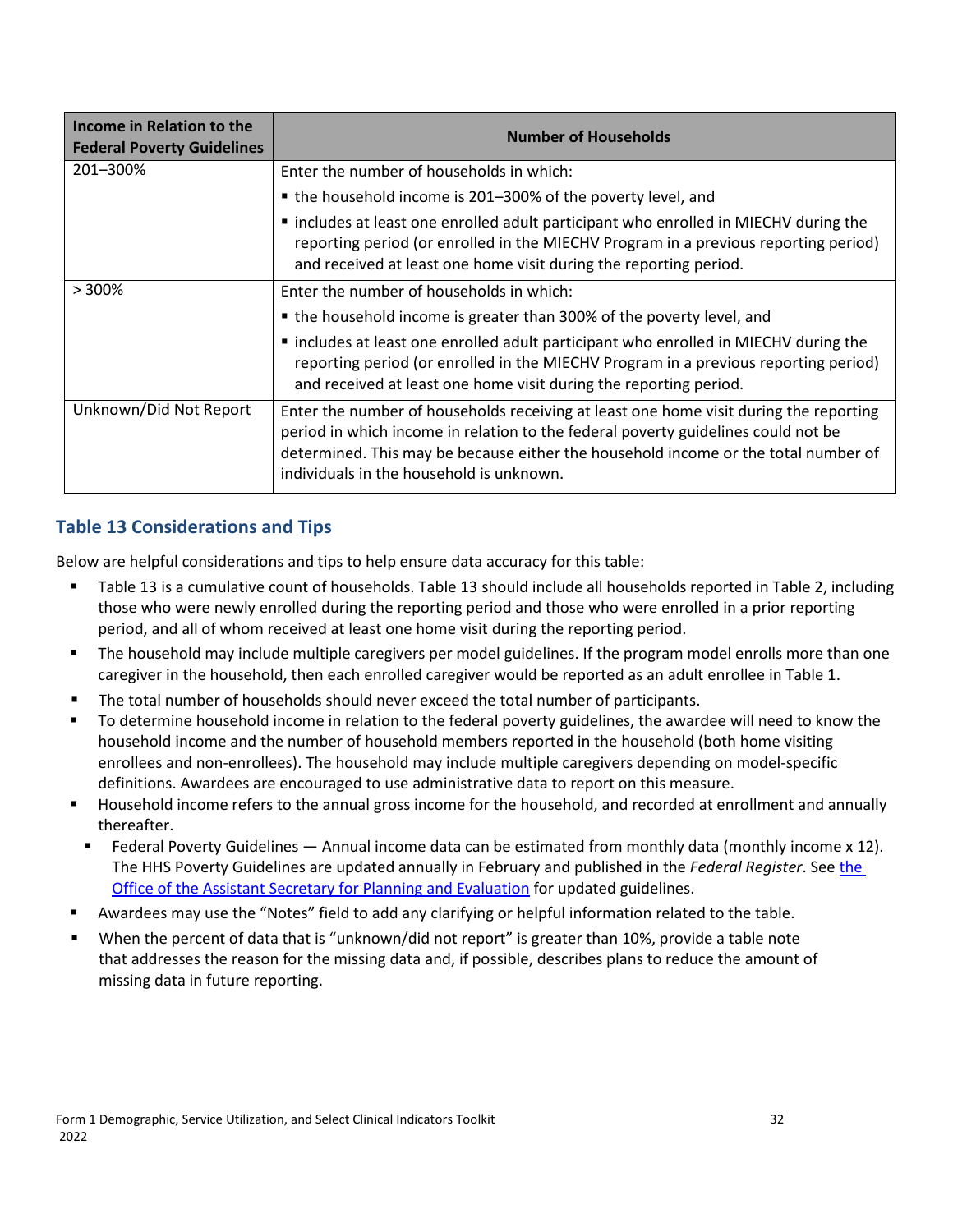| Income in Relation to the<br><b>Federal Poverty Guidelines</b> | <b>Number of Households</b>                                                                                                                                                                                                                                                                                  |
|----------------------------------------------------------------|--------------------------------------------------------------------------------------------------------------------------------------------------------------------------------------------------------------------------------------------------------------------------------------------------------------|
| 201-300%                                                       | Enter the number of households in which:                                                                                                                                                                                                                                                                     |
|                                                                | • the household income is 201-300% of the poverty level, and                                                                                                                                                                                                                                                 |
|                                                                | " includes at least one enrolled adult participant who enrolled in MIECHV during the<br>reporting period (or enrolled in the MIECHV Program in a previous reporting period)<br>and received at least one home visit during the reporting period.                                                             |
| $> 300\%$                                                      | Enter the number of households in which:                                                                                                                                                                                                                                                                     |
|                                                                | • the household income is greater than 300% of the poverty level, and                                                                                                                                                                                                                                        |
|                                                                | " includes at least one enrolled adult participant who enrolled in MIECHV during the<br>reporting period (or enrolled in the MIECHV Program in a previous reporting period)<br>and received at least one home visit during the reporting period.                                                             |
| Unknown/Did Not Report                                         | Enter the number of households receiving at least one home visit during the reporting<br>period in which income in relation to the federal poverty guidelines could not be<br>determined. This may be because either the household income or the total number of<br>individuals in the household is unknown. |

## **Table 13 Considerations and Tips**

- Table 13 is a cumulative count of households. Table 13 should include all households reported in Table 2, including those who were newly enrolled during the reporting period and those who were enrolled in a prior reporting period, and all of whom received at least one home visit during the reporting period.
- The household may include multiple caregivers per model guidelines. If the program model enrolls more than one caregiver in the household, then each enrolled caregiver would be reported as an adult enrollee in Table 1.
- **The total number of households should never exceed the total number of participants.**
- To determine household income in relation to the federal poverty guidelines, the awardee will need to know the household income and the number of household members reported in the household (both home visiting enrollees and non-enrollees). The household may include multiple caregivers depending on model-specific definitions. Awardees are encouraged to use administrative data to report on this measure.
- Household income refers to the annual gross income for the household, and recorded at enrollment and annually thereafter.
- Federal Poverty Guidelines Annual income data can be estimated from monthly data (monthly income x 12). The HHS Poverty Guidelines are updated annually in February and published in the *Federal Register*. See [the](https://aspe.hhs.gov/poverty-guidelines)  [Office of the Assistant Secretary for Planning and Evaluation f](https://aspe.hhs.gov/poverty-guidelines)or updated guidelines.
- Awardees may use the "Notes" field to add any clarifying or helpful information related to the table.
- When the percent of data that is "unknown/did not report" is greater than 10%, provide a table note that addresses the reason for the missing data and, if possible, describes plans to reduce the amount of missing data in future reporting.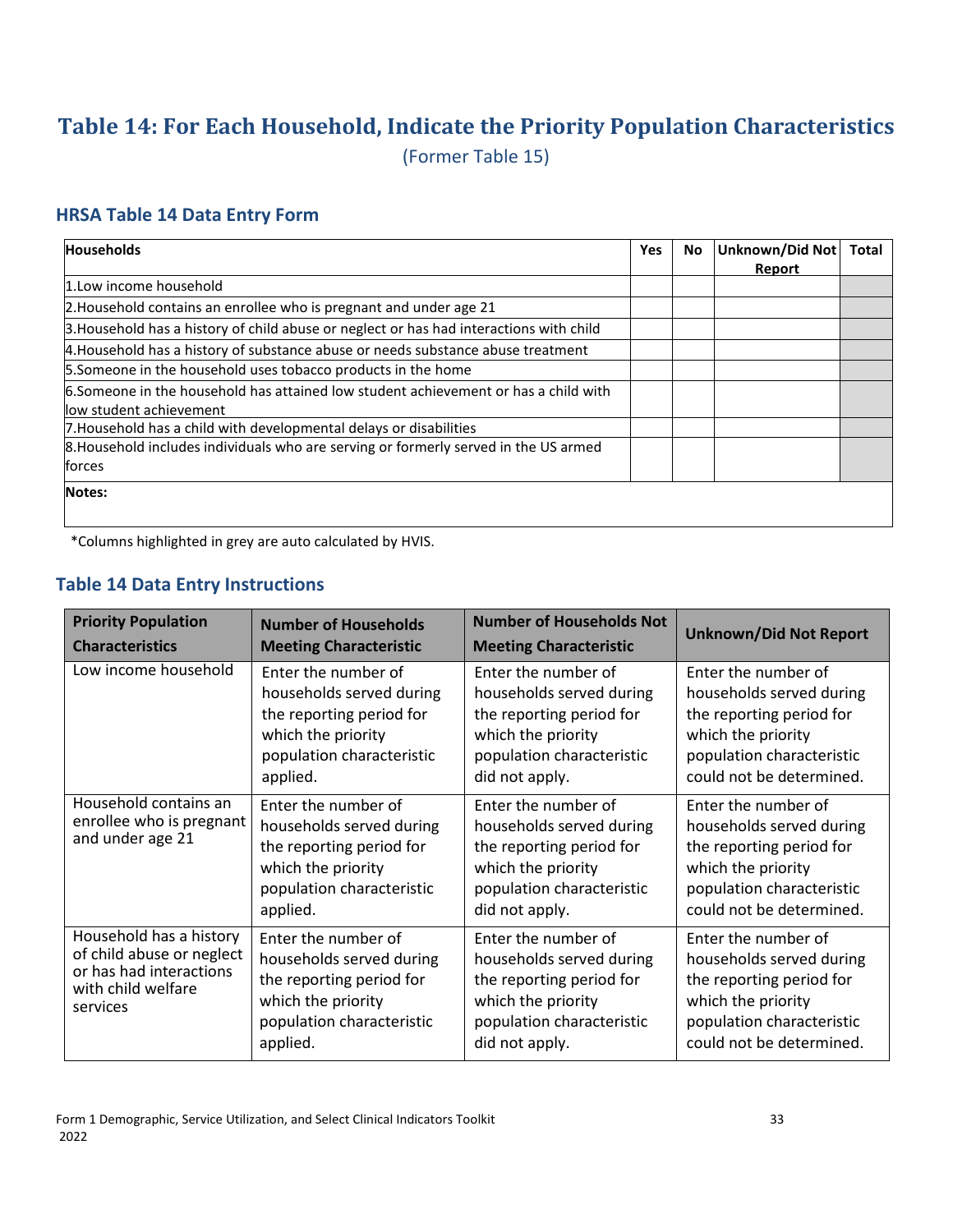## <span id="page-36-0"></span>**Table 14: For Each Household, Indicate the Priority Population Characteristics**

(Former Table 15)

#### **HRSA Table 14 Data Entry Form**

| <b>Households</b>                                                                       | Yes | No. | Unknown/Did Not | <b>Total</b> |
|-----------------------------------------------------------------------------------------|-----|-----|-----------------|--------------|
|                                                                                         |     |     | Report          |              |
| 1. Low income household                                                                 |     |     |                 |              |
| 2. Household contains an enrollee who is pregnant and under age 21                      |     |     |                 |              |
| 3. Household has a history of child abuse or neglect or has had interactions with child |     |     |                 |              |
| 4. Household has a history of substance abuse or needs substance abuse treatment        |     |     |                 |              |
| 5. Someone in the household uses tobacco products in the home                           |     |     |                 |              |
| 6.Someone in the household has attained low student achievement or has a child with     |     |     |                 |              |
| llow student achievement                                                                |     |     |                 |              |
| 7. Household has a child with developmental delays or disabilities                      |     |     |                 |              |
| 8. Household includes individuals who are serving or formerly served in the US armed    |     |     |                 |              |
| forces                                                                                  |     |     |                 |              |
| Notes:                                                                                  |     |     |                 |              |
|                                                                                         |     |     |                 |              |

\*Columns highlighted in grey are auto calculated by HVIS.

#### **Table 14 Data Entry Instructions**

| <b>Priority Population</b>                                                                                        | <b>Number of Households</b>                                                                                                                | <b>Number of Households Not</b>                                                                                                                  | <b>Unknown/Did Not Report</b>                                                                                                                              |
|-------------------------------------------------------------------------------------------------------------------|--------------------------------------------------------------------------------------------------------------------------------------------|--------------------------------------------------------------------------------------------------------------------------------------------------|------------------------------------------------------------------------------------------------------------------------------------------------------------|
| <b>Characteristics</b>                                                                                            | <b>Meeting Characteristic</b>                                                                                                              | <b>Meeting Characteristic</b>                                                                                                                    |                                                                                                                                                            |
| Low income household                                                                                              | Enter the number of                                                                                                                        | Enter the number of                                                                                                                              | Enter the number of                                                                                                                                        |
|                                                                                                                   | households served during                                                                                                                   | households served during                                                                                                                         | households served during                                                                                                                                   |
|                                                                                                                   | the reporting period for                                                                                                                   | the reporting period for                                                                                                                         | the reporting period for                                                                                                                                   |
|                                                                                                                   | which the priority                                                                                                                         | which the priority                                                                                                                               | which the priority                                                                                                                                         |
|                                                                                                                   | population characteristic                                                                                                                  | population characteristic                                                                                                                        | population characteristic                                                                                                                                  |
|                                                                                                                   | applied.                                                                                                                                   | did not apply.                                                                                                                                   | could not be determined.                                                                                                                                   |
| Household contains an<br>enrollee who is pregnant<br>and under age 21                                             | Enter the number of<br>households served during<br>the reporting period for<br>which the priority<br>population characteristic<br>applied. | Enter the number of<br>households served during<br>the reporting period for<br>which the priority<br>population characteristic<br>did not apply. | Enter the number of<br>households served during<br>the reporting period for<br>which the priority<br>population characteristic<br>could not be determined. |
| Household has a history<br>of child abuse or neglect<br>or has had interactions<br>with child welfare<br>services | Enter the number of<br>households served during<br>the reporting period for<br>which the priority<br>population characteristic<br>applied. | Enter the number of<br>households served during<br>the reporting period for<br>which the priority<br>population characteristic<br>did not apply. | Enter the number of<br>households served during<br>the reporting period for<br>which the priority<br>population characteristic<br>could not be determined. |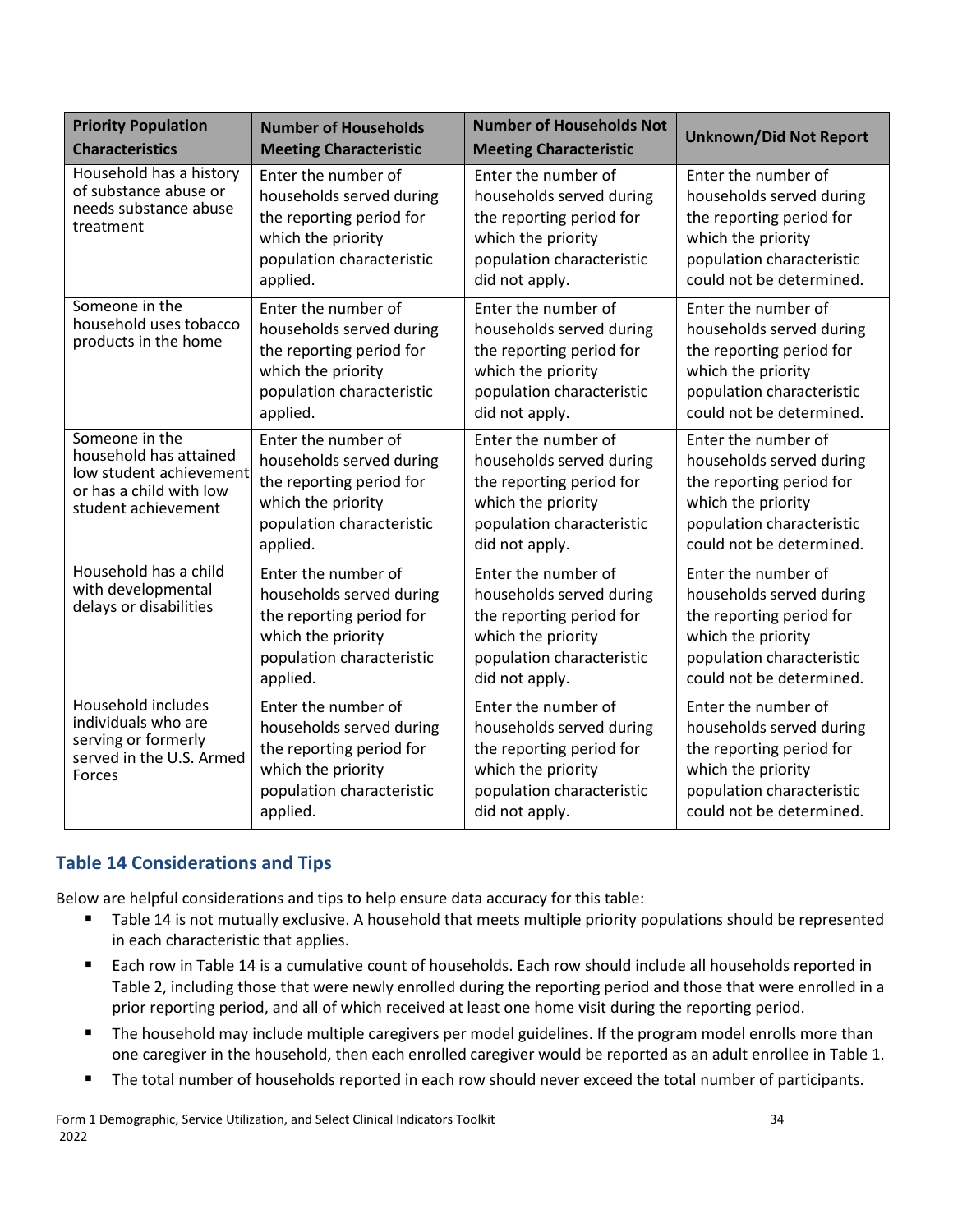| <b>Priority Population</b><br><b>Characteristics</b>                                                                  | <b>Number of Households</b><br><b>Meeting Characteristic</b>                                                                               | <b>Number of Households Not</b><br><b>Meeting Characteristic</b>                                                                                 | <b>Unknown/Did Not Report</b>                                                                                                                              |
|-----------------------------------------------------------------------------------------------------------------------|--------------------------------------------------------------------------------------------------------------------------------------------|--------------------------------------------------------------------------------------------------------------------------------------------------|------------------------------------------------------------------------------------------------------------------------------------------------------------|
| Household has a history<br>of substance abuse or<br>needs substance abuse<br>treatment                                | Enter the number of<br>households served during<br>the reporting period for<br>which the priority<br>population characteristic<br>applied. | Enter the number of<br>households served during<br>the reporting period for<br>which the priority<br>population characteristic<br>did not apply. | Enter the number of<br>households served during<br>the reporting period for<br>which the priority<br>population characteristic<br>could not be determined. |
| Someone in the<br>household uses tobacco<br>products in the home                                                      | Enter the number of<br>households served during<br>the reporting period for<br>which the priority<br>population characteristic<br>applied. | Enter the number of<br>households served during<br>the reporting period for<br>which the priority<br>population characteristic<br>did not apply. | Enter the number of<br>households served during<br>the reporting period for<br>which the priority<br>population characteristic<br>could not be determined. |
| Someone in the<br>household has attained<br>low student achievement<br>or has a child with low<br>student achievement | Enter the number of<br>households served during<br>the reporting period for<br>which the priority<br>population characteristic<br>applied. | Enter the number of<br>households served during<br>the reporting period for<br>which the priority<br>population characteristic<br>did not apply. | Enter the number of<br>households served during<br>the reporting period for<br>which the priority<br>population characteristic<br>could not be determined. |
| Household has a child<br>with developmental<br>delays or disabilities                                                 | Enter the number of<br>households served during<br>the reporting period for<br>which the priority<br>population characteristic<br>applied. | Enter the number of<br>households served during<br>the reporting period for<br>which the priority<br>population characteristic<br>did not apply. | Enter the number of<br>households served during<br>the reporting period for<br>which the priority<br>population characteristic<br>could not be determined. |
| Household includes<br>individuals who are<br>serving or formerly<br>served in the U.S. Armed<br>Forces                | Enter the number of<br>households served during<br>the reporting period for<br>which the priority<br>population characteristic<br>applied. | Enter the number of<br>households served during<br>the reporting period for<br>which the priority<br>population characteristic<br>did not apply. | Enter the number of<br>households served during<br>the reporting period for<br>which the priority<br>population characteristic<br>could not be determined. |

#### **Table 14 Considerations and Tips**

- Table 14 is not mutually exclusive. A household that meets multiple priority populations should be represented in each characteristic that applies.
- Each row in Table 14 is a cumulative count of households. Each row should include all households reported in Table 2, including those that were newly enrolled during the reporting period and those that were enrolled in a prior reporting period, and all of which received at least one home visit during the reporting period.
- **The household may include multiple caregivers per model guidelines. If the program model enrolls more than** one caregiver in the household, then each enrolled caregiver would be reported as an adult enrollee in Table 1.
- The total number of households reported in each row should never exceed the total number of participants.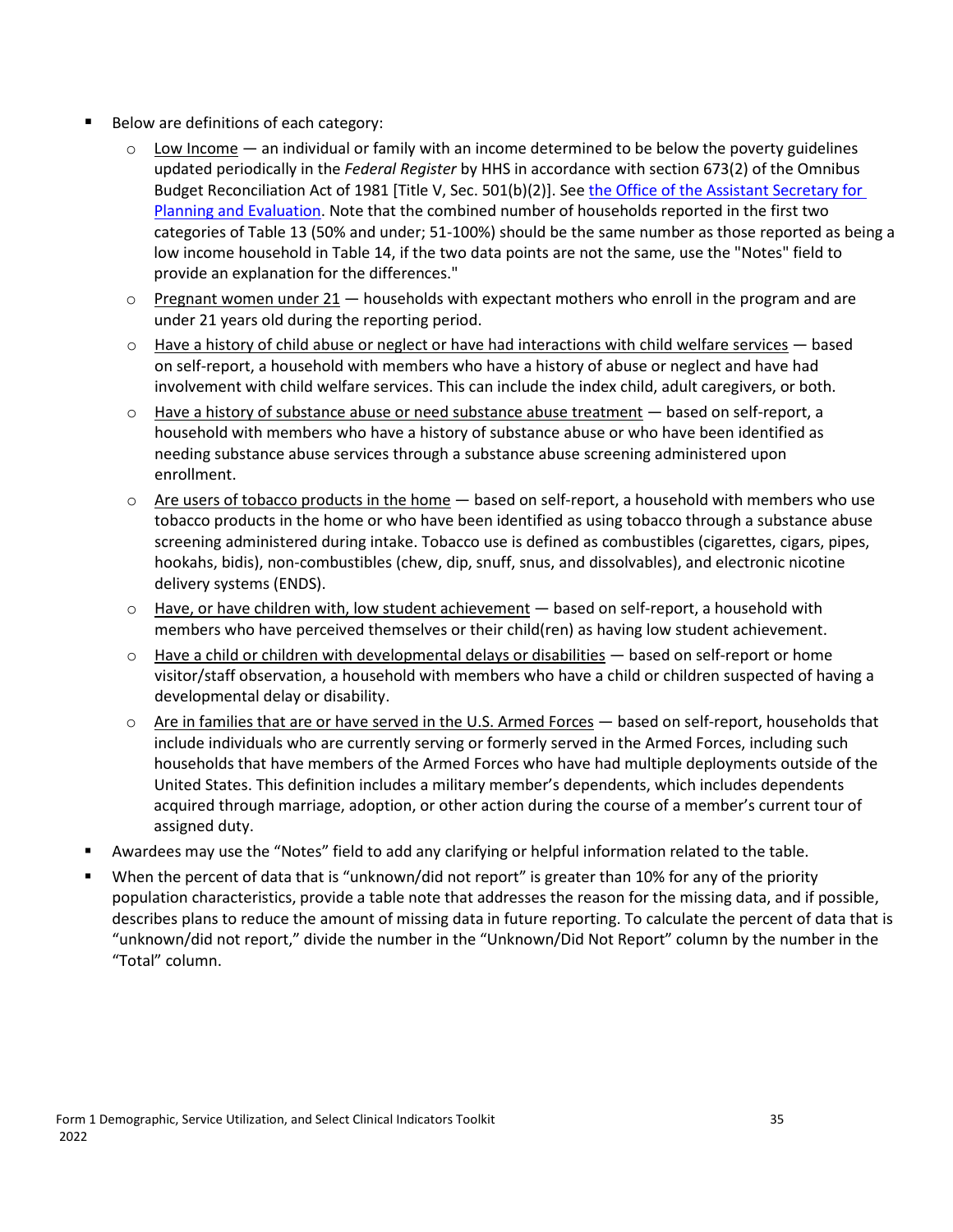- Below are definitions of each category:
	- $\circ$  Low Income an individual or family with an income determined to be below the poverty guidelines updated periodically in the *Federal Register* by HHS in accordance with section 673(2) of the Omnibus Budget Reconciliation Act of 1981 [Title V, Sec. 501(b)(2)]. See [the Office of the Assistant Secretary for](https://aspe.hhs.gov/poverty-guidelines)  [Planning and Evaluation.](https://aspe.hhs.gov/poverty-guidelines) Note that the combined number of households reported in the first two categories of Table 13 (50% and under; 51-100%) should be the same number as those reported as being a low income household in Table 14, if the two data points are not the same, use the "Notes" field to provide an explanation for the differences."
	- $\circ$  Pregnant women under 21 households with expectant mothers who enroll in the program and are under 21 years old during the reporting period.
	- $\circ$  Have a history of child abuse or neglect or have had interactions with child welfare services based on self-report, a household with members who have a history of abuse or neglect and have had involvement with child welfare services. This can include the index child, adult caregivers, or both.
	- $\circ$  Have a history of substance abuse or need substance abuse treatment  $-$  based on self-report, a household with members who have a history of substance abuse or who have been identified as needing substance abuse services through a substance abuse screening administered upon enrollment.
	- $\circ$  Are users of tobacco products in the home  $-$  based on self-report, a household with members who use tobacco products in the home or who have been identified as using tobacco through a substance abuse screening administered during intake. Tobacco use is defined as combustibles (cigarettes, cigars, pipes, hookahs, bidis), non-combustibles (chew, dip, snuff, snus, and dissolvables), and electronic nicotine delivery systems (ENDS).
	- $\circ$  Have, or have children with, low student achievement  $-$  based on self-report, a household with members who have perceived themselves or their child(ren) as having low student achievement.
	- $\circ$  Have a child or children with developmental delays or disabilities  $-$  based on self-report or home visitor/staff observation, a household with members who have a child or children suspected of having a developmental delay or disability.
	- $\circ$  Are in families that are or have served in the U.S. Armed Forces  $-$  based on self-report, households that include individuals who are currently serving or formerly served in the Armed Forces, including such households that have members of the Armed Forces who have had multiple deployments outside of the United States. This definition includes a military member's dependents, which includes dependents acquired through marriage, adoption, or other action during the course of a member's current tour of assigned duty.
- Awardees may use the "Notes" field to add any clarifying or helpful information related to the table.
- When the percent of data that is "unknown/did not report" is greater than 10% for any of the priority population characteristics, provide a table note that addresses the reason for the missing data, and if possible, describes plans to reduce the amount of missing data in future reporting. To calculate the percent of data that is "unknown/did not report," divide the number in the "Unknown/Did Not Report" column by the number in the "Total" column.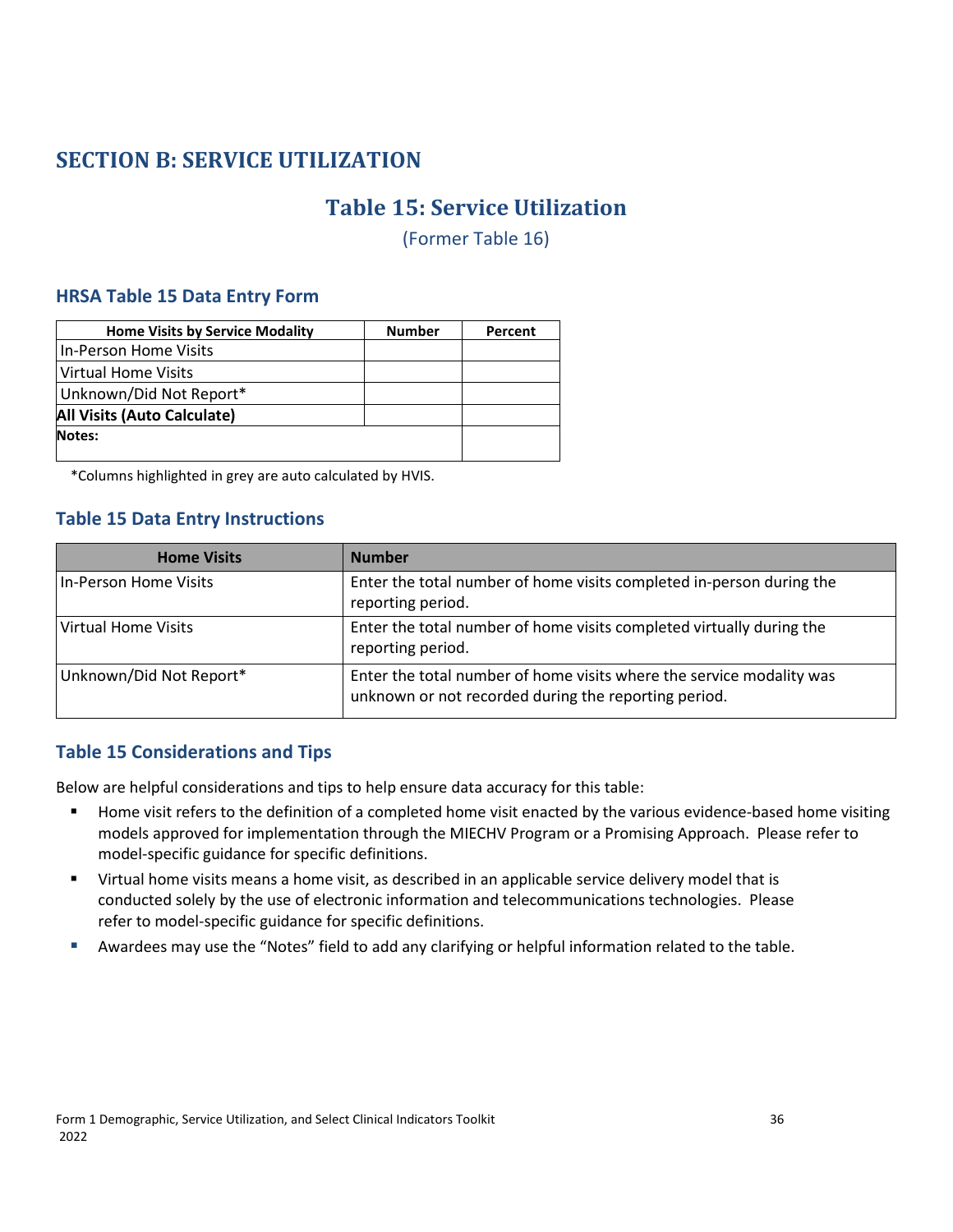## <span id="page-39-1"></span><span id="page-39-0"></span>**SECTION B: SERVICE UTILIZATION**

## **Table 15: Service Utilization**

(Former Table 16)

#### **HRSA Table 15 Data Entry Form**

| <b>Home Visits by Service Modality</b> | <b>Number</b> | Percent |
|----------------------------------------|---------------|---------|
| In-Person Home Visits                  |               |         |
| Virtual Home Visits                    |               |         |
| Unknown/Did Not Report*                |               |         |
| <b>All Visits (Auto Calculate)</b>     |               |         |
| Notes:                                 |               |         |

\*Columns highlighted in grey are auto calculated by HVIS.

#### **Table 15 Data Entry Instructions**

| <b>Home Visits</b>         | <b>Number</b>                                                                                                                |
|----------------------------|------------------------------------------------------------------------------------------------------------------------------|
| In-Person Home Visits      | Enter the total number of home visits completed in-person during the<br>reporting period.                                    |
| <b>Virtual Home Visits</b> | Enter the total number of home visits completed virtually during the<br>reporting period.                                    |
| Unknown/Did Not Report*    | Enter the total number of home visits where the service modality was<br>unknown or not recorded during the reporting period. |

#### **Table 15 Considerations and Tips**

- **Home visit refers to the definition of a completed home visit enacted by the various evidence-based home visiting** models approved for implementation through the MIECHV Program or a Promising Approach. Please refer to model-specific guidance for specific definitions.
- Virtual home visits means a home visit, as described in an applicable service delivery model that is conducted solely by the use of electronic information and telecommunications technologies. Please refer to model-specific guidance for specific definitions.
- Awardees may use the "Notes" field to add any clarifying or helpful information related to the table.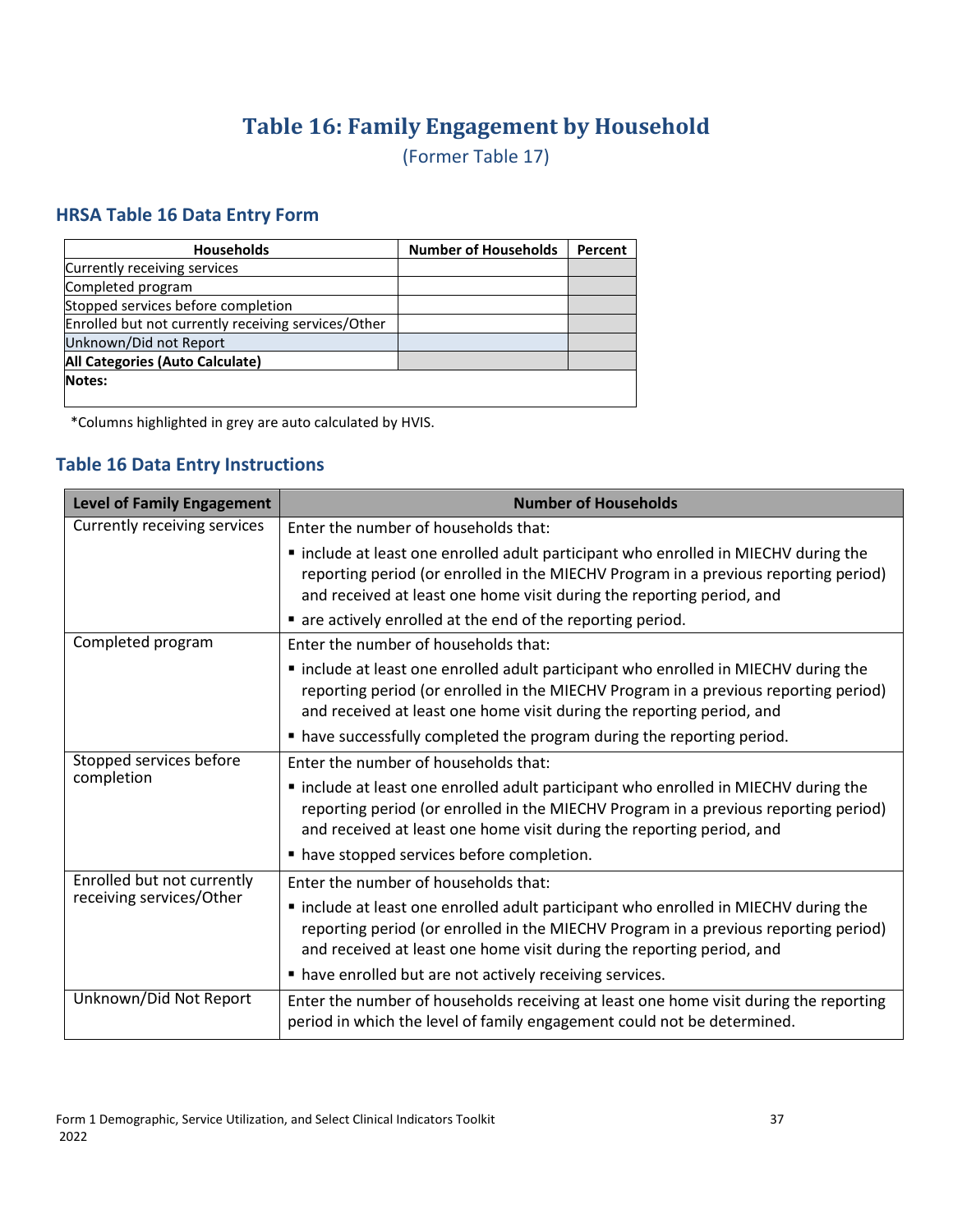# **Table 16: Family Engagement by Household**

(Former Table 17)

#### <span id="page-40-0"></span>**HRSA Table 16 Data Entry Form**

| <b>Households</b>                                   | <b>Number of Households</b> | Percent |
|-----------------------------------------------------|-----------------------------|---------|
| Currently receiving services                        |                             |         |
| Completed program                                   |                             |         |
| Stopped services before completion                  |                             |         |
| Enrolled but not currently receiving services/Other |                             |         |
| Unknown/Did not Report                              |                             |         |
| All Categories (Auto Calculate)                     |                             |         |
| Notes:                                              |                             |         |
|                                                     |                             |         |

\*Columns highlighted in grey are auto calculated by HVIS.

#### **Table 16 Data Entry Instructions**

| <b>Level of Family Engagement</b> | <b>Number of Households</b>                                                                                                                                                                                                                         |
|-----------------------------------|-----------------------------------------------------------------------------------------------------------------------------------------------------------------------------------------------------------------------------------------------------|
| Currently receiving services      | Enter the number of households that:                                                                                                                                                                                                                |
|                                   | " include at least one enrolled adult participant who enrolled in MIECHV during the<br>reporting period (or enrolled in the MIECHV Program in a previous reporting period)<br>and received at least one home visit during the reporting period, and |
|                                   | • are actively enrolled at the end of the reporting period.                                                                                                                                                                                         |
| Completed program                 | Enter the number of households that:                                                                                                                                                                                                                |
|                                   | " include at least one enrolled adult participant who enrolled in MIECHV during the<br>reporting period (or enrolled in the MIECHV Program in a previous reporting period)<br>and received at least one home visit during the reporting period, and |
|                                   | • have successfully completed the program during the reporting period.                                                                                                                                                                              |
| Stopped services before           | Enter the number of households that:                                                                                                                                                                                                                |
| completion                        | " include at least one enrolled adult participant who enrolled in MIECHV during the<br>reporting period (or enrolled in the MIECHV Program in a previous reporting period)<br>and received at least one home visit during the reporting period, and |
|                                   | nave stopped services before completion.                                                                                                                                                                                                            |
| Enrolled but not currently        | Enter the number of households that:                                                                                                                                                                                                                |
| receiving services/Other          | " include at least one enrolled adult participant who enrolled in MIECHV during the<br>reporting period (or enrolled in the MIECHV Program in a previous reporting period)<br>and received at least one home visit during the reporting period, and |
|                                   | " have enrolled but are not actively receiving services.                                                                                                                                                                                            |
| Unknown/Did Not Report            | Enter the number of households receiving at least one home visit during the reporting<br>period in which the level of family engagement could not be determined.                                                                                    |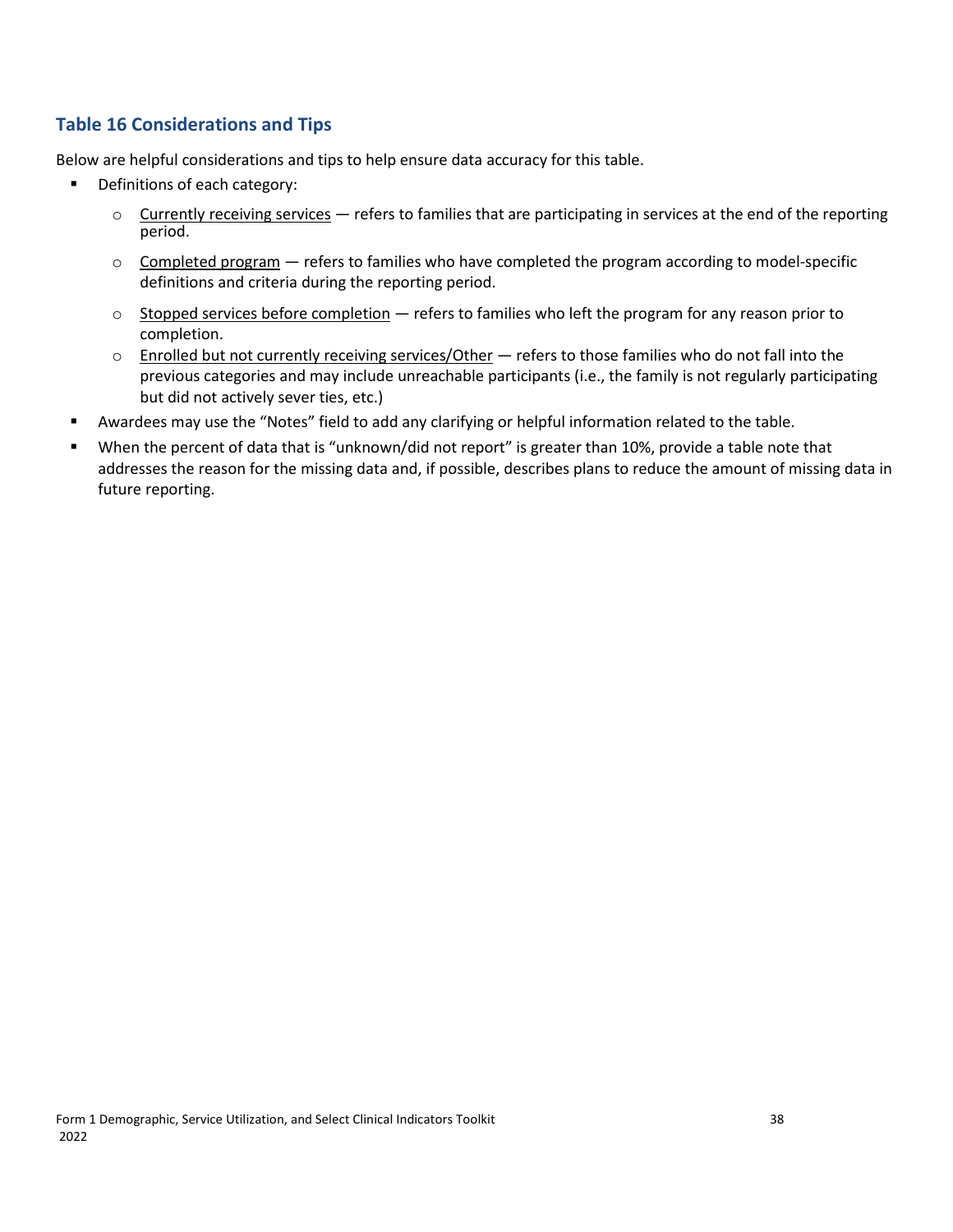#### **Table 16 Considerations and Tips**

- **•** Definitions of each category:
	- $\circ$  Currently receiving services refers to families that are participating in services at the end of the reporting period.
	- $\circ$  Completed program  $-$  refers to families who have completed the program according to model-specific definitions and criteria during the reporting period.
	- $\circ$  Stopped services before completion  $-$  refers to families who left the program for any reason prior to completion.
	- o Enrolled but not currently receiving services/Other refers to those families who do not fall into the previous categories and may include unreachable participants (i.e., the family is not regularly participating but did not actively sever ties, etc.)
- Awardees may use the "Notes" field to add any clarifying or helpful information related to the table.
- When the percent of data that is "unknown/did not report" is greater than 10%, provide a table note that addresses the reason for the missing data and, if possible, describes plans to reduce the amount of missing data in future reporting.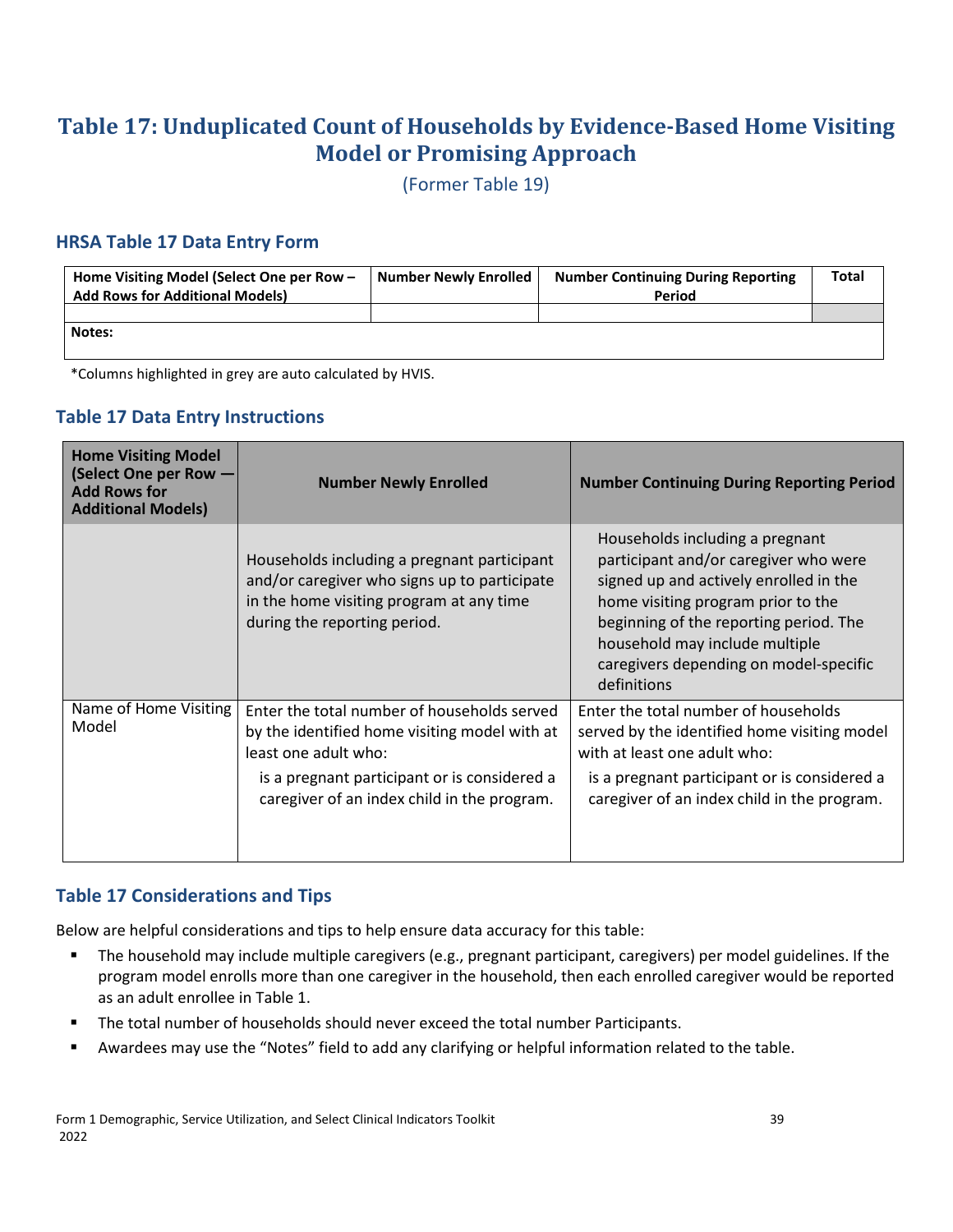## <span id="page-42-0"></span>**Table 17: Unduplicated Count of Households by Evidence-Based Home Visiting Model or Promising Approach**

(Former Table 19)

#### **HRSA Table 17 Data Entry Form**

| Home Visiting Model (Select One per Row -<br><b>Add Rows for Additional Models)</b> | <b>Number Newly Enrolled</b> | <b>Number Continuing During Reporting</b><br>Period | <b>Total</b> |
|-------------------------------------------------------------------------------------|------------------------------|-----------------------------------------------------|--------------|
|                                                                                     |                              |                                                     |              |
| Notes:                                                                              |                              |                                                     |              |
|                                                                                     |                              |                                                     |              |

\*Columns highlighted in grey are auto calculated by HVIS.

## **Table 17 Data Entry Instructions**

| <b>Home Visiting Model</b><br>(Select One per Row -<br><b>Add Rows for</b><br><b>Additional Models)</b> | <b>Number Newly Enrolled</b>                                                                                                                                                                                        | <b>Number Continuing During Reporting Period</b>                                                                                                                                                                                                                                              |
|---------------------------------------------------------------------------------------------------------|---------------------------------------------------------------------------------------------------------------------------------------------------------------------------------------------------------------------|-----------------------------------------------------------------------------------------------------------------------------------------------------------------------------------------------------------------------------------------------------------------------------------------------|
|                                                                                                         | Households including a pregnant participant<br>and/or caregiver who signs up to participate<br>in the home visiting program at any time<br>during the reporting period.                                             | Households including a pregnant<br>participant and/or caregiver who were<br>signed up and actively enrolled in the<br>home visiting program prior to the<br>beginning of the reporting period. The<br>household may include multiple<br>caregivers depending on model-specific<br>definitions |
| Name of Home Visiting<br>Model                                                                          | Enter the total number of households served<br>by the identified home visiting model with at<br>least one adult who:<br>is a pregnant participant or is considered a<br>caregiver of an index child in the program. | Enter the total number of households<br>served by the identified home visiting model<br>with at least one adult who:<br>is a pregnant participant or is considered a<br>caregiver of an index child in the program.                                                                           |

#### **Table 17 Considerations and Tips**

- The household may include multiple caregivers (e.g., pregnant participant, caregivers) per model guidelines. If the program model enrolls more than one caregiver in the household, then each enrolled caregiver would be reported as an adult enrollee in Table 1.
- The total number of households should never exceed the total number Participants.
- Awardees may use the "Notes" field to add any clarifying or helpful information related to the table.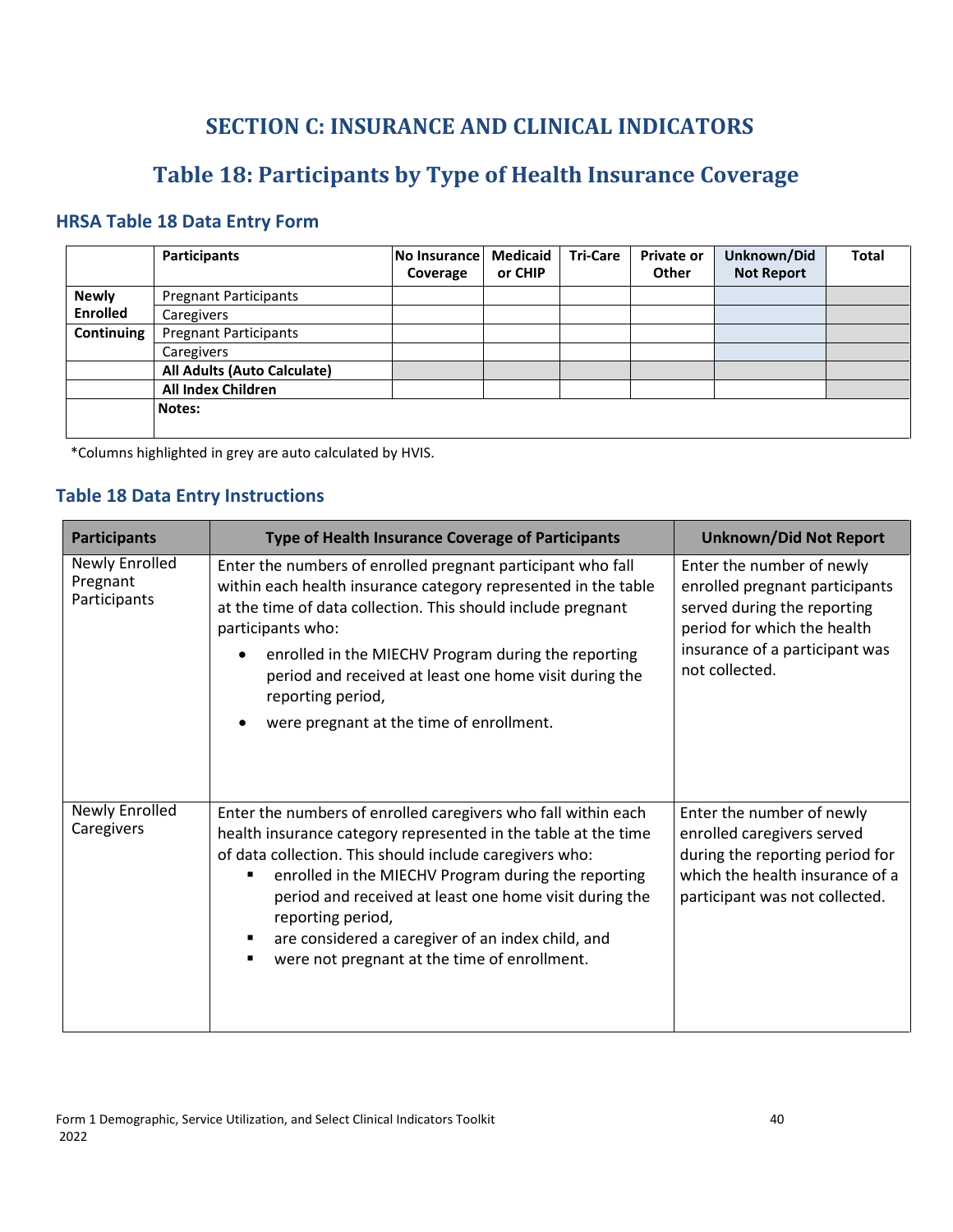## **SECTION C: INSURANCE AND CLINICAL INDICATORS**

## **Table 18: Participants by Type of Health Insurance Coverage**

## <span id="page-43-1"></span><span id="page-43-0"></span>**HRSA Table 18 Data Entry Form**

|                 | Participants                 | No Insurance<br>Coverage | <b>Medicaid</b><br>or CHIP | <b>Tri-Care</b> | <b>Private or</b><br>Other | Unknown/Did<br><b>Not Report</b> | <b>Total</b> |
|-----------------|------------------------------|--------------------------|----------------------------|-----------------|----------------------------|----------------------------------|--------------|
| <b>Newly</b>    | <b>Pregnant Participants</b> |                          |                            |                 |                            |                                  |              |
| <b>Enrolled</b> | Caregivers                   |                          |                            |                 |                            |                                  |              |
| Continuing      | <b>Pregnant Participants</b> |                          |                            |                 |                            |                                  |              |
|                 | Caregivers                   |                          |                            |                 |                            |                                  |              |
|                 | All Adults (Auto Calculate)  |                          |                            |                 |                            |                                  |              |
|                 | All Index Children           |                          |                            |                 |                            |                                  |              |
|                 | Notes:                       |                          |                            |                 |                            |                                  |              |
|                 |                              |                          |                            |                 |                            |                                  |              |

\*Columns highlighted in grey are auto calculated by HVIS.

#### **Table 18 Data Entry Instructions**

| <b>Participants</b>                        | Type of Health Insurance Coverage of Participants                                                                                                                                                                                                                                                                                                                                                                                     | <b>Unknown/Did Not Report</b>                                                                                                                                                 |
|--------------------------------------------|---------------------------------------------------------------------------------------------------------------------------------------------------------------------------------------------------------------------------------------------------------------------------------------------------------------------------------------------------------------------------------------------------------------------------------------|-------------------------------------------------------------------------------------------------------------------------------------------------------------------------------|
| Newly Enrolled<br>Pregnant<br>Participants | Enter the numbers of enrolled pregnant participant who fall<br>within each health insurance category represented in the table<br>at the time of data collection. This should include pregnant<br>participants who:<br>enrolled in the MIECHV Program during the reporting<br>period and received at least one home visit during the<br>reporting period,<br>were pregnant at the time of enrollment.                                  | Enter the number of newly<br>enrolled pregnant participants<br>served during the reporting<br>period for which the health<br>insurance of a participant was<br>not collected. |
| Newly Enrolled<br>Caregivers               | Enter the numbers of enrolled caregivers who fall within each<br>health insurance category represented in the table at the time<br>of data collection. This should include caregivers who:<br>enrolled in the MIECHV Program during the reporting<br>period and received at least one home visit during the<br>reporting period,<br>are considered a caregiver of an index child, and<br>were not pregnant at the time of enrollment. | Enter the number of newly<br>enrolled caregivers served<br>during the reporting period for<br>which the health insurance of a<br>participant was not collected.               |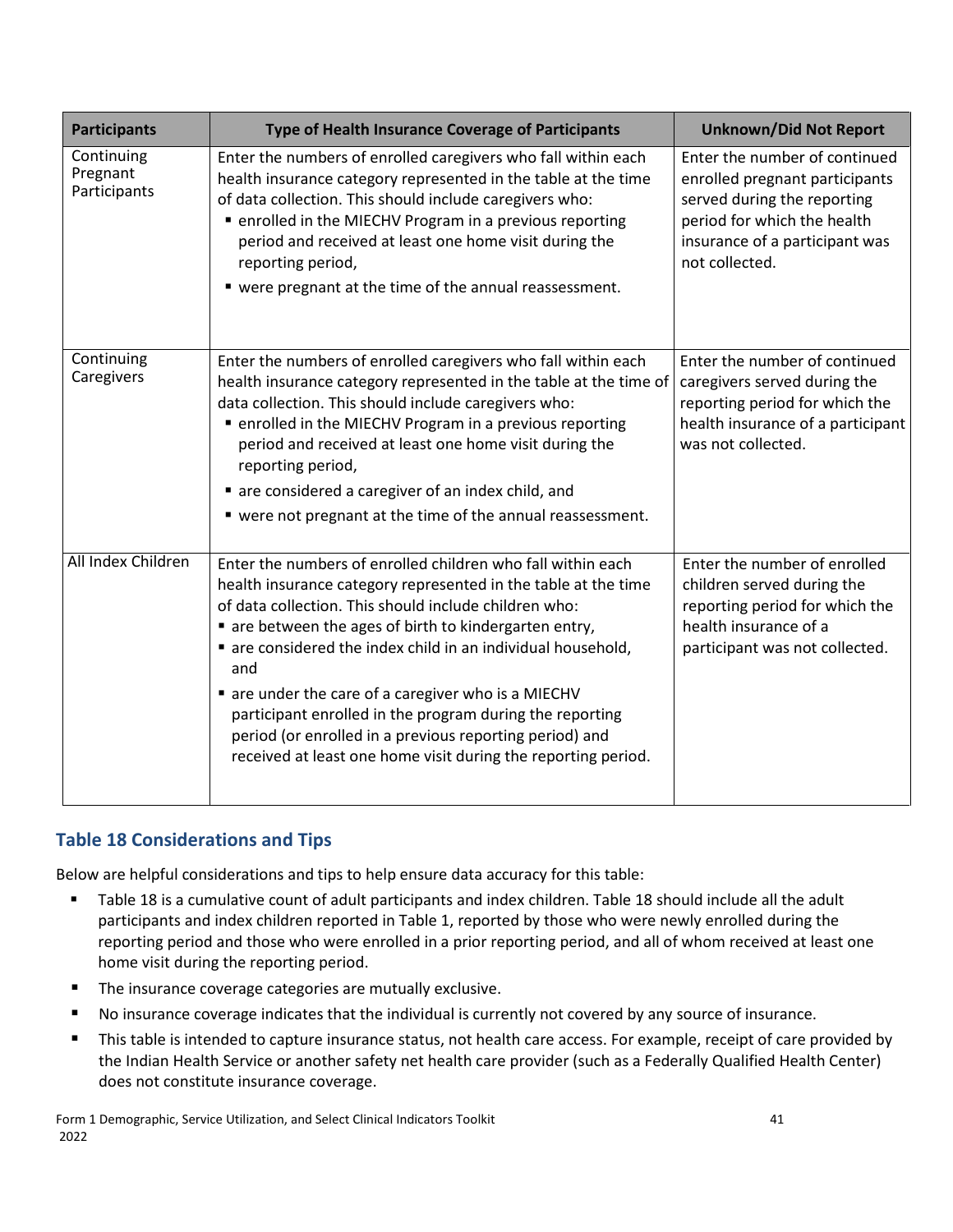| <b>Participants</b>                    | Type of Health Insurance Coverage of Participants                                                                                                                                                                                                                                                                                                                                                                                                                                                                                                                | <b>Unknown/Did Not Report</b>                                                                                                                                                     |  |  |
|----------------------------------------|------------------------------------------------------------------------------------------------------------------------------------------------------------------------------------------------------------------------------------------------------------------------------------------------------------------------------------------------------------------------------------------------------------------------------------------------------------------------------------------------------------------------------------------------------------------|-----------------------------------------------------------------------------------------------------------------------------------------------------------------------------------|--|--|
| Continuing<br>Pregnant<br>Participants | Enter the numbers of enrolled caregivers who fall within each<br>health insurance category represented in the table at the time<br>of data collection. This should include caregivers who:<br>■ enrolled in the MIECHV Program in a previous reporting<br>period and received at least one home visit during the<br>reporting period,<br>" were pregnant at the time of the annual reassessment.                                                                                                                                                                 | Enter the number of continued<br>enrolled pregnant participants<br>served during the reporting<br>period for which the health<br>insurance of a participant was<br>not collected. |  |  |
| Continuing<br>Caregivers               | Enter the numbers of enrolled caregivers who fall within each<br>health insurance category represented in the table at the time of<br>data collection. This should include caregivers who:<br>• enrolled in the MIECHV Program in a previous reporting<br>period and received at least one home visit during the<br>reporting period,<br>• are considered a caregiver of an index child, and<br>" were not pregnant at the time of the annual reassessment.                                                                                                      | Enter the number of continued<br>caregivers served during the<br>reporting period for which the<br>health insurance of a participant<br>was not collected.                        |  |  |
| All Index Children                     | Enter the numbers of enrolled children who fall within each<br>health insurance category represented in the table at the time<br>of data collection. This should include children who:<br>are between the ages of birth to kindergarten entry,<br>are considered the index child in an individual household,<br>and<br>are under the care of a caregiver who is a MIECHV<br>participant enrolled in the program during the reporting<br>period (or enrolled in a previous reporting period) and<br>received at least one home visit during the reporting period. | Enter the number of enrolled<br>children served during the<br>reporting period for which the<br>health insurance of a<br>participant was not collected.                           |  |  |

#### **Table 18 Considerations and Tips**

- Table 18 is a cumulative count of adult participants and index children. Table 18 should include all the adult participants and index children reported in Table 1, reported by those who were newly enrolled during the reporting period and those who were enrolled in a prior reporting period, and all of whom received at least one home visit during the reporting period.
- **The insurance coverage categories are mutually exclusive.**
- No insurance coverage indicates that the individual is currently not covered by any source of insurance.
- **This table is intended to capture insurance status, not health care access. For example, receipt of care provided by** the Indian Health Service or another safety net health care provider (such as a Federally Qualified Health Center) does not constitute insurance coverage.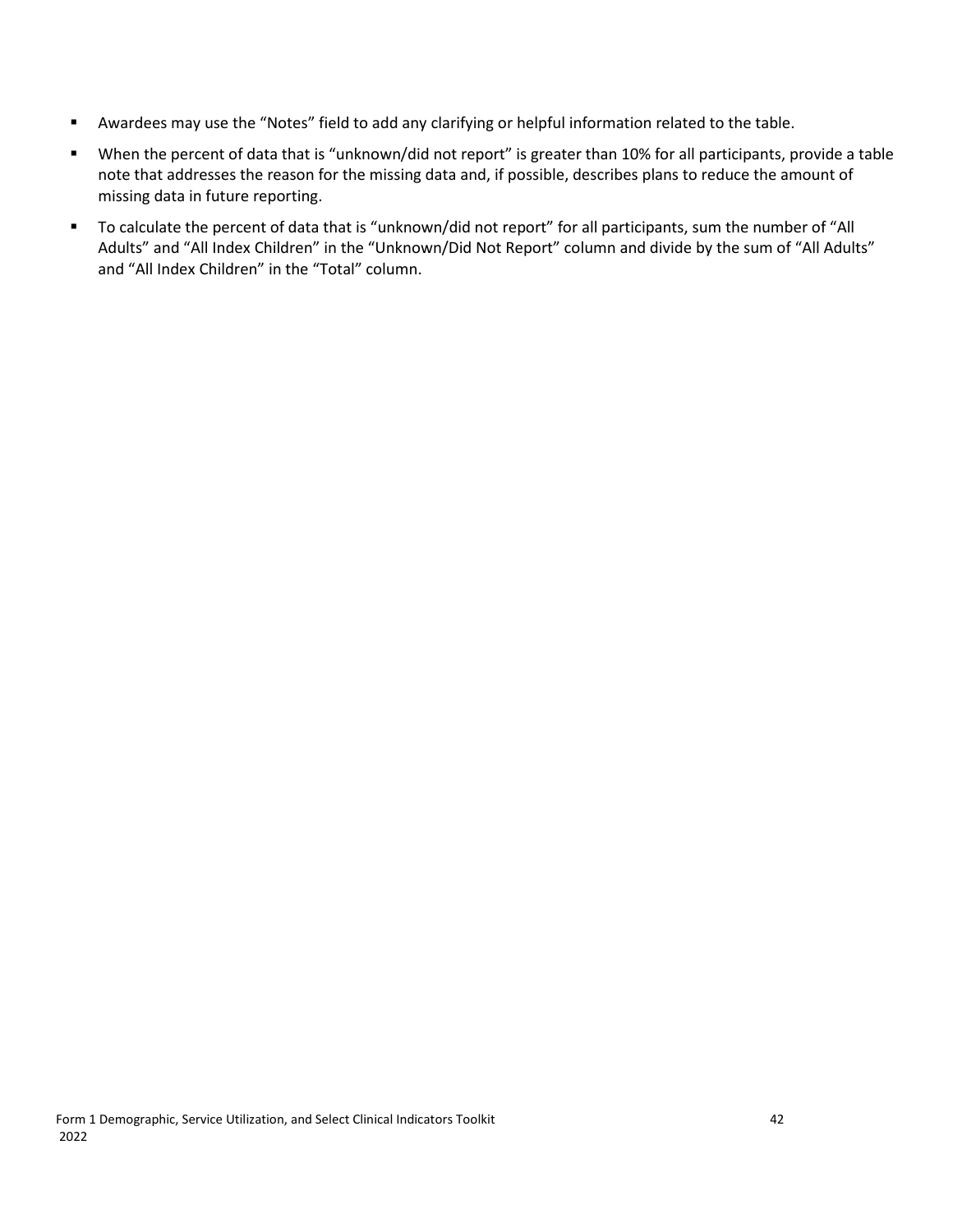- Awardees may use the "Notes" field to add any clarifying or helpful information related to the table.
- When the percent of data that is "unknown/did not report" is greater than 10% for all participants, provide a table note that addresses the reason for the missing data and, if possible, describes plans to reduce the amount of missing data in future reporting.
- To calculate the percent of data that is "unknown/did not report" for all participants, sum the number of "All Adults" and "All Index Children" in the "Unknown/Did Not Report" column and divide by the sum of "All Adults" and "All Index Children" in the "Total" column.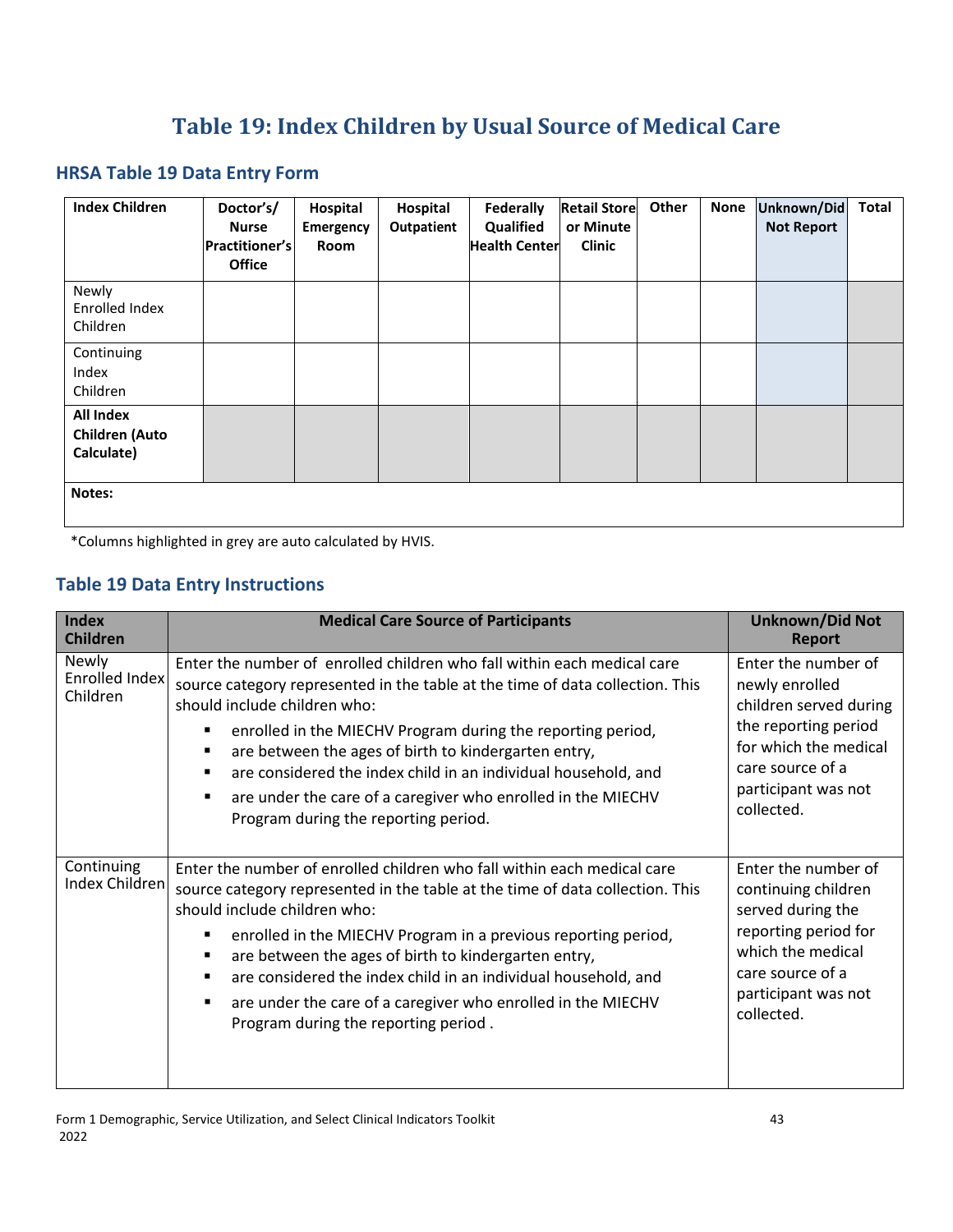# **Table 19: Index Children by Usual Source of Medical Care**

#### <span id="page-46-0"></span>**HRSA Table 19 Data Entry Form**

| <b>Index Children</b>                                   | Doctor's/<br><b>Nurse</b><br><b>Practitioner's</b><br><b>Office</b> | Hospital<br>Emergency<br>Room | Hospital<br>Outpatient | Federally<br>Qualified<br><b>Health Center</b> | <b>Retail Store</b><br>or Minute<br><b>Clinic</b> | Other | <b>None</b> | Unknown/Did<br><b>Not Report</b> | <b>Total</b> |
|---------------------------------------------------------|---------------------------------------------------------------------|-------------------------------|------------------------|------------------------------------------------|---------------------------------------------------|-------|-------------|----------------------------------|--------------|
| Newly<br>Enrolled Index<br>Children                     |                                                                     |                               |                        |                                                |                                                   |       |             |                                  |              |
| Continuing<br>Index<br>Children                         |                                                                     |                               |                        |                                                |                                                   |       |             |                                  |              |
| <b>All Index</b><br><b>Children</b> (Auto<br>Calculate) |                                                                     |                               |                        |                                                |                                                   |       |             |                                  |              |
| Notes:                                                  |                                                                     |                               |                        |                                                |                                                   |       |             |                                  |              |

\*Columns highlighted in grey are auto calculated by HVIS.

#### **Table 19 Data Entry Instructions**

| <b>Index</b><br><b>Children</b>     | <b>Medical Care Source of Participants</b>                                                                                                                                                                                                                                                                                                                                                                                                                                                                                                 | <b>Unknown/Did Not</b><br><b>Report</b>                                                                                                                                   |
|-------------------------------------|--------------------------------------------------------------------------------------------------------------------------------------------------------------------------------------------------------------------------------------------------------------------------------------------------------------------------------------------------------------------------------------------------------------------------------------------------------------------------------------------------------------------------------------------|---------------------------------------------------------------------------------------------------------------------------------------------------------------------------|
| Newly<br>Enrolled Index<br>Children | Enter the number of enrolled children who fall within each medical care<br>source category represented in the table at the time of data collection. This<br>should include children who:<br>enrolled in the MIECHV Program during the reporting period,<br>٠<br>are between the ages of birth to kindergarten entry,<br>٠<br>are considered the index child in an individual household, and<br>$\blacksquare$<br>are under the care of a caregiver who enrolled in the MIECHV<br>٠<br>Program during the reporting period.                 | Enter the number of<br>newly enrolled<br>children served during<br>the reporting period<br>for which the medical<br>care source of a<br>participant was not<br>collected. |
| Continuing<br>Index Children        | Enter the number of enrolled children who fall within each medical care<br>source category represented in the table at the time of data collection. This<br>should include children who:<br>enrolled in the MIECHV Program in a previous reporting period,<br>٠<br>are between the ages of birth to kindergarten entry,<br>$\blacksquare$<br>are considered the index child in an individual household, and<br>$\blacksquare$<br>are under the care of a caregiver who enrolled in the MIECHV<br>٠<br>Program during the reporting period. | Enter the number of<br>continuing children<br>served during the<br>reporting period for<br>which the medical<br>care source of a<br>participant was not<br>collected.     |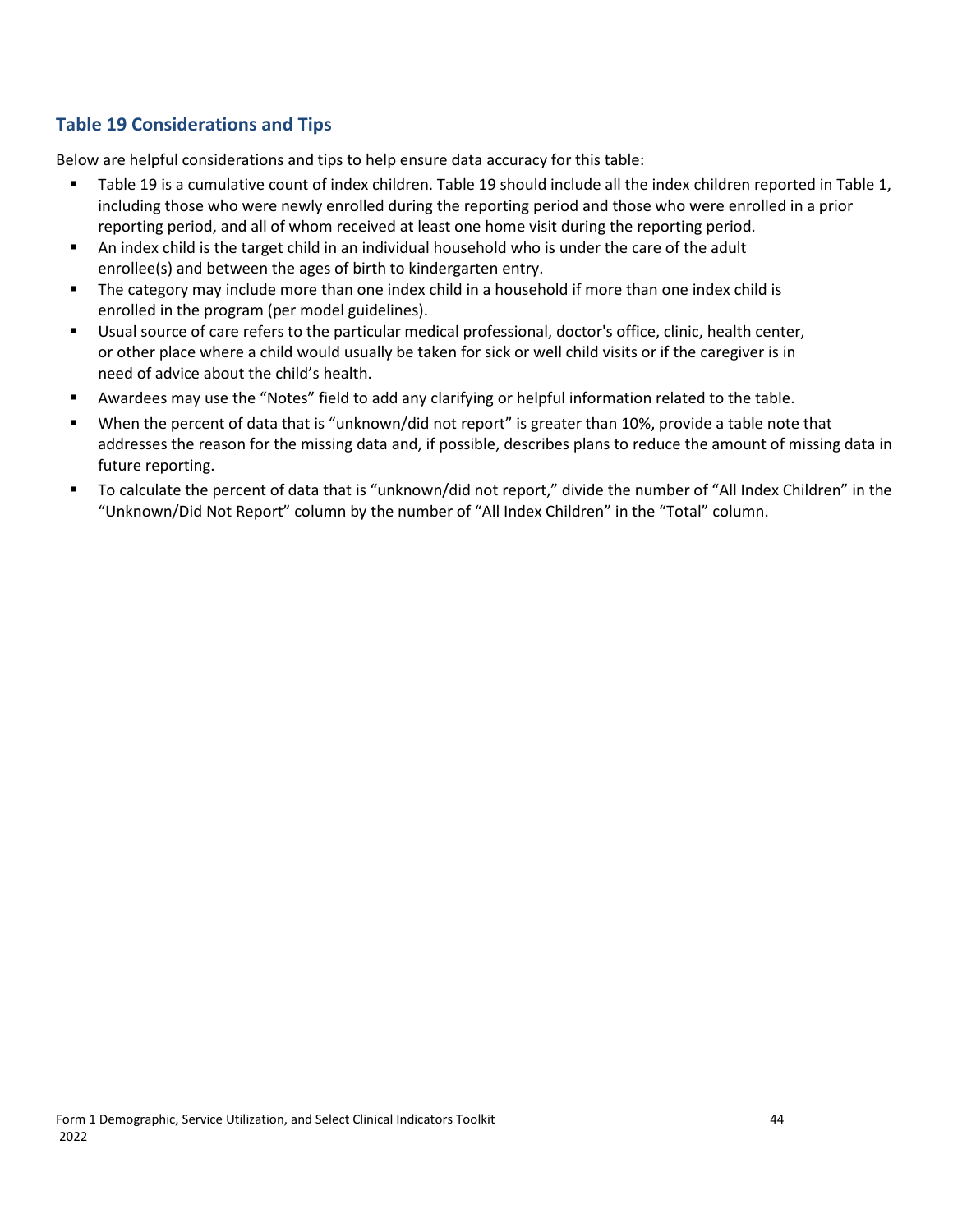#### **Table 19 Considerations and Tips**

- Table 19 is a cumulative count of index children. Table 19 should include all the index children reported in Table 1, including those who were newly enrolled during the reporting period and those who were enrolled in a prior reporting period, and all of whom received at least one home visit during the reporting period.
- An index child is the target child in an individual household who is under the care of the adult enrollee(s) and between the ages of birth to kindergarten entry.
- **The category may include more than one index child in a household if more than one index child is** enrolled in the program (per model guidelines).
- Usual source of care refers to the particular medical professional, doctor's office, clinic, health center, or other place where a child would usually be taken for sick or well child visits or if the caregiver is in need of advice about the child's health.
- Awardees may use the "Notes" field to add any clarifying or helpful information related to the table.
- When the percent of data that is "unknown/did not report" is greater than 10%, provide a table note that addresses the reason for the missing data and, if possible, describes plans to reduce the amount of missing data in future reporting.
- To calculate the percent of data that is "unknown/did not report," divide the number of "All Index Children" in the "Unknown/Did Not Report" column by the number of "All Index Children" in the "Total" column.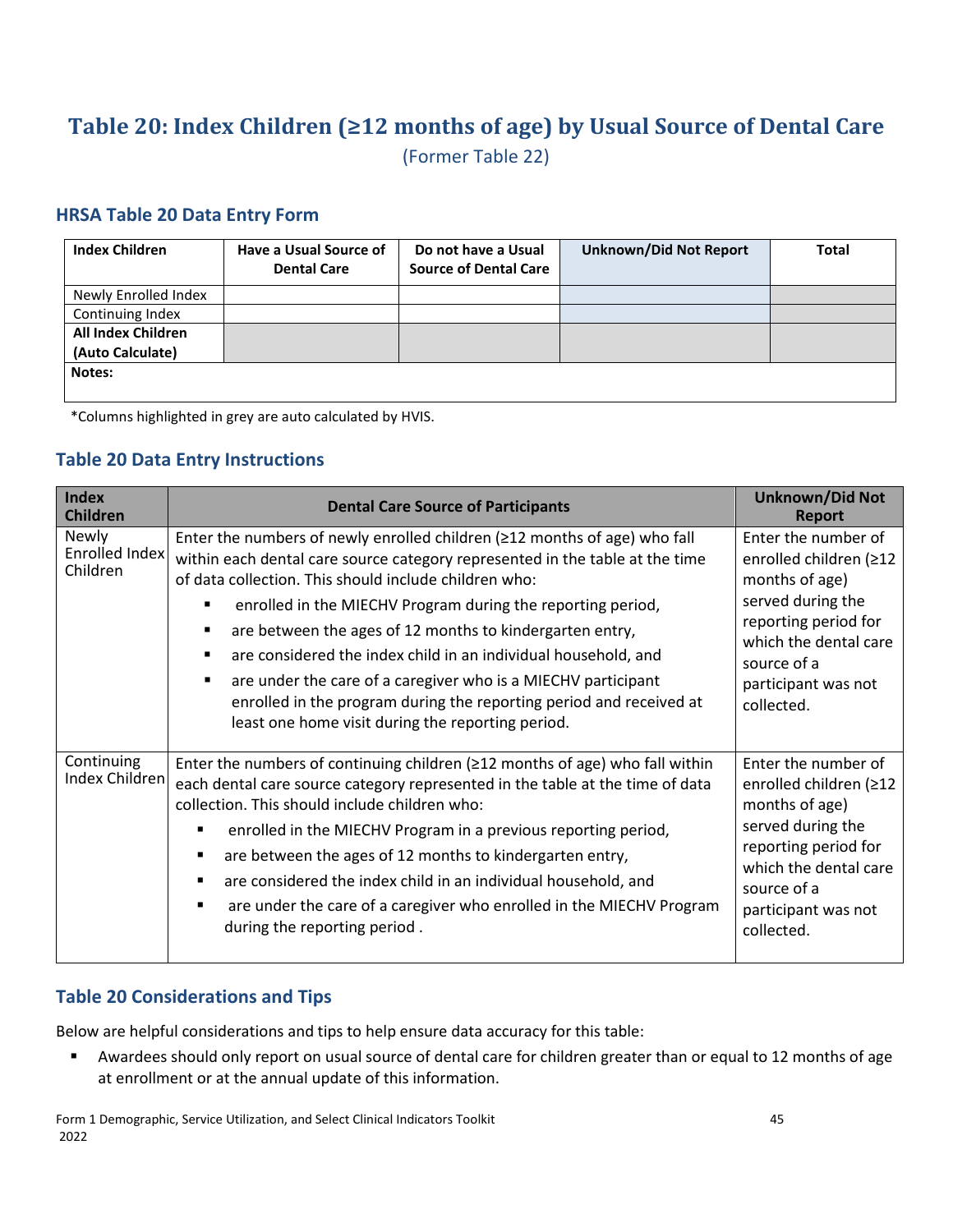# <span id="page-48-0"></span>**Table 20: Index Children (≥12 months of age) by Usual Source of Dental Care**

(Former Table 22)

#### **HRSA Table 20 Data Entry Form**

| <b>Index Children</b>     | Have a Usual Source of<br><b>Dental Care</b> | Do not have a Usual<br><b>Source of Dental Care</b> | <b>Unknown/Did Not Report</b> | <b>Total</b> |
|---------------------------|----------------------------------------------|-----------------------------------------------------|-------------------------------|--------------|
| Newly Enrolled Index      |                                              |                                                     |                               |              |
| Continuing Index          |                                              |                                                     |                               |              |
| <b>All Index Children</b> |                                              |                                                     |                               |              |
| (Auto Calculate)          |                                              |                                                     |                               |              |
| Notes:                    |                                              |                                                     |                               |              |

\*Columns highlighted in grey are auto calculated by HVIS.

#### **Table 20 Data Entry Instructions**

| <b>Index</b><br><b>Children</b>     | <b>Dental Care Source of Participants</b>                                                                                                                                                                                                                                                                                                                                                                                                                                                                                                                                                                                   | <b>Unknown/Did Not</b><br><b>Report</b>                                                                                                                                                   |
|-------------------------------------|-----------------------------------------------------------------------------------------------------------------------------------------------------------------------------------------------------------------------------------------------------------------------------------------------------------------------------------------------------------------------------------------------------------------------------------------------------------------------------------------------------------------------------------------------------------------------------------------------------------------------------|-------------------------------------------------------------------------------------------------------------------------------------------------------------------------------------------|
| Newly<br>Enrolled Index<br>Children | Enter the numbers of newly enrolled children (≥12 months of age) who fall<br>within each dental care source category represented in the table at the time<br>of data collection. This should include children who:<br>enrolled in the MIECHV Program during the reporting period,<br>are between the ages of 12 months to kindergarten entry,<br>٠<br>are considered the index child in an individual household, and<br>٠<br>are under the care of a caregiver who is a MIECHV participant<br>٠<br>enrolled in the program during the reporting period and received at<br>least one home visit during the reporting period. | Enter the number of<br>enrolled children (≥12<br>months of age)<br>served during the<br>reporting period for<br>which the dental care<br>source of a<br>participant was not<br>collected. |
| Continuing<br>Index Children        | Enter the numbers of continuing children ( $\geq$ 12 months of age) who fall within<br>each dental care source category represented in the table at the time of data<br>collection. This should include children who:<br>enrolled in the MIECHV Program in a previous reporting period,<br>are between the ages of 12 months to kindergarten entry,<br>are considered the index child in an individual household, and<br>are under the care of a caregiver who enrolled in the MIECHV Program<br>during the reporting period.                                                                                               | Enter the number of<br>enrolled children (≥12<br>months of age)<br>served during the<br>reporting period for<br>which the dental care<br>source of a<br>participant was not<br>collected. |

#### **Table 20 Considerations and Tips**

Below are helpful considerations and tips to help ensure data accuracy for this table:

 Awardees should only report on usual source of dental care for children greater than or equal to 12 months of age at enrollment or at the annual update of this information.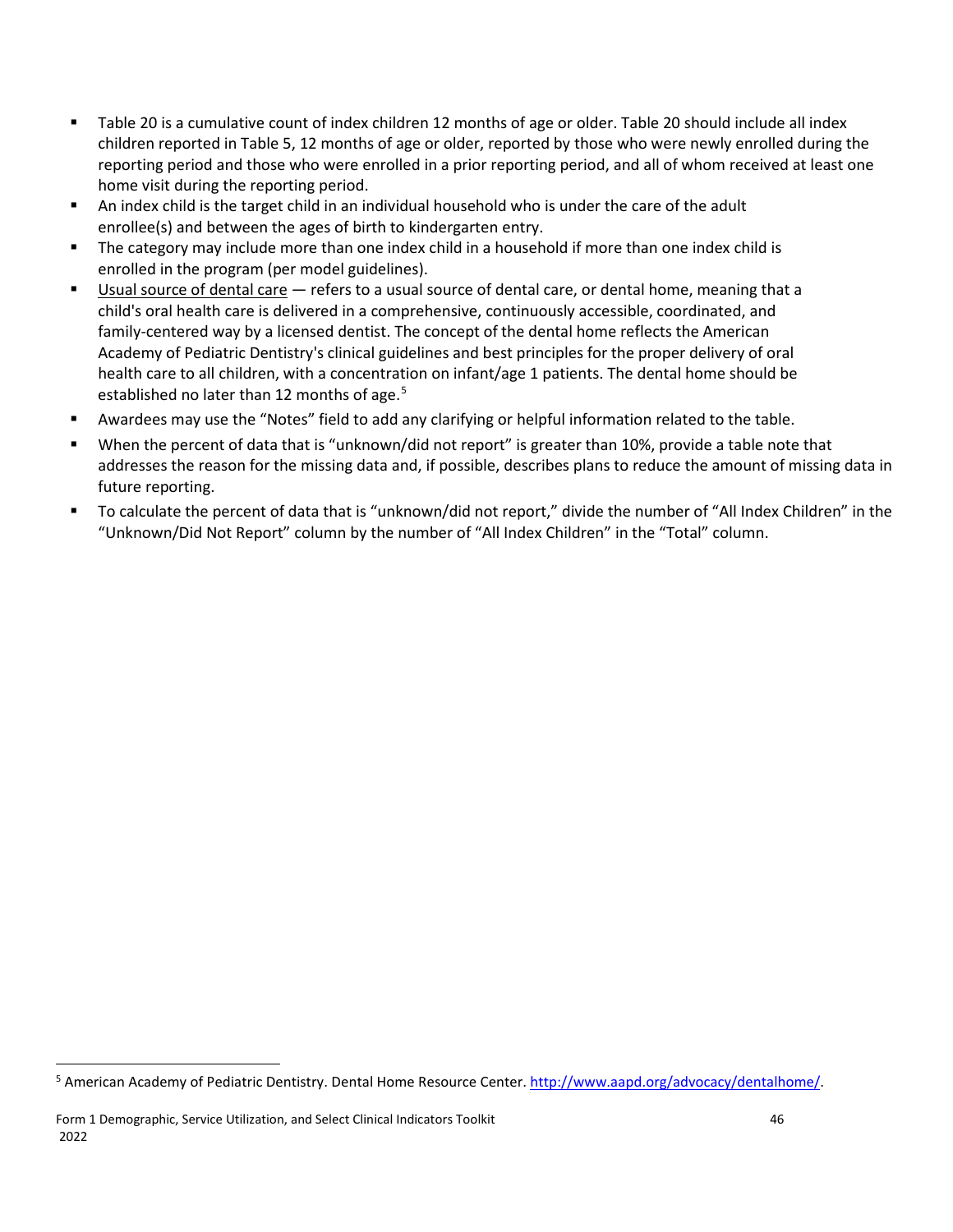- Table 20 is a cumulative count of index children 12 months of age or older. Table 20 should include all index children reported in Table 5, 12 months of age or older, reported by those who were newly enrolled during the reporting period and those who were enrolled in a prior reporting period, and all of whom received at least one home visit during the reporting period.
- An index child is the target child in an individual household who is under the care of the adult enrollee(s) and between the ages of birth to kindergarten entry.
- **The category may include more than one index child in a household if more than one index child is** enrolled in the program (per model guidelines).
- Usual source of dental care refers to a usual source of dental care, or dental home, meaning that a child's oral health care is delivered in a comprehensive, continuously accessible, coordinated, and family-centered way by a licensed dentist. The concept of the dental home reflects the American Academy of Pediatric Dentistry's clinical guidelines and best principles for the proper delivery of oral health care to all children, with a concentration on infant/age 1 patients. The dental home should be established no later than 12 months of age.<sup>[5](#page-49-0)</sup>
- Awardees may use the "Notes" field to add any clarifying or helpful information related to the table.
- When the percent of data that is "unknown/did not report" is greater than 10%, provide a table note that addresses the reason for the missing data and, if possible, describes plans to reduce the amount of missing data in future reporting.
- To calculate the percent of data that is "unknown/did not report," divide the number of "All Index Children" in the "Unknown/Did Not Report" column by the number of "All Index Children" in the "Total" column.

 $\overline{\phantom{a}}$ 

<span id="page-49-0"></span><sup>&</sup>lt;sup>5</sup> American Academy of Pediatric Dentistry. Dental Home Resource Center. [http://www.aapd.org/advocacy/dentalhome/.](http://www.aapd.org/advocacy/dentalhome/)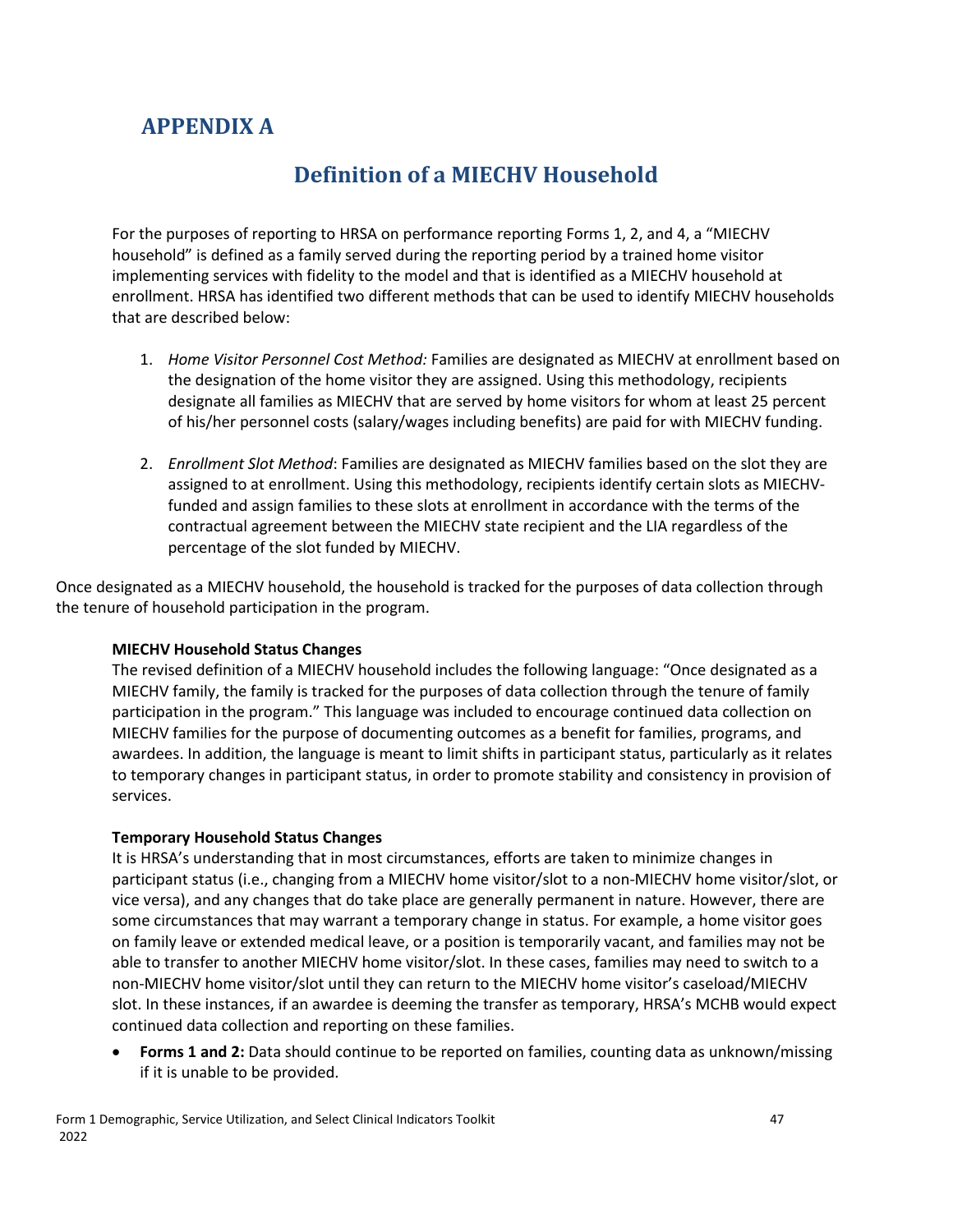# <span id="page-50-0"></span>**APPENDIX A**

## **Definition of a MIECHV Household**

<span id="page-50-1"></span>For the purposes of reporting to HRSA on performance reporting Forms 1, 2, and 4, a "MIECHV household" is defined as a family served during the reporting period by a trained home visitor implementing services with fidelity to the model and that is identified as a MIECHV household at enrollment. HRSA has identified two different methods that can be used to identify MIECHV households that are described below:

- 1. *Home Visitor Personnel Cost Method:* Families are designated as MIECHV at enrollment based on the designation of the home visitor they are assigned. Using this methodology, recipients designate all families as MIECHV that are served by home visitors for whom at least 25 percent of his/her personnel costs (salary/wages including benefits) are paid for with MIECHV funding.
- 2. *Enrollment Slot Method*: Families are designated as MIECHV families based on the slot they are assigned to at enrollment. Using this methodology, recipients identify certain slots as MIECHVfunded and assign families to these slots at enrollment in accordance with the terms of the contractual agreement between the MIECHV state recipient and the LIA regardless of the percentage of the slot funded by MIECHV.

Once designated as a MIECHV household, the household is tracked for the purposes of data collection through the tenure of household participation in the program.

#### **MIECHV Household Status Changes**

The revised definition of a MIECHV household includes the following language: "Once designated as a MIECHV family, the family is tracked for the purposes of data collection through the tenure of family participation in the program." This language was included to encourage continued data collection on MIECHV families for the purpose of documenting outcomes as a benefit for families, programs, and awardees. In addition, the language is meant to limit shifts in participant status, particularly as it relates to temporary changes in participant status, in order to promote stability and consistency in provision of services.

#### **Temporary Household Status Changes**

It is HRSA's understanding that in most circumstances, efforts are taken to minimize changes in participant status (i.e., changing from a MIECHV home visitor/slot to a non-MIECHV home visitor/slot, or vice versa), and any changes that do take place are generally permanent in nature. However, there are some circumstances that may warrant a temporary change in status. For example, a home visitor goes on family leave or extended medical leave, or a position is temporarily vacant, and families may not be able to transfer to another MIECHV home visitor/slot. In these cases, families may need to switch to a non-MIECHV home visitor/slot until they can return to the MIECHV home visitor's caseload/MIECHV slot. In these instances, if an awardee is deeming the transfer as temporary, HRSA's MCHB would expect continued data collection and reporting on these families.

• **Forms 1 and 2:** Data should continue to be reported on families, counting data as unknown/missing if it is unable to be provided.